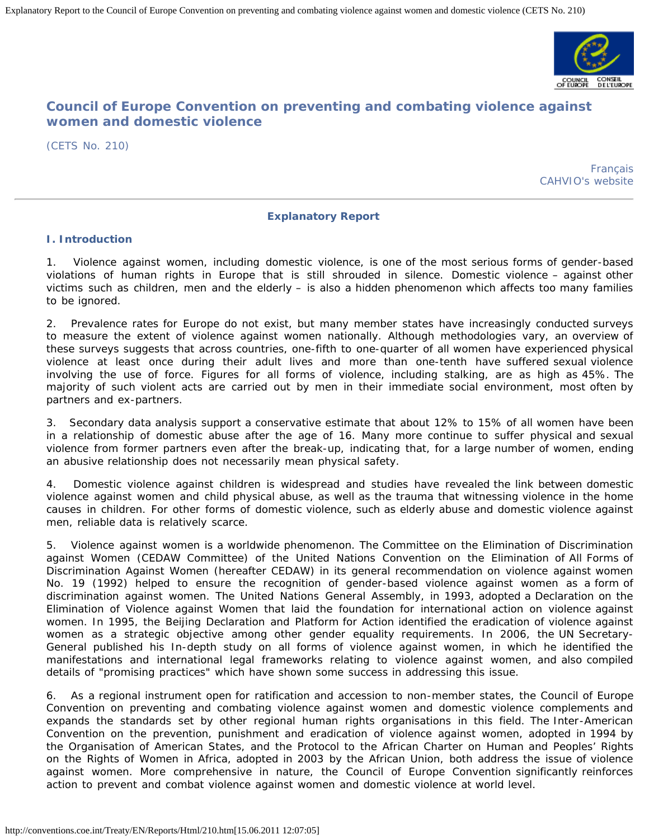

# **Council of Europe Convention on preventing and combating violence against women and domestic violence**

[\(CETS No. 210\)](http://conventions.coe.int/Treaty/EN/Treaties/Html/210.htm)

[Français](http://conventions.coe.int/Treaty/FR/Reports/Html/210.htm) [CAHVIO's website](http://www.coe.int/t/dghl/standardsetting/violence/default_EN.asp?)

## **Explanatory Report**

## **I. Introduction**

Violence against women, including domestic violence, is one of the most serious forms of gender-based violations of human rights in Europe that is still shrouded in silence. Domestic violence – against other victims such as children, men and the elderly – is also a hidden phenomenon which affects too many families to be ignored.

2. Prevalence rates for Europe do not exist, but many member states have increasingly conducted surveys to measure the extent of violence against women nationally. Although methodologies vary, an overview of these surveys suggests that across countries, one-fifth to one-quarter of all women have experienced physical violence at least once during their adult lives and more than one-tenth have suffered sexual violence involving the use of force. Figures for all forms of violence, including stalking, are as high as 45%. The majority of such violent acts are carried out by men in their immediate social environment, most often by partners and ex-partners.

3. Secondary data analysis support a conservative estimate that about 12% to 15% of all women have been in a relationship of domestic abuse after the age of 16. Many more continue to suffer physical and sexual violence from former partners even after the break-up, indicating that, for a large number of women, ending an abusive relationship does not necessarily mean physical safety.

4. Domestic violence against children is widespread and studies have revealed the link between domestic violence against women and child physical abuse, as well as the trauma that witnessing violence in the home causes in children. For other forms of domestic violence, such as elderly abuse and domestic violence against men, reliable data is relatively scarce.

5. Violence against women is a worldwide phenomenon. The Committee on the Elimination of Discrimination against Women (CEDAW Committee) of the United Nations Convention on the Elimination of All Forms of Discrimination Against Women (hereafter CEDAW) in its general recommendation on violence against women No. 19 (1992) helped to ensure the recognition of gender-based violence against women as a form of discrimination against women. The United Nations General Assembly, in 1993, adopted a Declaration on the Elimination of Violence against Women that laid the foundation for international action on violence against women. In 1995, the Beijing Declaration and Platform for Action identified the eradication of violence against women as a strategic objective among other gender equality requirements. In 2006, the UN Secretary-General published his In-depth study on all forms of violence against women, in which he identified the manifestations and international legal frameworks relating to violence against women, and also compiled details of "promising practices" which have shown some success in addressing this issue.

6. As a regional instrument open for ratification and accession to non-member states, the Council of Europe Convention on preventing and combating violence against women and domestic violence complements and expands the standards set by other regional human rights organisations in this field. The Inter-American Convention on the prevention, punishment and eradication of violence against women, adopted in 1994 by the Organisation of American States, and the Protocol to the African Charter on Human and Peoples' Rights on the Rights of Women in Africa, adopted in 2003 by the African Union, both address the issue of violence against women. More comprehensive in nature, the Council of Europe Convention significantly reinforces action to prevent and combat violence against women and domestic violence at world level.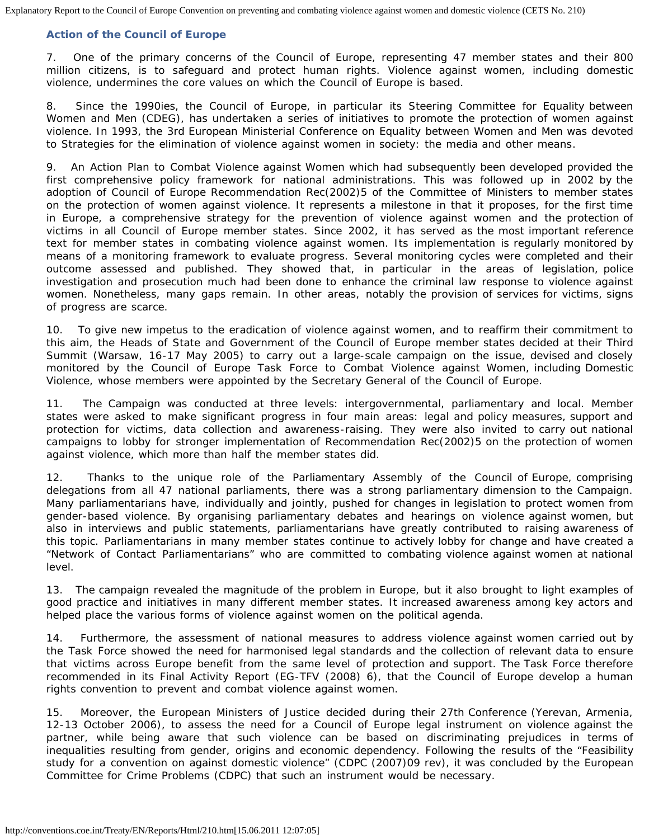## **Action of the Council of Europe**

7. One of the primary concerns of the Council of Europe, representing 47 member states and their 800 million citizens, is to safeguard and protect human rights. Violence against women, including domestic violence, undermines the core values on which the Council of Europe is based.

8. Since the 1990ies, the Council of Europe, in particular its Steering Committee for Equality between Women and Men (CDEG), has undertaken a series of initiatives to promote the protection of women against violence. In 1993, the 3rd European Ministerial Conference on Equality between Women and Men was devoted to *Strategies for the elimination of violence against women in society: the media and other means*.

9. An Action Plan to Combat Violence against Women which had subsequently been developed provided the first comprehensive policy framework for national administrations. This was followed up in 2002 by the adoption of Council of Europe Recommendation Rec(2002)5 of the Committee of Ministers to member states on the protection of women against violence. It represents a milestone in that it proposes, for the first time in Europe, a comprehensive strategy for the prevention of violence against women and the protection of victims in all Council of Europe member states. Since 2002, it has served as the most important reference text for member states in combating violence against women. Its implementation is regularly monitored by means of a monitoring framework to evaluate progress. Several monitoring cycles were completed and their outcome assessed and published. They showed that, in particular in the areas of legislation, police investigation and prosecution much had been done to enhance the criminal law response to violence against women. Nonetheless, many gaps remain. In other areas, notably the provision of services for victims, signs of progress are scarce.

10. To give new impetus to the eradication of violence against women, and to reaffirm their commitment to this aim, the Heads of State and Government of the Council of Europe member states decided at their Third Summit (Warsaw, 16-17 May 2005) to carry out a large-scale campaign on the issue, devised and closely monitored by the Council of Europe Task Force to Combat Violence against Women, including Domestic Violence, whose members were appointed by the Secretary General of the Council of Europe.

11. The Campaign was conducted at three levels: intergovernmental, parliamentary and local. Member states were asked to make significant progress in four main areas: legal and policy measures, support and protection for victims, data collection and awareness-raising. They were also invited to carry out national campaigns to lobby for stronger implementation of Recommendation Rec(2002)5 on the protection of women against violence, which more than half the member states did.

12. Thanks to the unique role of the Parliamentary Assembly of the Council of Europe, comprising delegations from all 47 national parliaments, there was a strong parliamentary dimension to the Campaign. Many parliamentarians have, individually and jointly, pushed for changes in legislation to protect women from gender-based violence. By organising parliamentary debates and hearings on violence against women, but also in interviews and public statements, parliamentarians have greatly contributed to raising awareness of this topic. Parliamentarians in many member states continue to actively lobby for change and have created a "Network of Contact Parliamentarians" who are committed to combating violence against women at national level.

13. The campaign revealed the magnitude of the problem in Europe, but it also brought to light examples of good practice and initiatives in many different member states. It increased awareness among key actors and helped place the various forms of violence against women on the political agenda.

14. Furthermore, the assessment of national measures to address violence against women carried out by the Task Force showed the need for harmonised legal standards and the collection of relevant data to ensure that victims across Europe benefit from the same level of protection and support. The Task Force therefore recommended in its Final Activity Report (EG-TFV (2008) 6), that the Council of Europe develop a human rights convention to prevent and combat violence against women.

15. Moreover, the European Ministers of Justice decided during their 27th Conference (Yerevan, Armenia, 12-13 October 2006), to assess the need for a Council of Europe legal instrument on violence against the partner, while being aware that such violence can be based on discriminating prejudices in terms of inequalities resulting from gender, origins and economic dependency. Following the results of the "Feasibility study for a convention on against domestic violence" (CDPC (2007)09 rev), it was concluded by the European Committee for Crime Problems (CDPC) that such an instrument would be necessary.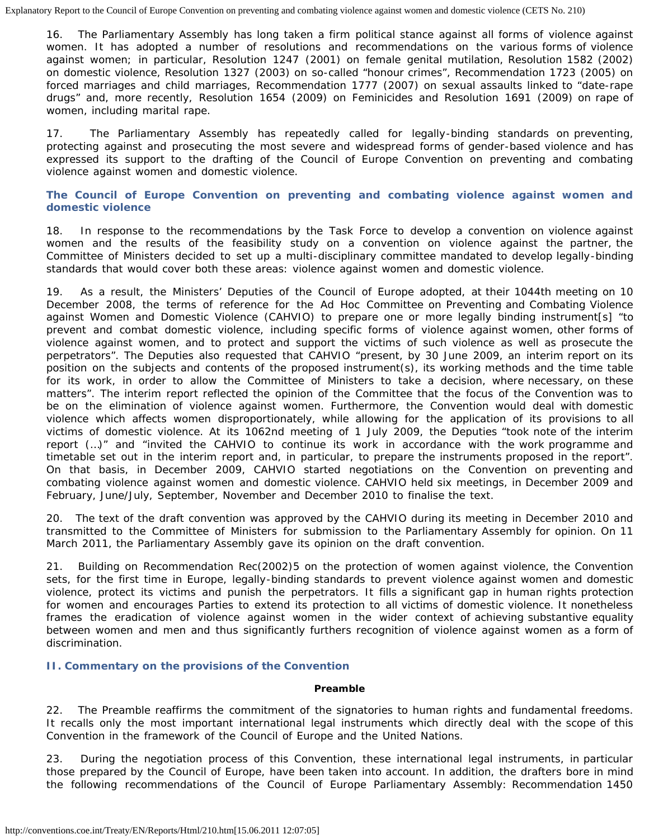16. The Parliamentary Assembly has long taken a firm political stance against all forms of violence against women. It has adopted a number of resolutions and recommendations on the various forms of violence against women; in particular, Resolution 1247 (2001) on female genital mutilation, Resolution 1582 (2002) on domestic violence, Resolution 1327 (2003) on so-called "honour crimes", Recommendation 1723 (2005) on forced marriages and child marriages, Recommendation 1777 (2007) on sexual assaults linked to "date-rape drugs" and, more recently, Resolution 1654 (2009) on Feminicides and Resolution 1691 (2009) on rape of women, including marital rape.

17. The Parliamentary Assembly has repeatedly called for legally-binding standards on preventing, protecting against and prosecuting the most severe and widespread forms of gender-based violence and has expressed its support to the drafting of the Council of Europe Convention on preventing and combating violence against women and domestic violence.

## **The Council of Europe Convention on preventing and combating violence against women and domestic violence**

18. In response to the recommendations by the Task Force to develop a convention on violence against women and the results of the feasibility study on a convention on violence against the partner, the Committee of Ministers decided to set up a multi-disciplinary committee mandated to develop legally-binding standards that would cover both these areas: violence against women and domestic violence.

19. As a result, the Ministers' Deputies of the Council of Europe adopted, at their 1044th meeting on 10 December 2008, the terms of reference for the Ad Hoc Committee on Preventing and Combating Violence against Women and Domestic Violence (CAHVIO) to prepare one or more legally binding instrument[s] "to prevent and combat domestic violence, including specific forms of violence against women, other forms of violence against women, and to protect and support the victims of such violence as well as prosecute the perpetrators". The Deputies also requested that CAHVIO "present, by 30 June 2009, an interim report on its position on the subjects and contents of the proposed instrument(s), its working methods and the time table for its work, in order to allow the Committee of Ministers to take a decision, where necessary, on these matters". The interim report reflected the opinion of the Committee that the focus of the Convention was to be on the elimination of violence against women. Furthermore, the Convention would deal with domestic violence which affects women disproportionately, while allowing for the application of its provisions to all victims of domestic violence. At its 1062nd meeting of 1 July 2009, the Deputies "took note of the interim report (…)" and "invited the CAHVIO to continue its work in accordance with the work programme and timetable set out in the interim report and, in particular, to prepare the instruments proposed in the report". On that basis, in December 2009, CAHVIO started negotiations on the Convention on preventing and combating violence against women and domestic violence. CAHVIO held six meetings, in December 2009 and February, June/July, September, November and December 2010 to finalise the text.

20. The text of the draft convention was approved by the CAHVIO during its meeting in December 2010 and transmitted to the Committee of Ministers for submission to the Parliamentary Assembly for opinion. On 11 March 2011, the Parliamentary Assembly gave its opinion on the draft convention.

21. Building on Recommendation Rec(2002)5 on the protection of women against violence, the Convention sets, for the first time in Europe, legally-binding standards to prevent violence against women and domestic violence, protect its victims and punish the perpetrators. It fills a significant gap in human rights protection for women and encourages Parties to extend its protection to all victims of domestic violence. It nonetheless frames the eradication of violence against women in the wider context of achieving substantive equality between women and men and thus significantly furthers recognition of violence against women as a form of discrimination.

## **II. Commentary on the provisions of the Convention**

## **Preamble**

22. The Preamble reaffirms the commitment of the signatories to human rights and fundamental freedoms. It recalls only the most important international legal instruments which directly deal with the scope of this Convention in the framework of the Council of Europe and the United Nations.

23. During the negotiation process of this Convention, these international legal instruments, in particular those prepared by the Council of Europe, have been taken into account. In addition, the drafters bore in mind the following recommendations of the Council of Europe Parliamentary Assembly: Recommendation 1450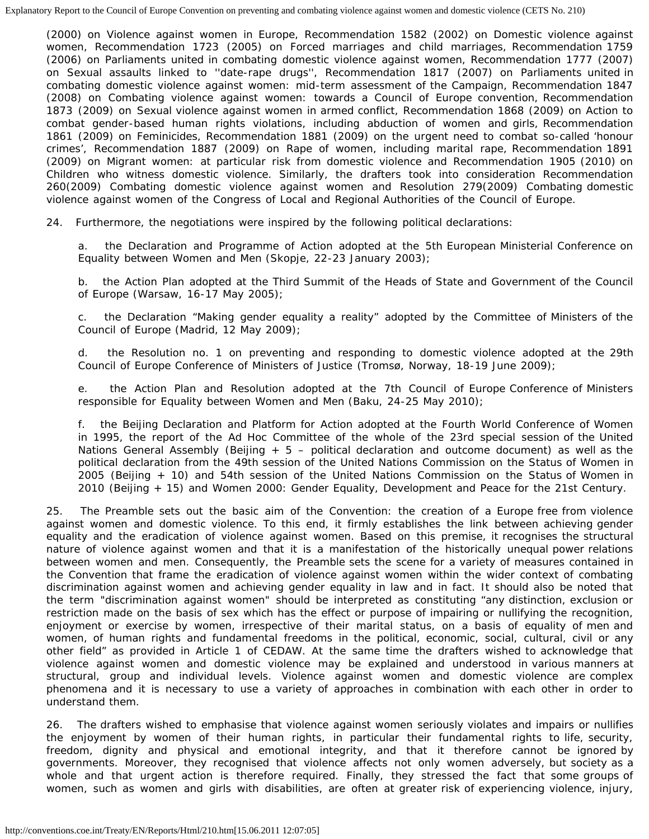(2000) on Violence against women in Europe, Recommendation 1582 (2002) on Domestic violence against women, Recommendation 1723 (2005) on Forced marriages and child marriages, Recommendation 1759 (2006) on Parliaments united in combating domestic violence against women, Recommendation 1777 (2007) on Sexual assaults linked to ''date-rape drugs'', Recommendation 1817 (2007) on Parliaments united in combating domestic violence against women: mid-term assessment of the Campaign, Recommendation 1847 (2008) on Combating violence against women: towards a Council of Europe convention, Recommendation 1873 (2009) on Sexual violence against women in armed conflict, Recommendation 1868 (2009) on Action to combat gender-based human rights violations, including abduction of women and girls, Recommendation 1861 (2009) on Feminicides, Recommendation 1881 (2009) on the urgent need to combat so-called 'honour crimes', Recommendation 1887 (2009) on Rape of women, including marital rape, Recommendation 1891 (2009) on Migrant women: at particular risk from domestic violence and Recommendation 1905 (2010) on Children who witness domestic violence. Similarly, the drafters took into consideration Recommendation 260(2009) Combating domestic violence against women and Resolution 279(2009) Combating domestic violence against women of the Congress of Local and Regional Authorities of the Council of Europe.

24. Furthermore, the negotiations were inspired by the following political declarations:

a. the Declaration and Programme of Action adopted at the 5th European Ministerial Conference on Equality between Women and Men (Skopje, 22-23 January 2003);

b. the Action Plan adopted at the Third Summit of the Heads of State and Government of the Council of Europe (Warsaw, 16-17 May 2005);

c. the Declaration "Making gender equality a reality" adopted by the Committee of Ministers of the Council of Europe (Madrid, 12 May 2009);

d. the Resolution no. 1 on preventing and responding to domestic violence adopted at the 29th Council of Europe Conference of Ministers of Justice (Tromsø, Norway, 18-19 June 2009);

e. the Action Plan and Resolution adopted at the 7th Council of Europe Conference of Ministers responsible for Equality between Women and Men (Baku, 24-25 May 2010);

f. the Beijing Declaration and Platform for Action adopted at the Fourth World Conference of Women in 1995, the report of the Ad Hoc Committee of the whole of the 23rd special session of the United Nations General Assembly (Beijing  $+ 5 -$  political declaration and outcome document) as well as the political declaration from the 49th session of the United Nations Commission on the Status of Women in 2005 (Beijing + 10) and 54th session of the United Nations Commission on the Status of Women in 2010 (Beijing + 15) and Women 2000: Gender Equality, Development and Peace for the 21st Century.

25. The Preamble sets out the basic aim of the Convention: the creation of a Europe free from violence against women and domestic violence. To this end, it firmly establishes the link between achieving gender equality and the eradication of violence against women. Based on this premise, it recognises the structural nature of violence against women and that it is a manifestation of the historically unequal power relations between women and men. Consequently, the Preamble sets the scene for a variety of measures contained in the Convention that frame the eradication of violence against women within the wider context of combating discrimination against women and achieving gender equality in law and in fact. It should also be noted that the term "discrimination against women" should be interpreted as constituting "any distinction, exclusion or restriction made on the basis of sex which has the effect or purpose of impairing or nullifying the recognition, enjoyment or exercise by women, irrespective of their marital status, on a basis of equality of men and women, of human rights and fundamental freedoms in the political, economic, social, cultural, civil or any other field" as provided in Article 1 of CEDAW. At the same time the drafters wished to acknowledge that violence against women and domestic violence may be explained and understood in various manners at structural, group and individual levels. Violence against women and domestic violence are complex phenomena and it is necessary to use a variety of approaches in combination with each other in order to understand them.

26. The drafters wished to emphasise that violence against women seriously violates and impairs or nullifies the enjoyment by women of their human rights, in particular their fundamental rights to life, security, freedom, dignity and physical and emotional integrity, and that it therefore cannot be ignored by governments. Moreover, they recognised that violence affects not only women adversely, but society as a whole and that urgent action is therefore required. Finally, they stressed the fact that some groups of women, such as women and girls with disabilities, are often at greater risk of experiencing violence, injury,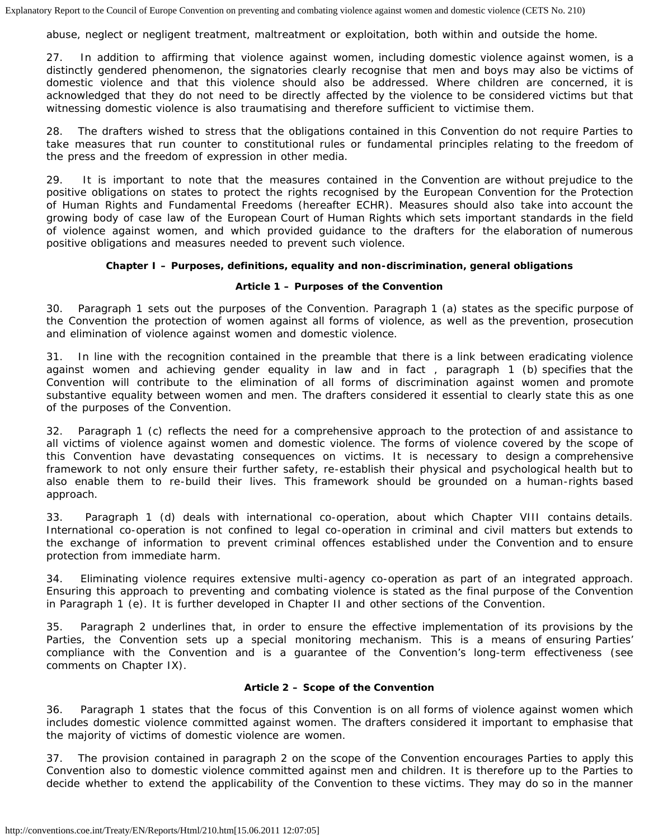abuse, neglect or negligent treatment, maltreatment or exploitation, both within and outside the home.

27. In addition to affirming that violence against women, including domestic violence against women, is a distinctly gendered phenomenon, the signatories clearly recognise that men and boys may also be victims of domestic violence and that this violence should also be addressed. Where children are concerned, it is acknowledged that they do not need to be directly affected by the violence to be considered victims but that witnessing domestic violence is also traumatising and therefore sufficient to victimise them.

28. The drafters wished to stress that the obligations contained in this Convention do not require Parties to take measures that run counter to constitutional rules or fundamental principles relating to the freedom of the press and the freedom of expression in other media.

29. It is important to note that the measures contained in the Convention are without prejudice to the positive obligations on states to protect the rights recognised by the European Convention for the Protection of Human Rights and Fundamental Freedoms (hereafter ECHR). Measures should also take into account the growing body of case law of the European Court of Human Rights which sets important standards in the field of violence against women, and which provided guidance to the drafters for the elaboration of numerous positive obligations and measures needed to prevent such violence.

## **Chapter I – Purposes, definitions, equality and non-discrimination, general obligations**

## **Article 1 – Purposes of the Convention**

30. Paragraph 1 sets out the purposes of the Convention. Paragraph 1 (a) states as the specific purpose of the Convention the protection of women against all forms of violence, as well as the prevention, prosecution and elimination of violence against women and domestic violence.

31. In line with the recognition contained in the preamble that there is a link between eradicating violence against women and achieving gender equality in law and in fact , paragraph 1 (b) specifies that the Convention will contribute to the elimination of all forms of discrimination against women and promote substantive equality between women and men. The drafters considered it essential to clearly state this as one of the purposes of the Convention.

32. Paragraph 1 (c) reflects the need for a comprehensive approach to the protection of and assistance to all victims of violence against women and domestic violence. The forms of violence covered by the scope of this Convention have devastating consequences on victims. It is necessary to design a comprehensive framework to not only ensure their further safety, re-establish their physical and psychological health but to also enable them to re-build their lives. This framework should be grounded on a human-rights based approach.

33. Paragraph 1 (d) deals with international co-operation, about which Chapter VIII contains details. International co-operation is not confined to legal co-operation in criminal and civil matters but extends to the exchange of information to prevent criminal offences established under the Convention and to ensure protection from immediate harm.

34. Eliminating violence requires extensive multi-agency co-operation as part of an integrated approach. Ensuring this approach to preventing and combating violence is stated as the final purpose of the Convention in Paragraph 1 (e). It is further developed in Chapter II and other sections of the Convention.

35. Paragraph 2 underlines that, in order to ensure the effective implementation of its provisions by the Parties, the Convention sets up a special monitoring mechanism. This is a means of ensuring Parties' compliance with the Convention and is a guarantee of the Convention's long-term effectiveness (see comments on Chapter IX).

## **Article 2 – Scope of the Convention**

36. Paragraph 1 states that the focus of this Convention is on all forms of violence against women which includes domestic violence committed against women. The drafters considered it important to emphasise that the majority of victims of domestic violence are women.

37. The provision contained in paragraph 2 on the scope of the Convention encourages Parties to apply this Convention also to domestic violence committed against men and children. It is therefore up to the Parties to decide whether to extend the applicability of the Convention to these victims. They may do so in the manner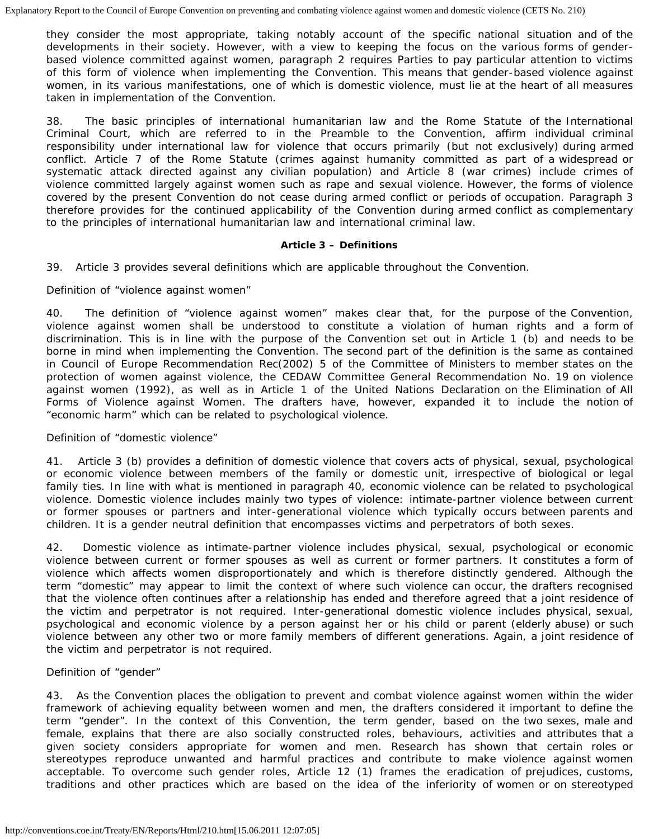they consider the most appropriate, taking notably account of the specific national situation and of the developments in their society. However, with a view to keeping the focus on the various forms of genderbased violence committed against women, paragraph 2 requires Parties to pay particular attention to victims of this form of violence when implementing the Convention. This means that gender-based violence against women, in its various manifestations, one of which is domestic violence, must lie at the heart of all measures taken in implementation of the Convention.

38. The basic principles of international humanitarian law and the Rome Statute of the International Criminal Court, which are referred to in the Preamble to the Convention, affirm individual criminal responsibility under international law for violence that occurs primarily (but not exclusively) during armed conflict. Article 7 of the Rome Statute (crimes against humanity committed as part of a widespread or systematic attack directed against any civilian population) and Article 8 (war crimes) include crimes of violence committed largely against women such as rape and sexual violence. However, the forms of violence covered by the present Convention do not cease during armed conflict or periods of occupation. Paragraph 3 therefore provides for the continued applicability of the Convention during armed conflict as complementary to the principles of international humanitarian law and international criminal law.

#### **Article 3 – Definitions**

39. Article 3 provides several definitions which are applicable throughout the Convention.

#### *Definition of "violence against women"*

40. The definition of "violence against women" makes clear that, for the purpose of the Convention, violence against women shall be understood to constitute a violation of human rights and a form of discrimination. This is in line with the purpose of the Convention set out in Article 1 (b) and needs to be borne in mind when implementing the Convention. The second part of the definition is the same as contained in Council of Europe Recommendation Rec(2002) 5 of the Committee of Ministers to member states on the protection of women against violence, the CEDAW Committee General Recommendation No. 19 on violence against women (1992), as well as in Article 1 of the United Nations Declaration on the Elimination of All Forms of Violence against Women. The drafters have, however, expanded it to include the notion of "economic harm" which can be related to psychological violence.

## *Definition of "domestic violence"*

41. Article 3 (b) provides a definition of domestic violence that covers acts of physical, sexual, psychological or economic violence between members of the family or domestic unit, irrespective of biological or legal family ties. In line with what is mentioned in paragraph 40, economic violence can be related to psychological violence. Domestic violence includes mainly two types of violence: intimate-partner violence between current or former spouses or partners and inter-generational violence which typically occurs between parents and children. It is a gender neutral definition that encompasses victims and perpetrators of both sexes.

42. Domestic violence as intimate-partner violence includes physical, sexual, psychological or economic violence between current or former spouses as well as current or former partners. It constitutes a form of violence which affects women disproportionately and which is therefore distinctly gendered. Although the term "domestic" may appear to limit the context of where such violence can occur, the drafters recognised that the violence often continues after a relationship has ended and therefore agreed that a joint residence of the victim and perpetrator is not required. Inter-generational domestic violence includes physical, sexual, psychological and economic violence by a person against her or his child or parent (elderly abuse) or such violence between any other two or more family members of different generations. Again, a joint residence of the victim and perpetrator is not required.

## *Definition of "gender"*

43. As the Convention places the obligation to prevent and combat violence against women within the wider framework of achieving equality between women and men, the drafters considered it important to define the term "gender". In the context of this Convention, the term gender, based on the two sexes, male and female, explains that there are also socially constructed roles, behaviours, activities and attributes that a given society considers appropriate for women and men. Research has shown that certain roles or stereotypes reproduce unwanted and harmful practices and contribute to make violence against women acceptable. To overcome such gender roles, Article 12 (1) frames the eradication of prejudices, customs, traditions and other practices which are based on the idea of the inferiority of women or on stereotyped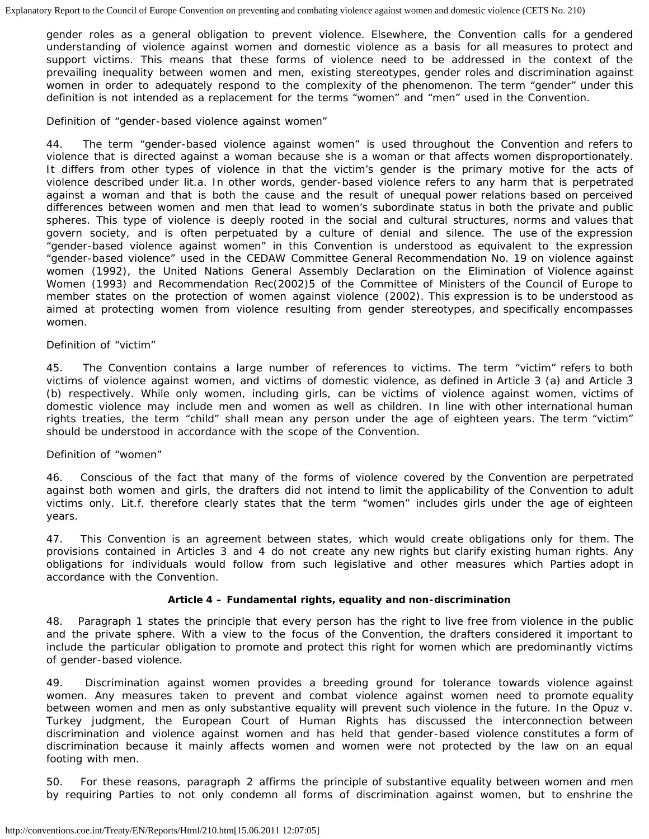gender roles as a general obligation to prevent violence. Elsewhere, the Convention calls for a gendered understanding of violence against women and domestic violence as a basis for all measures to protect and support victims. This means that these forms of violence need to be addressed in the context of the prevailing inequality between women and men, existing stereotypes, gender roles and discrimination against women in order to adequately respond to the complexity of the phenomenon. The term "gender" under this definition is not intended as a replacement for the terms "women" and "men" used in the Convention.

### *Definition of "gender-based violence against women"*

44. The term "gender-based violence against women" is used throughout the Convention and refers to violence that is directed against a woman because she is a woman or that affects women disproportionately. It differs from other types of violence in that the victim's gender is the primary motive for the acts of violence described under lit.a. In other words, gender-based violence refers to any harm that is perpetrated against a woman and that is both the cause and the result of unequal power relations based on perceived differences between women and men that lead to women's subordinate status in both the private and public spheres. This type of violence is deeply rooted in the social and cultural structures, norms and values that govern society, and is often perpetuated by a culture of denial and silence. The use of the expression "gender-based violence against women" in this Convention is understood as equivalent to the expression "gender-based violence" used in the CEDAW Committee General Recommendation No. 19 on violence against women (1992), the United Nations General Assembly Declaration on the Elimination of Violence against Women (1993) and Recommendation Rec(2002)5 of the Committee of Ministers of the Council of Europe to member states on the protection of women against violence (2002). This expression is to be understood as aimed at protecting women from violence resulting from gender stereotypes, and specifically encompasses women.

## *Definition of "victim"*

45. The Convention contains a large number of references to victims. The term "victim" refers to both victims of violence against women, and victims of domestic violence, as defined in Article 3 (a) and Article 3 (b) respectively. While only women, including girls, can be victims of violence against women, victims of domestic violence may include men and women as well as children. In line with other international human rights treaties, the term "child" shall mean any person under the age of eighteen years. The term "victim" should be understood in accordance with the scope of the Convention.

## *Definition of "women"*

46. Conscious of the fact that many of the forms of violence covered by the Convention are perpetrated against both women and girls, the drafters did not intend to limit the applicability of the Convention to adult victims only. Lit.f. therefore clearly states that the term "women" includes girls under the age of eighteen years.

47. This Convention is an agreement between states, which would create obligations only for them. The provisions contained in Articles 3 and 4 do not create any new rights but clarify existing human rights. Any obligations for individuals would follow from such legislative and other measures which Parties adopt in accordance with the Convention.

## **Article 4 – Fundamental rights, equality and non-discrimination**

48. Paragraph 1 states the principle that every person has the right to live free from violence in the public and the private sphere. With a view to the focus of the Convention, the drafters considered it important to include the particular obligation to promote and protect this right for women which are predominantly victims of gender-based violence.

49. Discrimination against women provides a breeding ground for tolerance towards violence against women. Any measures taken to prevent and combat violence against women need to promote equality between women and men as only substantive equality will prevent such violence in the future. In the Opuz v. Turkey judgment, the European Court of Human Rights has discussed the interconnection between discrimination and violence against women and has held that gender-based violence constitutes a form of discrimination because it mainly affects women and women were not protected by the law on an equal footing with men.

50. For these reasons, paragraph 2 affirms the principle of substantive equality between women and men by requiring Parties to not only condemn all forms of discrimination against women, but to enshrine the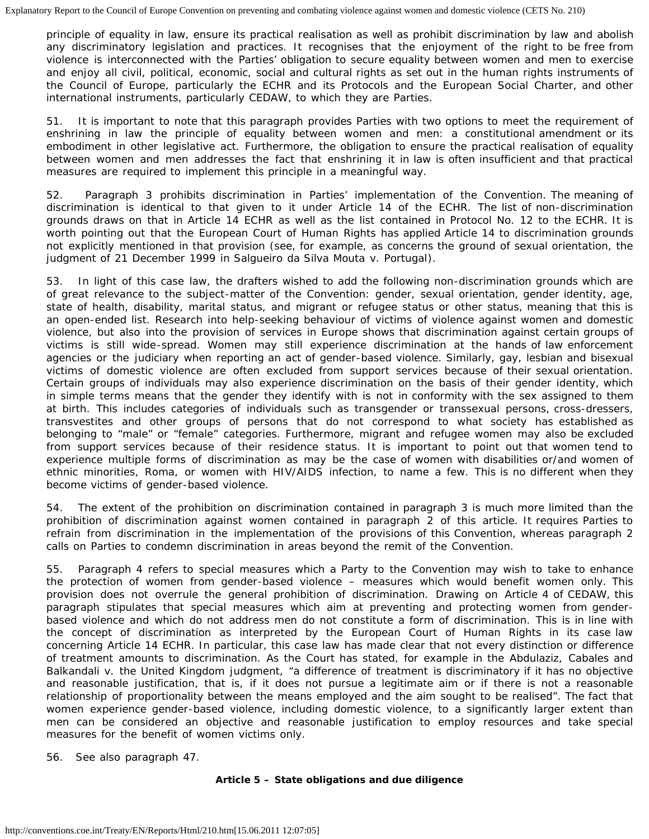principle of equality in law, ensure its practical realisation as well as prohibit discrimination by law and abolish any discriminatory legislation and practices. It recognises that the enjoyment of the right to be free from violence is interconnected with the Parties' obligation to secure equality between women and men to exercise and enjoy all civil, political, economic, social and cultural rights as set out in the human rights instruments of the Council of Europe, particularly the ECHR and its Protocols and the European Social Charter, and other international instruments, particularly CEDAW, to which they are Parties.

51. It is important to note that this paragraph provides Parties with two options to meet the requirement of enshrining in law the principle of equality between women and men: a constitutional amendment or its embodiment in other legislative act. Furthermore, the obligation to ensure the practical realisation of equality between women and men addresses the fact that enshrining it in law is often insufficient and that practical measures are required to implement this principle in a meaningful way.

52. Paragraph 3 prohibits discrimination in Parties' implementation of the Convention. The meaning of discrimination is identical to that given to it under Article 14 of the ECHR. The list of non-discrimination grounds draws on that in Article 14 ECHR as well as the list contained in Protocol No. 12 to the ECHR. It is worth pointing out that the European Court of Human Rights has applied Article 14 to discrimination grounds not explicitly mentioned in that provision (see, for example, as concerns the ground of sexual orientation, the judgment of 21 December 1999 in *Salgueiro da Silva Mouta v. Portugal*).

53. In light of this case law, the drafters wished to add the following non-discrimination grounds which are of great relevance to the subject-matter of the Convention: gender, sexual orientation, gender identity, age, state of health, disability, marital status, and migrant or refugee status or other status, meaning that this is an open-ended list. Research into help-seeking behaviour of victims of violence against women and domestic violence, but also into the provision of services in Europe shows that discrimination against certain groups of victims is still wide-spread. Women may still experience discrimination at the hands of law enforcement agencies or the judiciary when reporting an act of gender-based violence. Similarly, gay, lesbian and bisexual victims of domestic violence are often excluded from support services because of their sexual orientation. Certain groups of individuals may also experience discrimination on the basis of their gender identity, which in simple terms means that the gender they identify with is not in conformity with the sex assigned to them at birth. This includes categories of individuals such as transgender or transsexual persons, cross-dressers, transvestites and other groups of persons that do not correspond to what society has established as belonging to "male" or "female" categories. Furthermore, migrant and refugee women may also be excluded from support services because of their residence status. It is important to point out that women tend to experience multiple forms of discrimination as may be the case of women with disabilities or/and women of ethnic minorities, Roma, or women with HIV/AIDS infection, to name a few. This is no different when they become victims of gender-based violence.

54. The extent of the prohibition on discrimination contained in paragraph 3 is much more limited than the prohibition of discrimination against women contained in paragraph 2 of this article. It requires Parties to refrain from discrimination in the implementation of the provisions of this Convention, whereas paragraph 2 calls on Parties to condemn discrimination in areas beyond the remit of the Convention.

55. Paragraph 4 refers to special measures which a Party to the Convention may wish to take to enhance the protection of women from gender-based violence – measures which would benefit women only. This provision does not overrule the general prohibition of discrimination. Drawing on Article 4 of CEDAW, this paragraph stipulates that special measures which aim at preventing and protecting women from genderbased violence and which do not address men do not constitute a form of discrimination. This is in line with the concept of discrimination as interpreted by the European Court of Human Rights in its case law concerning Article 14 ECHR. In particular, this case law has made clear that not every distinction or difference of treatment amounts to discrimination. As the Court has stated, for example in the *Abdulaziz, Cabales and Balkandali v. the United Kingdom* judgment, "a difference of treatment is discriminatory if it has no objective and reasonable justification, that is, if it does not pursue a legitimate aim or if there is not a reasonable relationship of proportionality between the means employed and the aim sought to be realised". The fact that women experience gender-based violence, including domestic violence, to a significantly larger extent than men can be considered an objective and reasonable justification to employ resources and take special measures for the benefit of women victims only.

56. See also paragraph 47.

## **Article 5 – State obligations and due diligence**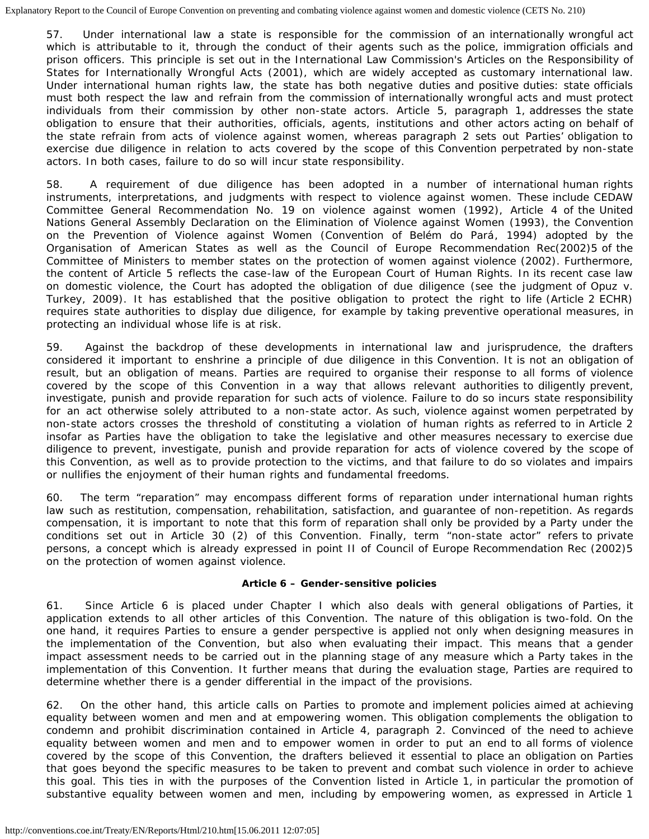57. Under international law a state is responsible for the commission of an internationally wrongful act which is attributable to it, through the conduct of their agents such as the police, immigration officials and prison officers. This principle is set out in the International Law Commission's Articles on the Responsibility of States for Internationally Wrongful Acts (2001), which are widely accepted as customary international law. Under international human rights law, the state has both negative duties and positive duties: state officials must both respect the law and refrain from the commission of internationally wrongful acts and must protect individuals from their commission by other non-state actors. Article 5, paragraph 1, addresses the state obligation to ensure that their authorities, officials, agents, institutions and other actors acting on behalf of the state refrain from acts of violence against women, whereas paragraph 2 sets out Parties' obligation to exercise due diligence in relation to acts covered by the scope of this Convention perpetrated by non-state actors. In both cases, failure to do so will incur state responsibility.

58. A requirement of due diligence has been adopted in a number of international human rights instruments, interpretations, and judgments with respect to violence against women. These include CEDAW Committee General Recommendation No. 19 on violence against women (1992), Article 4 of the United Nations General Assembly Declaration on the Elimination of Violence against Women (1993), the Convention on the Prevention of Violence against Women (Convention of *Belém do Pará*, 1994) adopted by the Organisation of American States as well as the Council of Europe Recommendation Rec(2002)5 of the Committee of Ministers to member states on the protection of women against violence (2002). Furthermore, the content of Article 5 reflects the case-law of the European Court of Human Rights. In its recent case law on domestic violence, the Court has adopted the obligation of due diligence (see the judgment of *Opuz v. Turkey*, 2009). It has established that the positive obligation to protect the right to life (Article 2 ECHR) requires state authorities to display due diligence, for example by taking preventive operational measures, in protecting an individual whose life is at risk.

59. Against the backdrop of these developments in international law and jurisprudence, the drafters considered it important to enshrine a principle of due diligence in this Convention. It is not an obligation of result, but an obligation of means. Parties are required to organise their response to all forms of violence covered by the scope of this Convention in a way that allows relevant authorities to diligently prevent, investigate, punish and provide reparation for such acts of violence. Failure to do so incurs state responsibility for an act otherwise solely attributed to a non-state actor. As such, violence against women perpetrated by non-state actors crosses the threshold of constituting a violation of human rights as referred to in Article 2 insofar as Parties have the obligation to take the legislative and other measures necessary to exercise due diligence to prevent, investigate, punish and provide reparation for acts of violence covered by the scope of this Convention, as well as to provide protection to the victims, and that failure to do so violates and impairs or nullifies the enjoyment of their human rights and fundamental freedoms.

60. The term "reparation" may encompass different forms of reparation under international human rights law such as restitution, compensation, rehabilitation, satisfaction, and guarantee of non-repetition. As regards compensation, it is important to note that this form of reparation shall only be provided by a Party under the conditions set out in Article 30 (2) of this Convention. Finally, term "non-state actor" refers to private persons, a concept which is already expressed in point II of Council of Europe Recommendation Rec (2002)5 on the protection of women against violence.

## **Article 6 – Gender-sensitive policies**

61. Since Article 6 is placed under Chapter I which also deals with general obligations of Parties, it application extends to all other articles of this Convention. The nature of this obligation is two-fold. On the one hand, it requires Parties to ensure a gender perspective is applied not only when designing measures in the implementation of the Convention, but also when evaluating their impact. This means that a gender impact assessment needs to be carried out in the planning stage of any measure which a Party takes in the implementation of this Convention. It further means that during the evaluation stage, Parties are required to determine whether there is a gender differential in the impact of the provisions.

62. On the other hand, this article calls on Parties to promote and implement policies aimed at achieving equality between women and men and at empowering women. This obligation complements the obligation to condemn and prohibit discrimination contained in Article 4, paragraph 2. Convinced of the need to achieve equality between women and men and to empower women in order to put an end to all forms of violence covered by the scope of this Convention, the drafters believed it essential to place an obligation on Parties that goes beyond the specific measures to be taken to prevent and combat such violence in order to achieve this goal. This ties in with the purposes of the Convention listed in Article 1, in particular the promotion of substantive equality between women and men, including by empowering women, as expressed in Article 1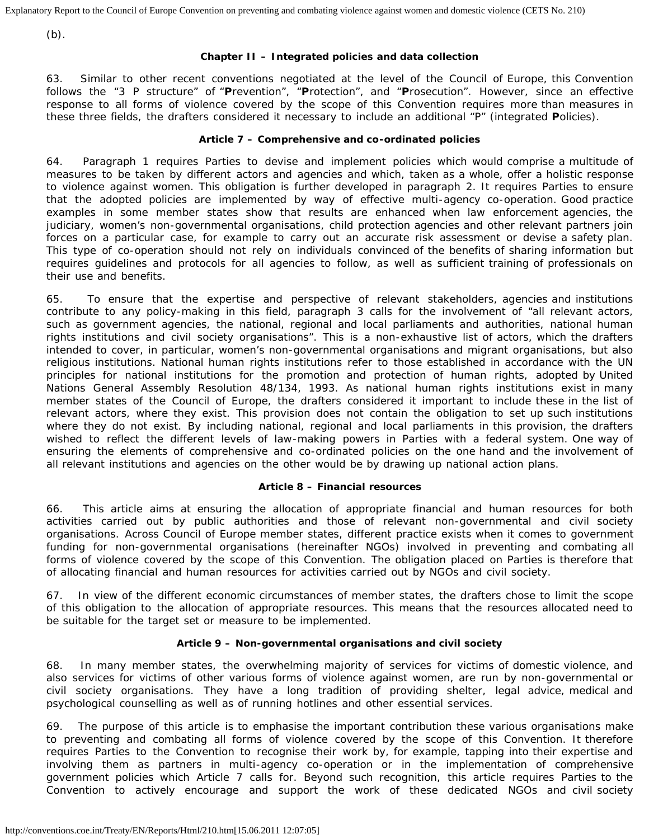(b).

## **Chapter II – Integrated policies and data collection**

63. Similar to other recent conventions negotiated at the level of the Council of Europe, this Convention follows the "3 P structure" of "**P**revention", "**P**rotection", and "**P**rosecution". However, since an effective response to all forms of violence covered by the scope of this Convention requires more than measures in these three fields, the drafters considered it necessary to include an additional "P" (integrated **P**olicies).

## **Article 7 – Comprehensive and co-ordinated policies**

64. Paragraph 1 requires Parties to devise and implement policies which would comprise a multitude of measures to be taken by different actors and agencies and which, taken as a whole, offer a holistic response to violence against women. This obligation is further developed in paragraph 2. It requires Parties to ensure that the adopted policies are implemented by way of effective multi-agency co-operation. Good practice examples in some member states show that results are enhanced when law enforcement agencies, the judiciary, women's non-governmental organisations, child protection agencies and other relevant partners join forces on a particular case, for example to carry out an accurate risk assessment or devise a safety plan. This type of co-operation should not rely on individuals convinced of the benefits of sharing information but requires guidelines and protocols for all agencies to follow, as well as sufficient training of professionals on their use and benefits.

65. To ensure that the expertise and perspective of relevant stakeholders, agencies and institutions contribute to any policy-making in this field, paragraph 3 calls for the involvement of "all relevant actors, such as government agencies, the national, regional and local parliaments and authorities, national human rights institutions and civil society organisations". This is a non-exhaustive list of actors, which the drafters intended to cover, in particular, women's non-governmental organisations and migrant organisations, but also religious institutions. National human rights institutions refer to those established in accordance with the UN principles for national institutions for the promotion and protection of human rights, adopted by United Nations General Assembly Resolution 48/134, 1993. As national human rights institutions exist in many member states of the Council of Europe, the drafters considered it important to include these in the list of relevant actors, where they exist. This provision does not contain the obligation to set up such institutions where they do not exist. By including national, regional and local parliaments in this provision, the drafters wished to reflect the different levels of law-making powers in Parties with a federal system. One way of ensuring the elements of comprehensive and co-ordinated policies on the one hand and the involvement of all relevant institutions and agencies on the other would be by drawing up national action plans.

## **Article 8 – Financial resources**

66. This article aims at ensuring the allocation of appropriate financial and human resources for both activities carried out by public authorities and those of relevant non-governmental and civil society organisations. Across Council of Europe member states, different practice exists when it comes to government funding for non-governmental organisations (hereinafter NGOs) involved in preventing and combating all forms of violence covered by the scope of this Convention. The obligation placed on Parties is therefore that of allocating financial and human resources for activities carried out by NGOs and civil society.

67. In view of the different economic circumstances of member states, the drafters chose to limit the scope of this obligation to the allocation of appropriate resources. This means that the resources allocated need to be suitable for the target set or measure to be implemented.

## **Article 9 – Non-governmental organisations and civil society**

68. In many member states, the overwhelming majority of services for victims of domestic violence, and also services for victims of other various forms of violence against women, are run by non-governmental or civil society organisations. They have a long tradition of providing shelter, legal advice, medical and psychological counselling as well as of running hotlines and other essential services.

69. The purpose of this article is to emphasise the important contribution these various organisations make to preventing and combating all forms of violence covered by the scope of this Convention. It therefore requires Parties to the Convention to recognise their work by, for example, tapping into their expertise and involving them as partners in multi-agency co-operation or in the implementation of comprehensive government policies which Article 7 calls for. Beyond such recognition, this article requires Parties to the Convention to actively encourage and support the work of these dedicated NGOs and civil society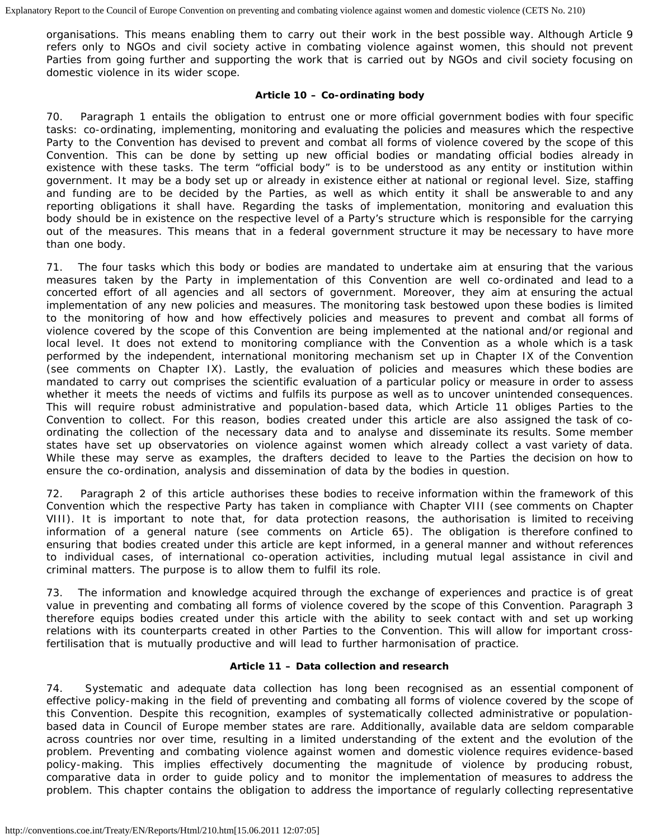organisations. This means enabling them to carry out their work in the best possible way. Although Article 9 refers only to NGOs and civil society active in combating violence against women, this should not prevent Parties from going further and supporting the work that is carried out by NGOs and civil society focusing on domestic violence in its wider scope.

## **Article 10 – Co-ordinating body**

70. Paragraph 1 entails the obligation to entrust one or more official government bodies with four specific tasks: co-ordinating, implementing, monitoring and evaluating the policies and measures which the respective Party to the Convention has devised to prevent and combat all forms of violence covered by the scope of this Convention. This can be done by setting up new official bodies or mandating official bodies already in existence with these tasks. The term "official body" is to be understood as any entity or institution within government. It may be a body set up or already in existence either at national or regional level. Size, staffing and funding are to be decided by the Parties, as well as which entity it shall be answerable to and any reporting obligations it shall have. Regarding the tasks of implementation, monitoring and evaluation this body should be in existence on the respective level of a Party's structure which is responsible for the carrying out of the measures. This means that in a federal government structure it may be necessary to have more than one body.

71. The four tasks which this body or bodies are mandated to undertake aim at ensuring that the various measures taken by the Party in implementation of this Convention are well co-ordinated and lead to a concerted effort of all agencies and all sectors of government. Moreover, they aim at ensuring the actual implementation of any new policies and measures. The monitoring task bestowed upon these bodies is limited to the monitoring of how and how effectively policies and measures to prevent and combat all forms of violence covered by the scope of this Convention are being implemented at the national and/or regional and local level. It does not extend to monitoring compliance with the Convention as a whole which is a task performed by the independent, international monitoring mechanism set up in Chapter IX of the Convention (see comments on Chapter IX). Lastly, the evaluation of policies and measures which these bodies are mandated to carry out comprises the scientific evaluation of a particular policy or measure in order to assess whether it meets the needs of victims and fulfils its purpose as well as to uncover unintended consequences. This will require robust administrative and population-based data, which Article 11 obliges Parties to the Convention to collect. For this reason, bodies created under this article are also assigned the task of coordinating the collection of the necessary data and to analyse and disseminate its results. Some member states have set up observatories on violence against women which already collect a vast variety of data. While these may serve as examples, the drafters decided to leave to the Parties the decision on how to ensure the co-ordination, analysis and dissemination of data by the bodies in question.

72. Paragraph 2 of this article authorises these bodies to receive information within the framework of this Convention which the respective Party has taken in compliance with Chapter VIII (see comments on Chapter VIII). It is important to note that, for data protection reasons, the authorisation is limited to receiving information of a general nature (see comments on Article 65). The obligation is therefore confined to ensuring that bodies created under this article are kept informed, in a general manner and without references to individual cases, of international co-operation activities, including mutual legal assistance in civil and criminal matters. The purpose is to allow them to fulfil its role.

73. The information and knowledge acquired through the exchange of experiences and practice is of great value in preventing and combating all forms of violence covered by the scope of this Convention. Paragraph 3 therefore equips bodies created under this article with the ability to seek contact with and set up working relations with its counterparts created in other Parties to the Convention. This will allow for important crossfertilisation that is mutually productive and will lead to further harmonisation of practice.

## **Article 11 – Data collection and research**

74. Systematic and adequate data collection has long been recognised as an essential component of effective policy-making in the field of preventing and combating all forms of violence covered by the scope of this Convention. Despite this recognition, examples of systematically collected administrative or populationbased data in Council of Europe member states are rare. Additionally, available data are seldom comparable across countries nor over time, resulting in a limited understanding of the extent and the evolution of the problem. Preventing and combating violence against women and domestic violence requires evidence-based policy-making. This implies effectively documenting the magnitude of violence by producing robust, comparative data in order to guide policy and to monitor the implementation of measures to address the problem. This chapter contains the obligation to address the importance of regularly collecting representative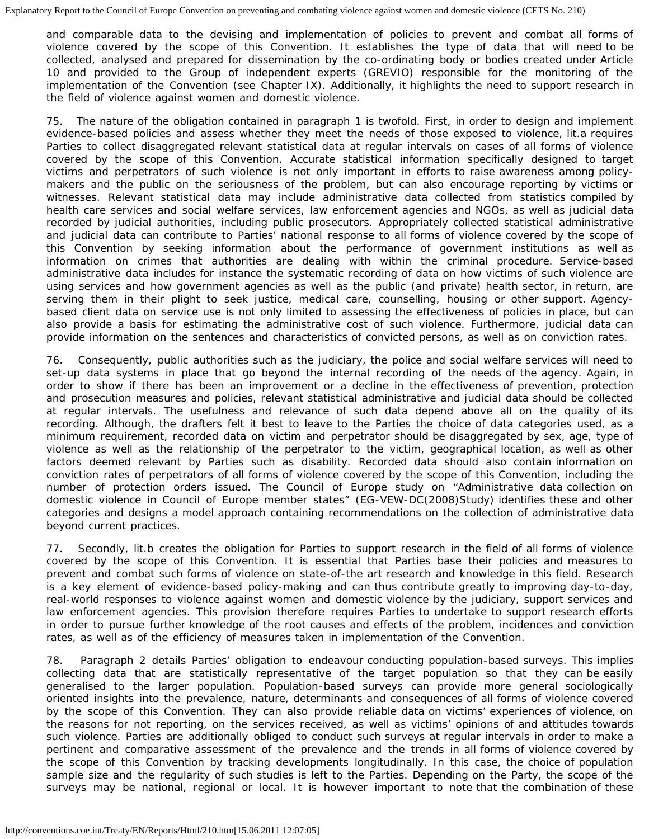and comparable data to the devising and implementation of policies to prevent and combat all forms of violence covered by the scope of this Convention. It establishes the type of data that will need to be collected, analysed and prepared for dissemination by the co-ordinating body or bodies created under Article 10 and provided to the Group of independent experts (GREVIO) responsible for the monitoring of the implementation of the Convention (see Chapter IX). Additionally, it highlights the need to support research in the field of violence against women and domestic violence.

75. The nature of the obligation contained in paragraph 1 is twofold. First, in order to design and implement evidence-based policies and assess whether they meet the needs of those exposed to violence, lit.a requires Parties to collect disaggregated relevant statistical data at regular intervals on cases of all forms of violence covered by the scope of this Convention. Accurate statistical information specifically designed to target victims and perpetrators of such violence is not only important in efforts to raise awareness among policymakers and the public on the seriousness of the problem, but can also encourage reporting by victims or witnesses. Relevant statistical data may include administrative data collected from statistics compiled by health care services and social welfare services, law enforcement agencies and NGOs, as well as judicial data recorded by judicial authorities, including public prosecutors. Appropriately collected statistical administrative and judicial data can contribute to Parties' national response to all forms of violence covered by the scope of this Convention by seeking information about the performance of government institutions as well as information on crimes that authorities are dealing with within the criminal procedure. Service-based administrative data includes for instance the systematic recording of data on how victims of such violence are using services and how government agencies as well as the public (and private) health sector, in return, are serving them in their plight to seek justice, medical care, counselling, housing or other support. Agencybased client data on service use is not only limited to assessing the effectiveness of policies in place, but can also provide a basis for estimating the administrative cost of such violence. Furthermore, judicial data can provide information on the sentences and characteristics of convicted persons, as well as on conviction rates.

76. Consequently, public authorities such as the judiciary, the police and social welfare services will need to set-up data systems in place that go beyond the internal recording of the needs of the agency. Again, in order to show if there has been an improvement or a decline in the effectiveness of prevention, protection and prosecution measures and policies, relevant statistical administrative and judicial data should be collected at regular intervals. The usefulness and relevance of such data depend above all on the quality of its recording. Although, the drafters felt it best to leave to the Parties the choice of data categories used, as a minimum requirement, recorded data on victim and perpetrator should be disaggregated by sex, age, type of violence as well as the relationship of the perpetrator to the victim, geographical location, as well as other factors deemed relevant by Parties such as disability. Recorded data should also contain information on conviction rates of perpetrators of all forms of violence covered by the scope of this Convention, including the number of protection orders issued. The Council of Europe study on "Administrative data collection on domestic violence in Council of Europe member states" (EG-VEW-DC(2008)Study) identifies these and other categories and designs a model approach containing recommendations on the collection of administrative data beyond current practices.

77. Secondly, lit.b creates the obligation for Parties to support research in the field of all forms of violence covered by the scope of this Convention. It is essential that Parties base their policies and measures to prevent and combat such forms of violence on state-of-the art research and knowledge in this field. Research is a key element of evidence-based policy-making and can thus contribute greatly to improving day-to-day, real-world responses to violence against women and domestic violence by the judiciary, support services and law enforcement agencies. This provision therefore requires Parties to undertake to support research efforts in order to pursue further knowledge of the root causes and effects of the problem, incidences and conviction rates, as well as of the efficiency of measures taken in implementation of the Convention.

78. Paragraph 2 details Parties' obligation to endeavour conducting population-based surveys. This implies collecting data that are statistically representative of the target population so that they can be easily generalised to the larger population. Population-based surveys can provide more general sociologically oriented insights into the prevalence, nature, determinants and consequences of all forms of violence covered by the scope of this Convention. They can also provide reliable data on victims' experiences of violence, on the reasons for not reporting, on the services received, as well as victims' opinions of and attitudes towards such violence. Parties are additionally obliged to conduct such surveys at regular intervals in order to make a pertinent and comparative assessment of the prevalence and the trends in all forms of violence covered by the scope of this Convention by tracking developments longitudinally. In this case, the choice of population sample size and the regularity of such studies is left to the Parties. Depending on the Party, the scope of the surveys may be national, regional or local. It is however important to note that the combination of these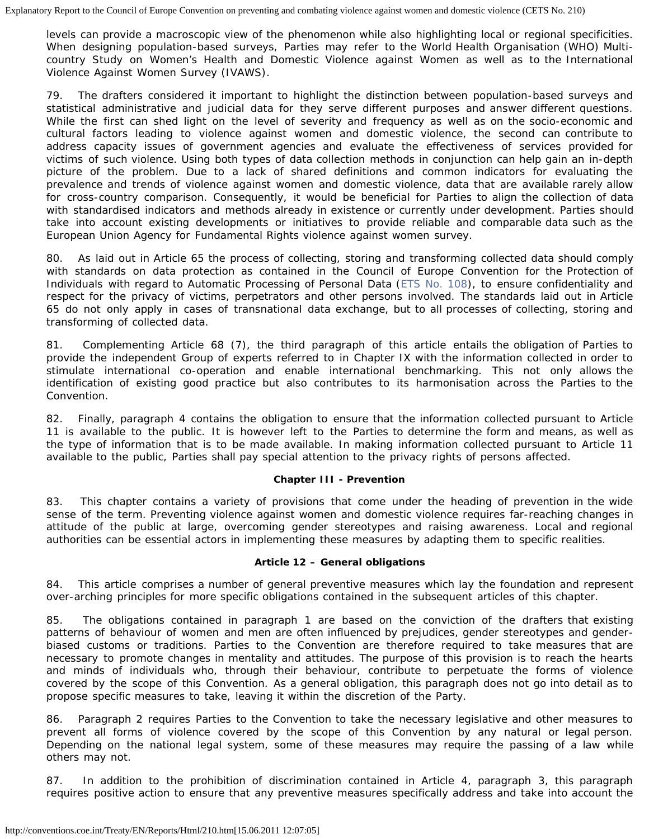levels can provide a macroscopic view of the phenomenon while also highlighting local or regional specificities. When designing population-based surveys, Parties may refer to the World Health Organisation (WHO) Multicountry Study on Women's Health and Domestic Violence against Women as well as to the International Violence Against Women Survey (IVAWS).

79. The drafters considered it important to highlight the distinction between population-based surveys and statistical administrative and judicial data for they serve different purposes and answer different questions. While the first can shed light on the level of severity and frequency as well as on the socio-economic and cultural factors leading to violence against women and domestic violence, the second can contribute to address capacity issues of government agencies and evaluate the effectiveness of services provided for victims of such violence. Using both types of data collection methods in conjunction can help gain an in-depth picture of the problem. Due to a lack of shared definitions and common indicators for evaluating the prevalence and trends of violence against women and domestic violence, data that are available rarely allow for cross-country comparison. Consequently, it would be beneficial for Parties to align the collection of data with standardised indicators and methods already in existence or currently under development. Parties should take into account existing developments or initiatives to provide reliable and comparable data such as the European Union Agency for Fundamental Rights violence against women survey.

80. As laid out in Article 65 the process of collecting, storing and transforming collected data should comply with standards on data protection as contained in the Council of Europe Convention for the Protection of Individuals with regard to Automatic Processing of Personal Data [\(ETS No. 108](http://conventions.coe.int/Treaty/EN/Treaties/HTML/108.htm)), to ensure confidentiality and respect for the privacy of victims, perpetrators and other persons involved. The standards laid out in Article 65 do not only apply in cases of transnational data exchange, but to all processes of collecting, storing and transforming of collected data.

81. Complementing Article 68 (7), the third paragraph of this article entails the obligation of Parties to provide the independent Group of experts referred to in Chapter IX with the information collected in order to stimulate international co-operation and enable international benchmarking. This not only allows the identification of existing good practice but also contributes to its harmonisation across the Parties to the Convention.

82. Finally, paragraph 4 contains the obligation to ensure that the information collected pursuant to Article 11 is available to the public. It is however left to the Parties to determine the form and means, as well as the type of information that is to be made available. In making information collected pursuant to Article 11 available to the public, Parties shall pay special attention to the privacy rights of persons affected.

## **Chapter III - Prevention**

83. This chapter contains a variety of provisions that come under the heading of prevention in the wide sense of the term. Preventing violence against women and domestic violence requires far-reaching changes in attitude of the public at large, overcoming gender stereotypes and raising awareness. Local and regional authorities can be essential actors in implementing these measures by adapting them to specific realities.

## **Article 12 – General obligations**

84. This article comprises a number of general preventive measures which lay the foundation and represent over-arching principles for more specific obligations contained in the subsequent articles of this chapter.

85. The obligations contained in paragraph 1 are based on the conviction of the drafters that existing patterns of behaviour of women and men are often influenced by prejudices, gender stereotypes and genderbiased customs or traditions. Parties to the Convention are therefore required to take measures that are necessary to promote changes in mentality and attitudes. The purpose of this provision is to reach the hearts and minds of individuals who, through their behaviour, contribute to perpetuate the forms of violence covered by the scope of this Convention. As a general obligation, this paragraph does not go into detail as to propose specific measures to take, leaving it within the discretion of the Party.

86. Paragraph 2 requires Parties to the Convention to take the necessary legislative and other measures to prevent all forms of violence covered by the scope of this Convention by any natural or legal person. Depending on the national legal system, some of these measures may require the passing of a law while others may not.

87. In addition to the prohibition of discrimination contained in Article 4, paragraph 3, this paragraph requires positive action to ensure that any preventive measures specifically address and take into account the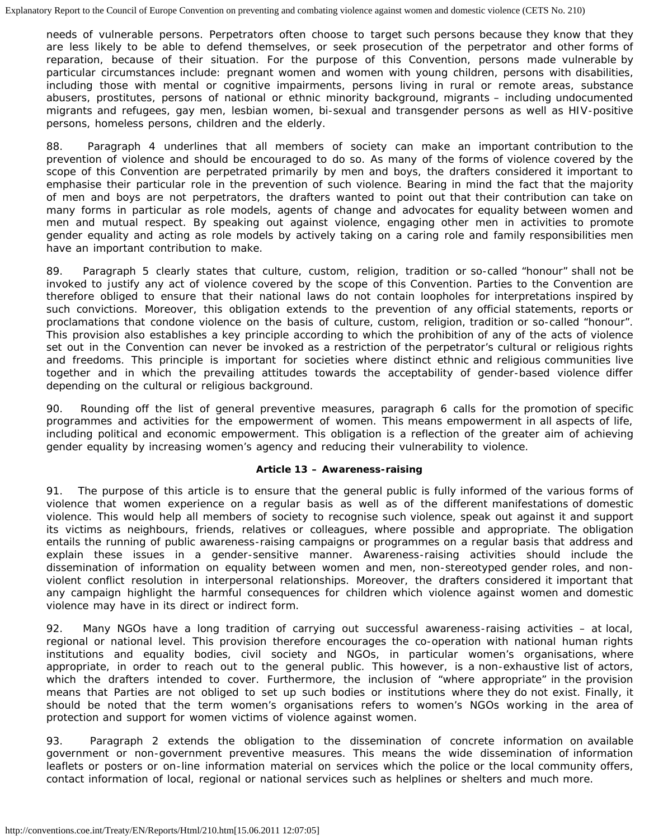needs of vulnerable persons. Perpetrators often choose to target such persons because they know that they are less likely to be able to defend themselves, or seek prosecution of the perpetrator and other forms of reparation, because of their situation. For the purpose of this Convention, persons made vulnerable by particular circumstances include: pregnant women and women with young children, persons with disabilities, including those with mental or cognitive impairments, persons living in rural or remote areas, substance abusers, prostitutes, persons of national or ethnic minority background, migrants – including undocumented migrants and refugees, gay men, lesbian women, bi-sexual and transgender persons as well as HIV-positive persons, homeless persons, children and the elderly.

88. Paragraph 4 underlines that all members of society can make an important contribution to the prevention of violence and should be encouraged to do so. As many of the forms of violence covered by the scope of this Convention are perpetrated primarily by men and boys, the drafters considered it important to emphasise their particular role in the prevention of such violence. Bearing in mind the fact that the majority of men and boys are not perpetrators, the drafters wanted to point out that their contribution can take on many forms in particular as role models, agents of change and advocates for equality between women and men and mutual respect. By speaking out against violence, engaging other men in activities to promote gender equality and acting as role models by actively taking on a caring role and family responsibilities men have an important contribution to make.

89. Paragraph 5 clearly states that culture, custom, religion, tradition or so-called "honour" shall not be invoked to justify any act of violence covered by the scope of this Convention. Parties to the Convention are therefore obliged to ensure that their national laws do not contain loopholes for interpretations inspired by such convictions. Moreover, this obligation extends to the prevention of any official statements, reports or proclamations that condone violence on the basis of culture, custom, religion, tradition or so-called "honour". This provision also establishes a key principle according to which the prohibition of any of the acts of violence set out in the Convention can never be invoked as a restriction of the perpetrator's cultural or religious rights and freedoms. This principle is important for societies where distinct ethnic and religious communities live together and in which the prevailing attitudes towards the acceptability of gender-based violence differ depending on the cultural or religious background.

90. Rounding off the list of general preventive measures, paragraph 6 calls for the promotion of specific programmes and activities for the empowerment of women. This means empowerment in all aspects of life, including political and economic empowerment. This obligation is a reflection of the greater aim of achieving gender equality by increasing women's agency and reducing their vulnerability to violence.

## **Article 13 – Awareness-raising**

91. The purpose of this article is to ensure that the general public is fully informed of the various forms of violence that women experience on a regular basis as well as of the different manifestations of domestic violence. This would help all members of society to recognise such violence, speak out against it and support its victims as neighbours, friends, relatives or colleagues, where possible and appropriate. The obligation entails the running of public awareness-raising campaigns or programmes on a regular basis that address and explain these issues in a gender-sensitive manner. Awareness-raising activities should include the dissemination of information on equality between women and men, non-stereotyped gender roles, and nonviolent conflict resolution in interpersonal relationships. Moreover, the drafters considered it important that any campaign highlight the harmful consequences for children which violence against women and domestic violence may have in its direct or indirect form.

92. Many NGOs have a long tradition of carrying out successful awareness-raising activities – at local, regional or national level. This provision therefore encourages the co-operation with national human rights institutions and equality bodies, civil society and NGOs, in particular women's organisations, where appropriate, in order to reach out to the general public. This however, is a non-exhaustive list of actors, which the drafters intended to cover. Furthermore, the inclusion of "where appropriate" in the provision means that Parties are not obliged to set up such bodies or institutions where they do not exist. Finally, it should be noted that the term women's organisations refers to women's NGOs working in the area of protection and support for women victims of violence against women.

93. Paragraph 2 extends the obligation to the dissemination of concrete information on available government or non-government preventive measures. This means the wide dissemination of information leaflets or posters or on-line information material on services which the police or the local community offers, contact information of local, regional or national services such as helplines or shelters and much more.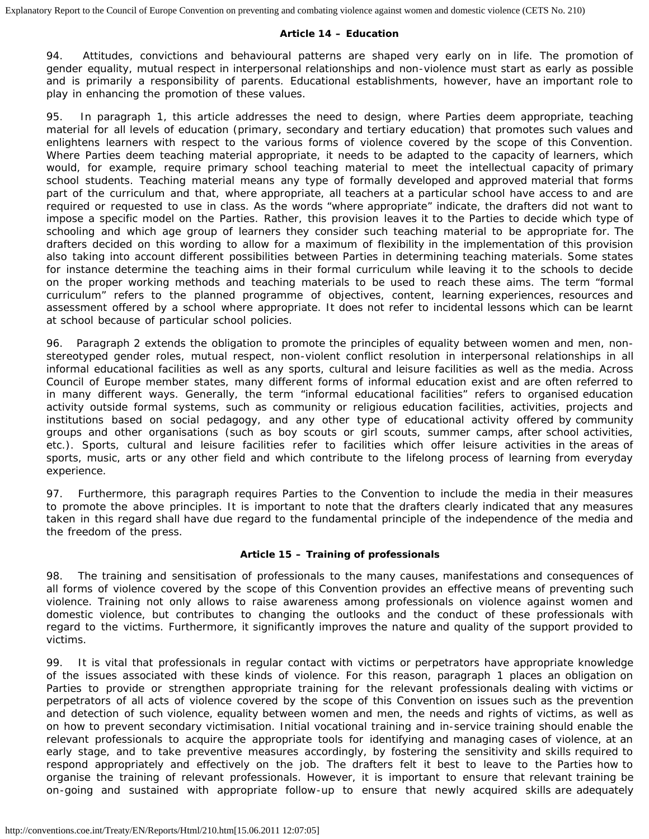## **Article 14 – Education**

94. Attitudes, convictions and behavioural patterns are shaped very early on in life. The promotion of gender equality, mutual respect in interpersonal relationships and non-violence must start as early as possible and is primarily a responsibility of parents. Educational establishments, however, have an important role to play in enhancing the promotion of these values.

95. In paragraph 1, this article addresses the need to design, where Parties deem appropriate, teaching material for all levels of education (primary, secondary and tertiary education) that promotes such values and enlightens learners with respect to the various forms of violence covered by the scope of this Convention. Where Parties deem teaching material appropriate, it needs to be adapted to the capacity of learners, which would, for example, require primary school teaching material to meet the intellectual capacity of primary school students. Teaching material means any type of formally developed and approved material that forms part of the curriculum and that, where appropriate, all teachers at a particular school have access to and are required or requested to use in class. As the words "where appropriate" indicate, the drafters did not want to impose a specific model on the Parties. Rather, this provision leaves it to the Parties to decide which type of schooling and which age group of learners they consider such teaching material to be appropriate for. The drafters decided on this wording to allow for a maximum of flexibility in the implementation of this provision also taking into account different possibilities between Parties in determining teaching materials. Some states for instance determine the teaching aims in their formal curriculum while leaving it to the schools to decide on the proper working methods and teaching materials to be used to reach these aims. The term "formal curriculum" refers to the planned programme of objectives, content, learning experiences, resources and assessment offered by a school where appropriate. It does not refer to incidental lessons which can be learnt at school because of particular school policies.

96. Paragraph 2 extends the obligation to promote the principles of equality between women and men, nonstereotyped gender roles, mutual respect, non-violent conflict resolution in interpersonal relationships in all informal educational facilities as well as any sports, cultural and leisure facilities as well as the media. Across Council of Europe member states, many different forms of informal education exist and are often referred to in many different ways. Generally, the term "informal educational facilities" refers to organised education activity outside formal systems, such as community or religious education facilities, activities, projects and institutions based on social pedagogy, and any other type of educational activity offered by community groups and other organisations (such as boy scouts or girl scouts, summer camps, after school activities, etc.). Sports, cultural and leisure facilities refer to facilities which offer leisure activities in the areas of sports, music, arts or any other field and which contribute to the lifelong process of learning from everyday experience.

97. Furthermore, this paragraph requires Parties to the Convention to include the media in their measures to promote the above principles. It is important to note that the drafters clearly indicated that any measures taken in this regard shall have due regard to the fundamental principle of the independence of the media and the freedom of the press.

## **Article 15 – Training of professionals**

98. The training and sensitisation of professionals to the many causes, manifestations and consequences of all forms of violence covered by the scope of this Convention provides an effective means of preventing such violence. Training not only allows to raise awareness among professionals on violence against women and domestic violence, but contributes to changing the outlooks and the conduct of these professionals with regard to the victims. Furthermore, it significantly improves the nature and quality of the support provided to victims.

99. It is vital that professionals in regular contact with victims or perpetrators have appropriate knowledge of the issues associated with these kinds of violence. For this reason, paragraph 1 places an obligation on Parties to provide or strengthen appropriate training for the relevant professionals dealing with victims or perpetrators of all acts of violence covered by the scope of this Convention on issues such as the prevention and detection of such violence, equality between women and men, the needs and rights of victims, as well as on how to prevent secondary victimisation. Initial vocational training and in-service training should enable the relevant professionals to acquire the appropriate tools for identifying and managing cases of violence, at an early stage, and to take preventive measures accordingly, by fostering the sensitivity and skills required to respond appropriately and effectively on the job. The drafters felt it best to leave to the Parties how to organise the training of relevant professionals. However, it is important to ensure that relevant training be on-going and sustained with appropriate follow-up to ensure that newly acquired skills are adequately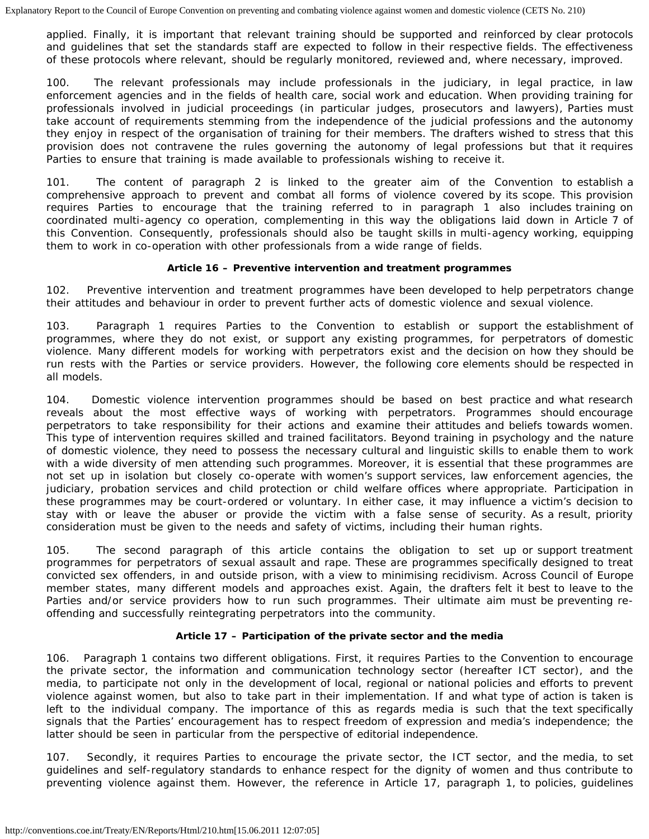applied. Finally, it is important that relevant training should be supported and reinforced by clear protocols and guidelines that set the standards staff are expected to follow in their respective fields. The effectiveness of these protocols where relevant, should be regularly monitored, reviewed and, where necessary, improved.

100. The relevant professionals may include professionals in the judiciary, in legal practice, in law enforcement agencies and in the fields of health care, social work and education. When providing training for professionals involved in judicial proceedings (in particular judges, prosecutors and lawyers), Parties must take account of requirements stemming from the independence of the judicial professions and the autonomy they enjoy in respect of the organisation of training for their members. The drafters wished to stress that this provision does not contravene the rules governing the autonomy of legal professions but that it requires Parties to ensure that training is made available to professionals wishing to receive it.

101. The content of paragraph 2 is linked to the greater aim of the Convention to establish a comprehensive approach to prevent and combat all forms of violence covered by its scope. This provision requires Parties to encourage that the training referred to in paragraph 1 also includes training on coordinated multi-agency co operation, complementing in this way the obligations laid down in Article 7 of this Convention. Consequently, professionals should also be taught skills in multi-agency working, equipping them to work in co-operation with other professionals from a wide range of fields.

## **Article 16 – Preventive intervention and treatment programmes**

102. Preventive intervention and treatment programmes have been developed to help perpetrators change their attitudes and behaviour in order to prevent further acts of domestic violence and sexual violence.

103. Paragraph 1 requires Parties to the Convention to establish or support the establishment of programmes, where they do not exist, or support any existing programmes, for perpetrators of domestic violence. Many different models for working with perpetrators exist and the decision on how they should be run rests with the Parties or service providers. However, the following core elements should be respected in all models.

104. Domestic violence intervention programmes should be based on best practice and what research reveals about the most effective ways of working with perpetrators. Programmes should encourage perpetrators to take responsibility for their actions and examine their attitudes and beliefs towards women. This type of intervention requires skilled and trained facilitators. Beyond training in psychology and the nature of domestic violence, they need to possess the necessary cultural and linguistic skills to enable them to work with a wide diversity of men attending such programmes. Moreover, it is essential that these programmes are not set up in isolation but closely co-operate with women's support services, law enforcement agencies, the judiciary, probation services and child protection or child welfare offices where appropriate. Participation in these programmes may be court-ordered or voluntary. In either case, it may influence a victim's decision to stay with or leave the abuser or provide the victim with a false sense of security. As a result, priority consideration must be given to the needs and safety of victims, including their human rights.

105. The second paragraph of this article contains the obligation to set up or support treatment programmes for perpetrators of sexual assault and rape. These are programmes specifically designed to treat convicted sex offenders, in and outside prison, with a view to minimising recidivism. Across Council of Europe member states, many different models and approaches exist. Again, the drafters felt it best to leave to the Parties and/or service providers how to run such programmes. Their ultimate aim must be preventing reoffending and successfully reintegrating perpetrators into the community.

## **Article 17 – Participation of the private sector and the media**

106. Paragraph 1 contains two different obligations. First, it requires Parties to the Convention to encourage the private sector, the information and communication technology sector (hereafter ICT sector), and the media, to participate not only in the development of local, regional or national policies and efforts to prevent violence against women, but also to take part in their implementation. If and what type of action is taken is left to the individual company. The importance of this as regards media is such that the text specifically signals that the Parties' encouragement has to respect freedom of expression and media's independence; the latter should be seen in particular from the perspective of editorial independence.

107. Secondly, it requires Parties to encourage the private sector, the ICT sector, and the media, to set guidelines and self-regulatory standards to enhance respect for the dignity of women and thus contribute to preventing violence against them. However, the reference in Article 17, paragraph 1, to policies, guidelines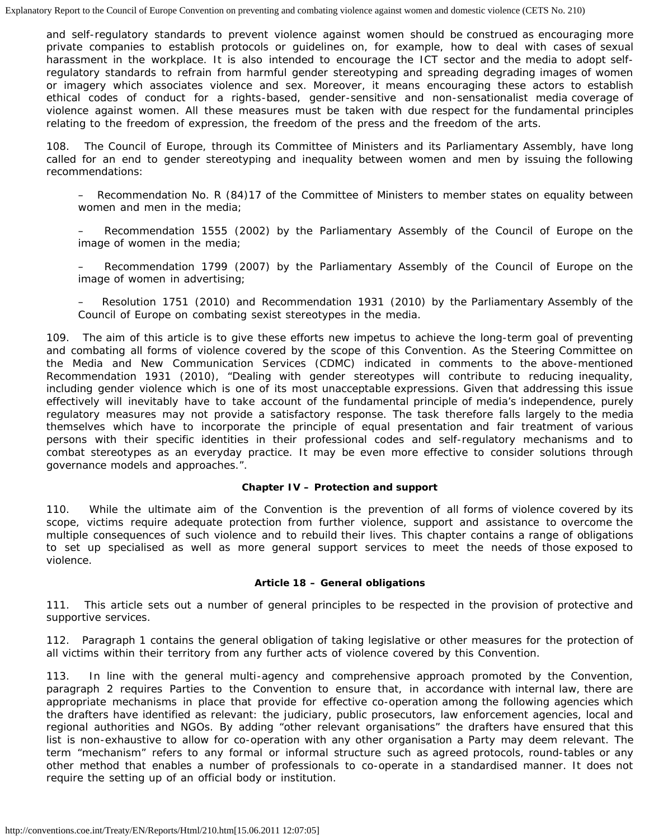and self-regulatory standards to prevent violence against women should be construed as encouraging more private companies to establish protocols or guidelines on, for example, how to deal with cases of sexual harassment in the workplace. It is also intended to encourage the ICT sector and the media to adopt selfregulatory standards to refrain from harmful gender stereotyping and spreading degrading images of women or imagery which associates violence and sex. Moreover, it means encouraging these actors to establish ethical codes of conduct for a rights-based, gender-sensitive and non-sensationalist media coverage of violence against women. All these measures must be taken with due respect for the fundamental principles relating to the freedom of expression, the freedom of the press and the freedom of the arts.

108. The Council of Europe, through its Committee of Ministers and its Parliamentary Assembly, have long called for an end to gender stereotyping and inequality between women and men by issuing the following recommendations:

– Recommendation No. R (84)17 of the Committee of Ministers to member states on equality between women and men in the media;

– Recommendation 1555 (2002) by the Parliamentary Assembly of the Council of Europe on the image of women in the media;

– Recommendation 1799 (2007) by the Parliamentary Assembly of the Council of Europe on the image of women in advertising;

– Resolution 1751 (2010) and Recommendation 1931 (2010) by the Parliamentary Assembly of the Council of Europe on combating sexist stereotypes in the media.

109. The aim of this article is to give these efforts new impetus to achieve the long-term goal of preventing and combating all forms of violence covered by the scope of this Convention. As the Steering Committee on the Media and New Communication Services (CDMC) indicated in comments to the above-mentioned Recommendation 1931 (2010), "Dealing with gender stereotypes will contribute to reducing inequality, including gender violence which is one of its most unacceptable expressions. Given that addressing this issue effectively will inevitably have to take account of the fundamental principle of media's independence, purely regulatory measures may not provide a satisfactory response. The task therefore falls largely to the media themselves which have to incorporate the principle of equal presentation and fair treatment of various persons with their specific identities in their professional codes and self-regulatory mechanisms and to combat stereotypes as an everyday practice. It may be even more effective to consider solutions through governance models and approaches.".

## **Chapter IV – Protection and support**

110. While the ultimate aim of the Convention is the prevention of all forms of violence covered by its scope, victims require adequate protection from further violence, support and assistance to overcome the multiple consequences of such violence and to rebuild their lives. This chapter contains a range of obligations to set up specialised as well as more general support services to meet the needs of those exposed to violence.

## **Article 18 – General obligations**

111. This article sets out a number of general principles to be respected in the provision of protective and supportive services.

112. Paragraph 1 contains the general obligation of taking legislative or other measures for the protection of all victims within their territory from any further acts of violence covered by this Convention.

113. In line with the general multi-agency and comprehensive approach promoted by the Convention, paragraph 2 requires Parties to the Convention to ensure that, in accordance with internal law, there are appropriate mechanisms in place that provide for effective co-operation among the following agencies which the drafters have identified as relevant: the judiciary, public prosecutors, law enforcement agencies, local and regional authorities and NGOs. By adding "other relevant organisations" the drafters have ensured that this list is non-exhaustive to allow for co-operation with any other organisation a Party may deem relevant. The term "mechanism" refers to any formal or informal structure such as agreed protocols, round-tables or any other method that enables a number of professionals to co-operate in a standardised manner. It does not require the setting up of an official body or institution.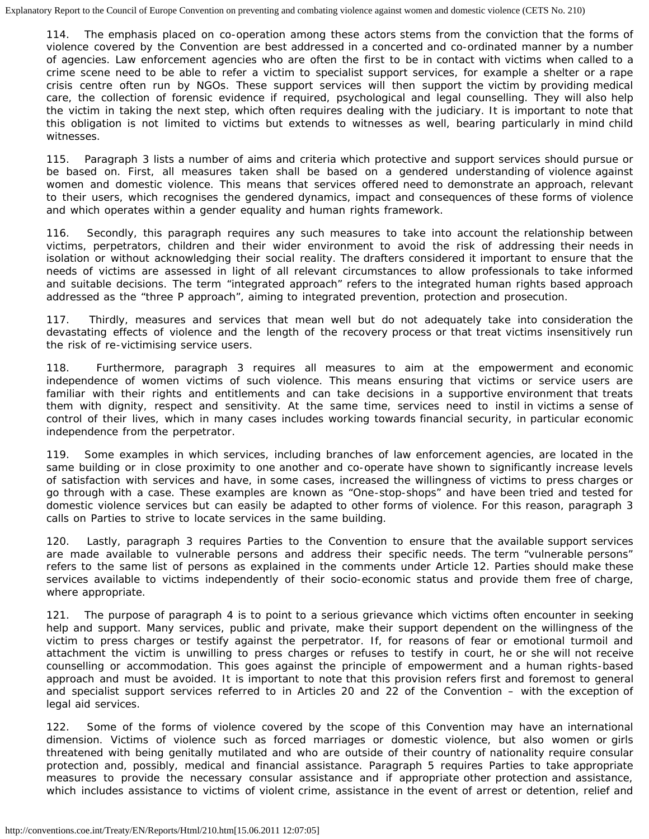114. The emphasis placed on co-operation among these actors stems from the conviction that the forms of violence covered by the Convention are best addressed in a concerted and co-ordinated manner by a number of agencies. Law enforcement agencies who are often the first to be in contact with victims when called to a crime scene need to be able to refer a victim to specialist support services, for example a shelter or a rape crisis centre often run by NGOs. These support services will then support the victim by providing medical care, the collection of forensic evidence if required, psychological and legal counselling. They will also help the victim in taking the next step, which often requires dealing with the judiciary. It is important to note that this obligation is not limited to victims but extends to witnesses as well, bearing particularly in mind child witnesses.

115. Paragraph 3 lists a number of aims and criteria which protective and support services should pursue or be based on. First, all measures taken shall be based on a gendered understanding of violence against women and domestic violence. This means that services offered need to demonstrate an approach, relevant to their users, which recognises the gendered dynamics, impact and consequences of these forms of violence and which operates within a gender equality and human rights framework.

116. Secondly, this paragraph requires any such measures to take into account the relationship between victims, perpetrators, children and their wider environment to avoid the risk of addressing their needs in isolation or without acknowledging their social reality. The drafters considered it important to ensure that the needs of victims are assessed in light of all relevant circumstances to allow professionals to take informed and suitable decisions. The term "integrated approach" refers to the integrated human rights based approach addressed as the "three P approach", aiming to integrated prevention, protection and prosecution.

117. Thirdly, measures and services that mean well but do not adequately take into consideration the devastating effects of violence and the length of the recovery process or that treat victims insensitively run the risk of re-victimising service users.

118. Furthermore, paragraph 3 requires all measures to aim at the empowerment and economic independence of women victims of such violence. This means ensuring that victims or service users are familiar with their rights and entitlements and can take decisions in a supportive environment that treats them with dignity, respect and sensitivity. At the same time, services need to instil in victims a sense of control of their lives, which in many cases includes working towards financial security, in particular economic independence from the perpetrator.

119. Some examples in which services, including branches of law enforcement agencies, are located in the same building or in close proximity to one another and co-operate have shown to significantly increase levels of satisfaction with services and have, in some cases, increased the willingness of victims to press charges or go through with a case. These examples are known as "One-stop-shops" and have been tried and tested for domestic violence services but can easily be adapted to other forms of violence. For this reason, paragraph 3 calls on Parties to strive to locate services in the same building.

120. Lastly, paragraph 3 requires Parties to the Convention to ensure that the available support services are made available to vulnerable persons and address their specific needs. The term "vulnerable persons" refers to the same list of persons as explained in the comments under Article 12. Parties should make these services available to victims independently of their socio-economic status and provide them free of charge, where appropriate.

121. The purpose of paragraph 4 is to point to a serious grievance which victims often encounter in seeking help and support. Many services, public and private, make their support dependent on the willingness of the victim to press charges or testify against the perpetrator. If, for reasons of fear or emotional turmoil and attachment the victim is unwilling to press charges or refuses to testify in court, he or she will not receive counselling or accommodation. This goes against the principle of empowerment and a human rights-based approach and must be avoided. It is important to note that this provision refers first and foremost to general and specialist support services referred to in Articles 20 and 22 of the Convention – with the exception of legal aid services.

122. Some of the forms of violence covered by the scope of this Convention may have an international dimension. Victims of violence such as forced marriages or domestic violence, but also women or girls threatened with being genitally mutilated and who are outside of their country of nationality require consular protection and, possibly, medical and financial assistance. Paragraph 5 requires Parties to take appropriate measures to provide the necessary consular assistance and if appropriate other protection and assistance, which includes assistance to victims of violent crime, assistance in the event of arrest or detention, relief and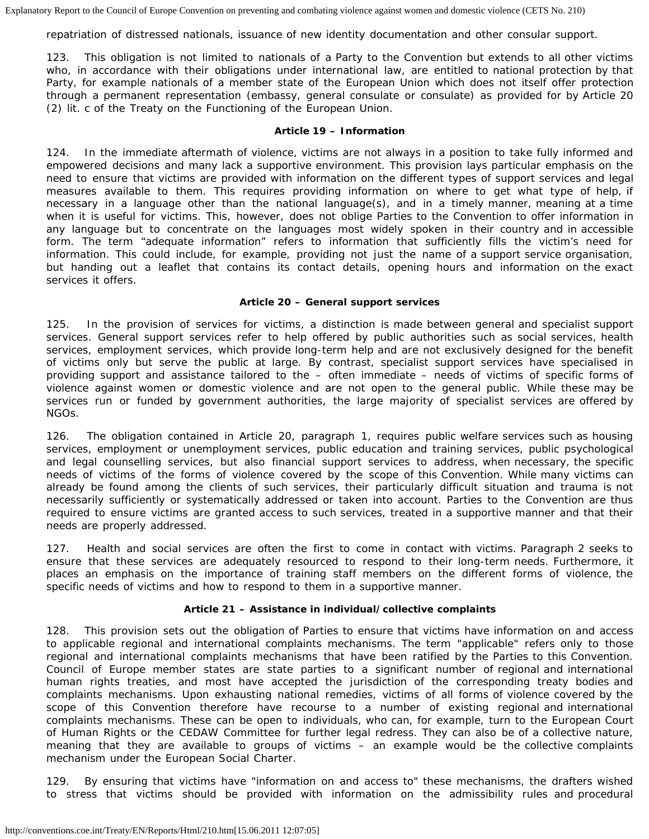repatriation of distressed nationals, issuance of new identity documentation and other consular support.

123. This obligation is not limited to nationals of a Party to the Convention but extends to all other victims who, in accordance with their obligations under international law, are entitled to national protection by that Party, for example nationals of a member state of the European Union which does not itself offer protection through a permanent representation (embassy, general consulate or consulate) as provided for by Article 20 (2) lit. c of the Treaty on the Functioning of the European Union.

## **Article 19 – Information**

124. In the immediate aftermath of violence, victims are not always in a position to take fully informed and empowered decisions and many lack a supportive environment. This provision lays particular emphasis on the need to ensure that victims are provided with information on the different types of support services and legal measures available to them. This requires providing information on where to get what type of help, if necessary in a language other than the national language(s), and in a timely manner, meaning at a time when it is useful for victims. This, however, does not oblige Parties to the Convention to offer information in any language but to concentrate on the languages most widely spoken in their country and in accessible form. The term "adequate information" refers to information that sufficiently fills the victim's need for information. This could include, for example, providing not just the name of a support service organisation, but handing out a leaflet that contains its contact details, opening hours and information on the exact services it offers.

## **Article 20 – General support services**

125. In the provision of services for victims, a distinction is made between general and specialist support services. General support services refer to help offered by public authorities such as social services, health services, employment services, which provide long-term help and are not exclusively designed for the benefit of victims only but serve the public at large. By contrast, specialist support services have specialised in providing support and assistance tailored to the – often immediate – needs of victims of specific forms of violence against women or domestic violence and are not open to the general public. While these may be services run or funded by government authorities, the large majority of specialist services are offered by NGOs.

126. The obligation contained in Article 20, paragraph 1, requires public welfare services such as housing services, employment or unemployment services, public education and training services, public psychological and legal counselling services, but also financial support services to address, when necessary, the specific needs of victims of the forms of violence covered by the scope of this Convention. While many victims can already be found among the clients of such services, their particularly difficult situation and trauma is not necessarily sufficiently or systematically addressed or taken into account. Parties to the Convention are thus required to ensure victims are granted access to such services, treated in a supportive manner and that their needs are properly addressed.

127. Health and social services are often the first to come in contact with victims. Paragraph 2 seeks to ensure that these services are adequately resourced to respond to their long-term needs. Furthermore, it places an emphasis on the importance of training staff members on the different forms of violence, the specific needs of victims and how to respond to them in a supportive manner.

## **Article 21 – Assistance in individual/collective complaints**

128. This provision sets out the obligation of Parties to ensure that victims have information on and access to applicable regional and international complaints mechanisms. The term "applicable" refers only to those regional and international complaints mechanisms that have been ratified by the Parties to this Convention. Council of Europe member states are state parties to a significant number of regional and international human rights treaties, and most have accepted the jurisdiction of the corresponding treaty bodies and complaints mechanisms. Upon exhausting national remedies, victims of all forms of violence covered by the scope of this Convention therefore have recourse to a number of existing regional and international complaints mechanisms. These can be open to individuals, who can, for example, turn to the European Court of Human Rights or the CEDAW Committee for further legal redress. They can also be of a collective nature, meaning that they are available to groups of victims – an example would be the collective complaints mechanism under the European Social Charter.

129. By ensuring that victims have "information on and access to" these mechanisms, the drafters wished to stress that victims should be provided with information on the admissibility rules and procedural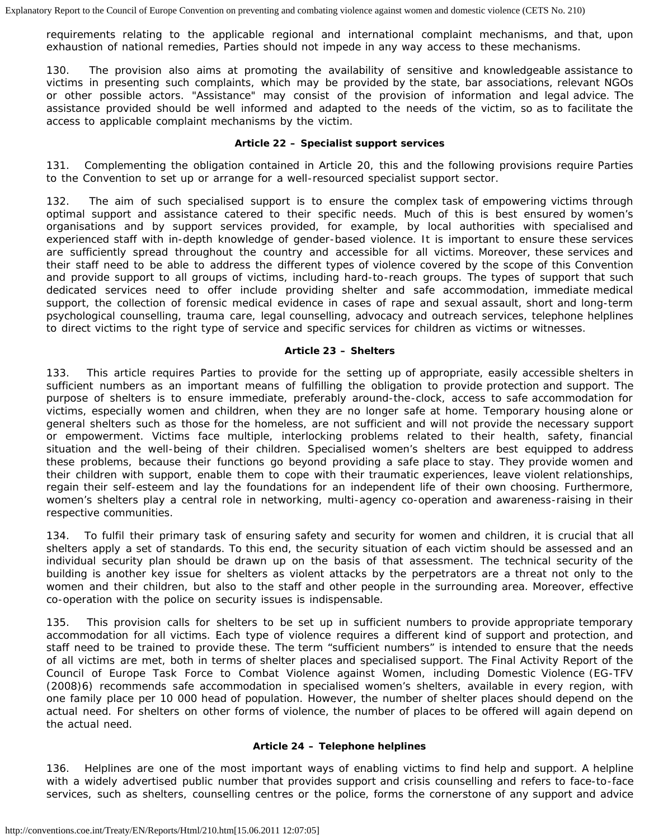requirements relating to the applicable regional and international complaint mechanisms, and that, upon exhaustion of national remedies, Parties should not impede in any way access to these mechanisms.

130. The provision also aims at promoting the availability of sensitive and knowledgeable assistance to victims in presenting such complaints, which may be provided by the state, bar associations, relevant NGOs or other possible actors. "Assistance" may consist of the provision of information and legal advice. The assistance provided should be well informed and adapted to the needs of the victim, so as to facilitate the access to applicable complaint mechanisms by the victim.

## **Article 22 – Specialist support services**

131. Complementing the obligation contained in Article 20, this and the following provisions require Parties to the Convention to set up or arrange for a well-resourced specialist support sector.

132. The aim of such specialised support is to ensure the complex task of empowering victims through optimal support and assistance catered to their specific needs. Much of this is best ensured by women's organisations and by support services provided, for example, by local authorities with specialised and experienced staff with in-depth knowledge of gender-based violence. It is important to ensure these services are sufficiently spread throughout the country and accessible for all victims. Moreover, these services and their staff need to be able to address the different types of violence covered by the scope of this Convention and provide support to all groups of victims, including hard-to-reach groups. The types of support that such dedicated services need to offer include providing shelter and safe accommodation, immediate medical support, the collection of forensic medical evidence in cases of rape and sexual assault, short and long-term psychological counselling, trauma care, legal counselling, advocacy and outreach services, telephone helplines to direct victims to the right type of service and specific services for children as victims or witnesses.

## **Article 23 – Shelters**

133. This article requires Parties to provide for the setting up of appropriate, easily accessible shelters in sufficient numbers as an important means of fulfilling the obligation to provide protection and support. The purpose of shelters is to ensure immediate, preferably around-the-clock, access to safe accommodation for victims, especially women and children, when they are no longer safe at home. Temporary housing alone or general shelters such as those for the homeless, are not sufficient and will not provide the necessary support or empowerment. Victims face multiple, interlocking problems related to their health, safety, financial situation and the well-being of their children. Specialised women's shelters are best equipped to address these problems, because their functions go beyond providing a safe place to stay. They provide women and their children with support, enable them to cope with their traumatic experiences, leave violent relationships, regain their self-esteem and lay the foundations for an independent life of their own choosing. Furthermore, women's shelters play a central role in networking, multi-agency co-operation and awareness-raising in their respective communities.

134. To fulfil their primary task of ensuring safety and security for women and children, it is crucial that all shelters apply a set of standards. To this end, the security situation of each victim should be assessed and an individual security plan should be drawn up on the basis of that assessment. The technical security of the building is another key issue for shelters as violent attacks by the perpetrators are a threat not only to the women and their children, but also to the staff and other people in the surrounding area. Moreover, effective co-operation with the police on security issues is indispensable.

135. This provision calls for shelters to be set up in sufficient numbers to provide appropriate temporary accommodation for all victims. Each type of violence requires a different kind of support and protection, and staff need to be trained to provide these. The term "sufficient numbers" is intended to ensure that the needs of all victims are met, both in terms of shelter places and specialised support. The Final Activity Report of the Council of Europe Task Force to Combat Violence against Women, including Domestic Violence (EG-TFV (2008)6) recommends safe accommodation in specialised women's shelters, available in every region, with one family place per 10 000 head of population. However, the number of shelter places should depend on the actual need. For shelters on other forms of violence, the number of places to be offered will again depend on the actual need.

## **Article 24 – Telephone helplines**

136. Helplines are one of the most important ways of enabling victims to find help and support. A helpline with a widely advertised public number that provides support and crisis counselling and refers to face-to-face services, such as shelters, counselling centres or the police, forms the cornerstone of any support and advice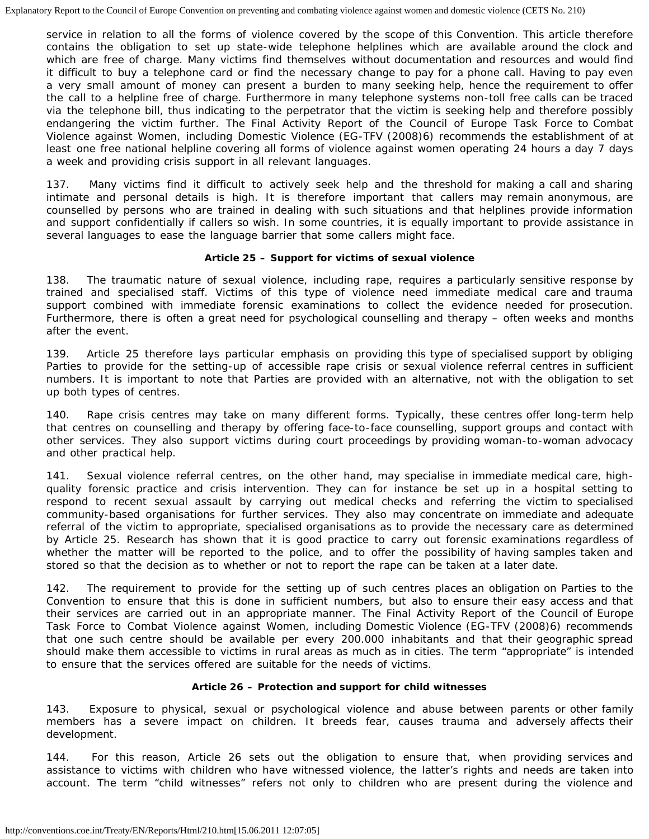service in relation to all the forms of violence covered by the scope of this Convention. This article therefore contains the obligation to set up state-wide telephone helplines which are available around the clock and which are free of charge. Many victims find themselves without documentation and resources and would find it difficult to buy a telephone card or find the necessary change to pay for a phone call. Having to pay even a very small amount of money can present a burden to many seeking help, hence the requirement to offer the call to a helpline free of charge. Furthermore in many telephone systems non-toll free calls can be traced via the telephone bill, thus indicating to the perpetrator that the victim is seeking help and therefore possibly endangering the victim further. The Final Activity Report of the Council of Europe Task Force to Combat Violence against Women, including Domestic Violence (EG-TFV (2008)6) recommends the establishment of at least one free national helpline covering all forms of violence against women operating 24 hours a day 7 days a week and providing crisis support in all relevant languages.

137. Many victims find it difficult to actively seek help and the threshold for making a call and sharing intimate and personal details is high. It is therefore important that callers may remain anonymous, are counselled by persons who are trained in dealing with such situations and that helplines provide information and support confidentially if callers so wish. In some countries, it is equally important to provide assistance in several languages to ease the language barrier that some callers might face.

## **Article 25 – Support for victims of sexual violence**

138. The traumatic nature of sexual violence, including rape, requires a particularly sensitive response by trained and specialised staff. Victims of this type of violence need immediate medical care and trauma support combined with immediate forensic examinations to collect the evidence needed for prosecution. Furthermore, there is often a great need for psychological counselling and therapy – often weeks and months after the event.

139. Article 25 therefore lays particular emphasis on providing this type of specialised support by obliging Parties to provide for the setting-up of accessible rape crisis or sexual violence referral centres in sufficient numbers. It is important to note that Parties are provided with an alternative, not with the obligation to set up both types of centres.

140. Rape crisis centres may take on many different forms. Typically, these centres offer long-term help that centres on counselling and therapy by offering face-to-face counselling, support groups and contact with other services. They also support victims during court proceedings by providing woman-to-woman advocacy and other practical help.

141. Sexual violence referral centres, on the other hand, may specialise in immediate medical care, highquality forensic practice and crisis intervention. They can for instance be set up in a hospital setting to respond to recent sexual assault by carrying out medical checks and referring the victim to specialised community-based organisations for further services. They also may concentrate on immediate and adequate referral of the victim to appropriate, specialised organisations as to provide the necessary care as determined by Article 25. Research has shown that it is good practice to carry out forensic examinations regardless of whether the matter will be reported to the police, and to offer the possibility of having samples taken and stored so that the decision as to whether or not to report the rape can be taken at a later date.

142. The requirement to provide for the setting up of such centres places an obligation on Parties to the Convention to ensure that this is done in sufficient numbers, but also to ensure their easy access and that their services are carried out in an appropriate manner. The Final Activity Report of the Council of Europe Task Force to Combat Violence against Women, including Domestic Violence (EG-TFV (2008)6) recommends that one such centre should be available per every 200.000 inhabitants and that their geographic spread should make them accessible to victims in rural areas as much as in cities. The term "appropriate" is intended to ensure that the services offered are suitable for the needs of victims.

## **Article 26 – Protection and support for child witnesses**

143. Exposure to physical, sexual or psychological violence and abuse between parents or other family members has a severe impact on children. It breeds fear, causes trauma and adversely affects their development.

144. For this reason, Article 26 sets out the obligation to ensure that, when providing services and assistance to victims with children who have witnessed violence, the latter's rights and needs are taken into account. The term "child witnesses" refers not only to children who are present during the violence and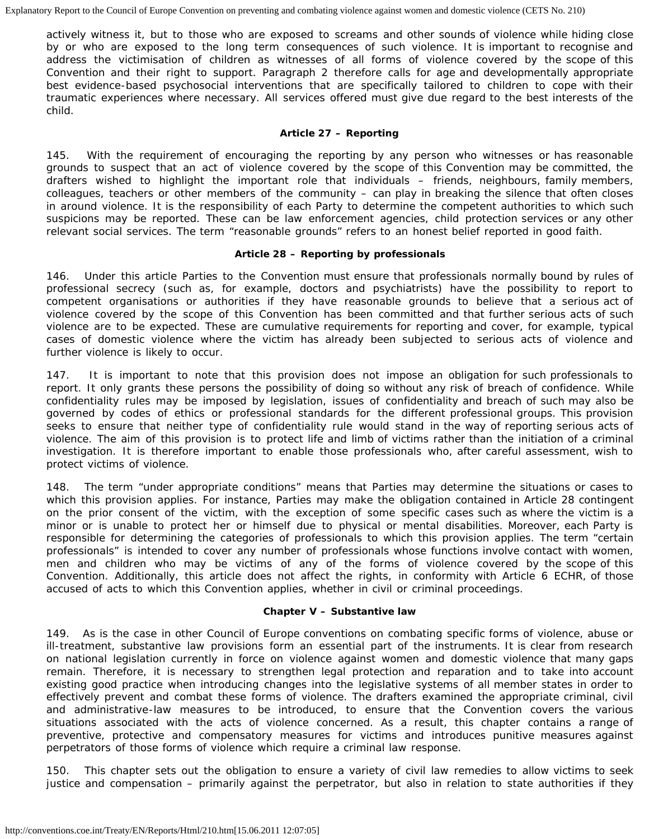actively witness it, but to those who are exposed to screams and other sounds of violence while hiding close by or who are exposed to the long term consequences of such violence. It is important to recognise and address the victimisation of children as witnesses of all forms of violence covered by the scope of this Convention and their right to support. Paragraph 2 therefore calls for age and developmentally appropriate best evidence-based psychosocial interventions that are specifically tailored to children to cope with their traumatic experiences where necessary. All services offered must give due regard to the best interests of the child.

### **Article 27 – Reporting**

145. With the requirement of encouraging the reporting by any person who witnesses or has reasonable grounds to suspect that an act of violence covered by the scope of this Convention may be committed, the drafters wished to highlight the important role that individuals – friends, neighbours, family members, colleagues, teachers or other members of the community – can play in breaking the silence that often closes in around violence. It is the responsibility of each Party to determine the competent authorities to which such suspicions may be reported. These can be law enforcement agencies, child protection services or any other relevant social services. The term "reasonable grounds" refers to an honest belief reported in good faith.

#### **Article 28 – Reporting by professionals**

146. Under this article Parties to the Convention must ensure that professionals normally bound by rules of professional secrecy (such as, for example, doctors and psychiatrists) have the possibility to report to competent organisations or authorities if they have reasonable grounds to believe that a serious act of violence covered by the scope of this Convention has been committed and that further serious acts of such violence are to be expected. These are cumulative requirements for reporting and cover, for example, typical cases of domestic violence where the victim has already been subjected to serious acts of violence and further violence is likely to occur.

147. It is important to note that this provision does not impose an obligation for such professionals to report. It only grants these persons the possibility of doing so without any risk of breach of confidence. While confidentiality rules may be imposed by legislation, issues of confidentiality and breach of such may also be governed by codes of ethics or professional standards for the different professional groups. This provision seeks to ensure that neither type of confidentiality rule would stand in the way of reporting serious acts of violence. The aim of this provision is to protect life and limb of victims rather than the initiation of a criminal investigation. It is therefore important to enable those professionals who, after careful assessment, wish to protect victims of violence.

148. The term "under appropriate conditions" means that Parties may determine the situations or cases to which this provision applies. For instance, Parties may make the obligation contained in Article 28 contingent on the prior consent of the victim, with the exception of some specific cases such as where the victim is a minor or is unable to protect her or himself due to physical or mental disabilities. Moreover, each Party is responsible for determining the categories of professionals to which this provision applies. The term "certain professionals" is intended to cover any number of professionals whose functions involve contact with women, men and children who may be victims of any of the forms of violence covered by the scope of this Convention. Additionally, this article does not affect the rights, in conformity with Article 6 ECHR, of those accused of acts to which this Convention applies, whether in civil or criminal proceedings.

## **Chapter V – Substantive law**

149. As is the case in other Council of Europe conventions on combating specific forms of violence, abuse or ill-treatment, substantive law provisions form an essential part of the instruments. It is clear from research on national legislation currently in force on violence against women and domestic violence that many gaps remain. Therefore, it is necessary to strengthen legal protection and reparation and to take into account existing good practice when introducing changes into the legislative systems of all member states in order to effectively prevent and combat these forms of violence. The drafters examined the appropriate criminal, civil and administrative-law measures to be introduced, to ensure that the Convention covers the various situations associated with the acts of violence concerned. As a result, this chapter contains a range of preventive, protective and compensatory measures for victims and introduces punitive measures against perpetrators of those forms of violence which require a criminal law response.

150. This chapter sets out the obligation to ensure a variety of civil law remedies to allow victims to seek justice and compensation – primarily against the perpetrator, but also in relation to state authorities if they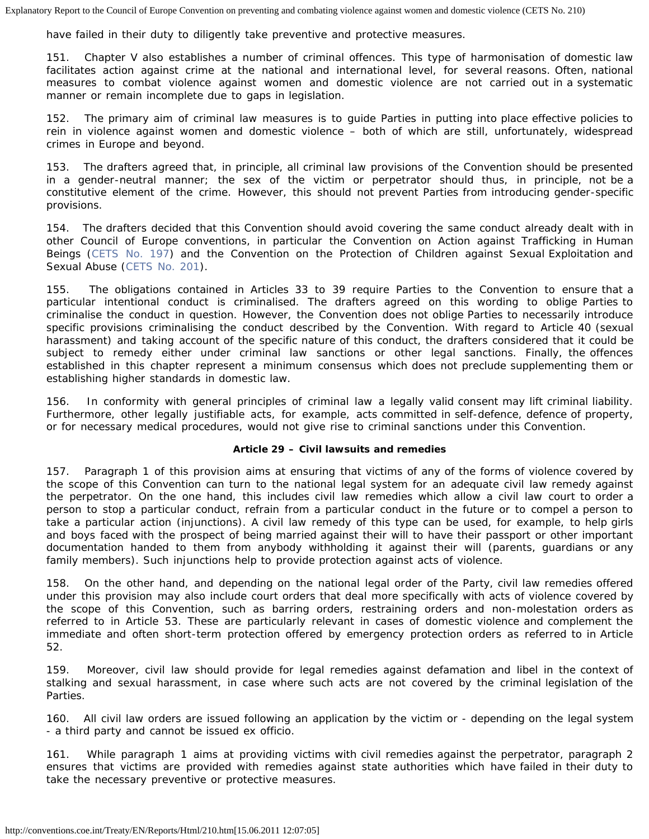have failed in their duty to diligently take preventive and protective measures.

151. Chapter V also establishes a number of criminal offences. This type of harmonisation of domestic law facilitates action against crime at the national and international level, for several reasons. Often, national measures to combat violence against women and domestic violence are not carried out in a systematic manner or remain incomplete due to gaps in legislation.

152. The primary aim of criminal law measures is to guide Parties in putting into place effective policies to rein in violence against women and domestic violence – both of which are still, unfortunately, widespread crimes in Europe and beyond.

153. The drafters agreed that, in principle, all criminal law provisions of the Convention should be presented in a gender-neutral manner; the sex of the victim or perpetrator should thus, in principle, not be a constitutive element of the crime. However, this should not prevent Parties from introducing gender-specific provisions.

154. The drafters decided that this Convention should avoid covering the same conduct already dealt with in other Council of Europe conventions, in particular the Convention on Action against Trafficking in Human Beings ([CETS No. 197\)](http://conventions.coe.int/Treaty/EN/Treaties/HTML/197.htm) and the Convention on the Protection of Children against Sexual Exploitation and Sexual Abuse ([CETS No. 201\)](http://conventions.coe.int/Treaty/EN/Treaties/HTML/201.htm).

155. The obligations contained in Articles 33 to 39 require Parties to the Convention to ensure that a particular intentional conduct is criminalised. The drafters agreed on this wording to oblige Parties to criminalise the conduct in question. However, the Convention does not oblige Parties to necessarily introduce specific provisions criminalising the conduct described by the Convention. With regard to Article 40 (sexual harassment) and taking account of the specific nature of this conduct, the drafters considered that it could be subject to remedy either under criminal law sanctions or other legal sanctions. Finally, the offences established in this chapter represent a minimum consensus which does not preclude supplementing them or establishing higher standards in domestic law.

156. In conformity with general principles of criminal law a legally valid consent may lift criminal liability. Furthermore, other legally justifiable acts, for example, acts committed in self-defence, defence of property, or for necessary medical procedures, would not give rise to criminal sanctions under this Convention.

## **Article 29 – Civil lawsuits and remedies**

157. Paragraph 1 of this provision aims at ensuring that victims of any of the forms of violence covered by the scope of this Convention can turn to the national legal system for an adequate civil law remedy against the perpetrator. On the one hand, this includes civil law remedies which allow a civil law court to order a person to stop a particular conduct, refrain from a particular conduct in the future or to compel a person to take a particular action (injunctions). A civil law remedy of this type can be used, for example, to help girls and boys faced with the prospect of being married against their will to have their passport or other important documentation handed to them from anybody withholding it against their will (parents, guardians or any family members). Such injunctions help to provide protection against acts of violence.

158. On the other hand, and depending on the national legal order of the Party, civil law remedies offered under this provision may also include court orders that deal more specifically with acts of violence covered by the scope of this Convention, such as barring orders, restraining orders and non-molestation orders as referred to in Article 53. These are particularly relevant in cases of domestic violence and complement the immediate and often short-term protection offered by emergency protection orders as referred to in Article 52.

159. Moreover, civil law should provide for legal remedies against defamation and libel in the context of stalking and sexual harassment, in case where such acts are not covered by the criminal legislation of the Parties.

160. All civil law orders are issued following an application by the victim or - depending on the legal system - a third party and cannot be issued *ex officio*.

161. While paragraph 1 aims at providing victims with civil remedies against the perpetrator, paragraph 2 ensures that victims are provided with remedies against state authorities which have failed in their duty to take the necessary preventive or protective measures.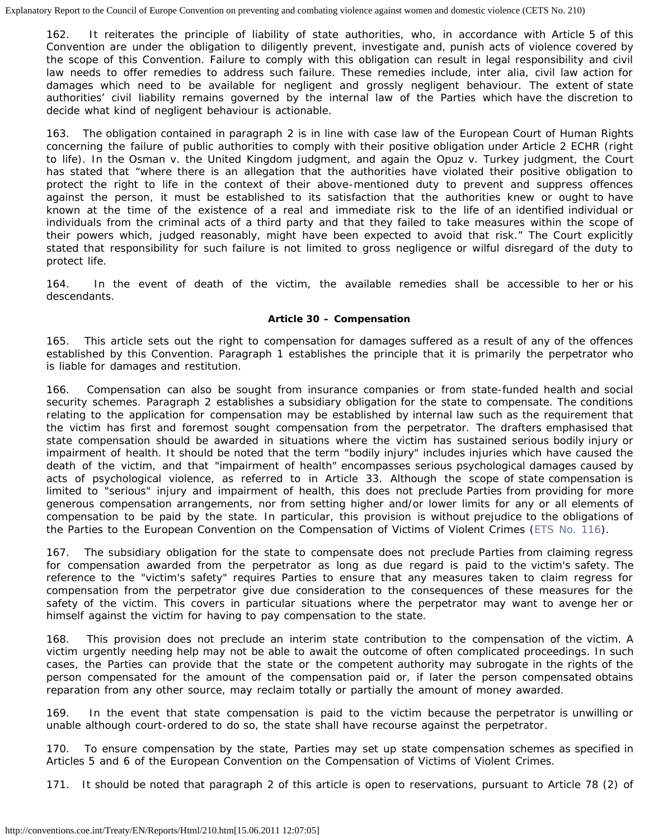162. It reiterates the principle of liability of state authorities, who, in accordance with Article 5 of this Convention are under the obligation to diligently prevent, investigate and, punish acts of violence covered by the scope of this Convention. Failure to comply with this obligation can result in legal responsibility and civil law needs to offer remedies to address such failure. These remedies include, inter alia, civil law action for damages which need to be available for negligent and grossly negligent behaviour. The extent of state authorities' civil liability remains governed by the internal law of the Parties which have the discretion to decide what kind of negligent behaviour is actionable.

163. The obligation contained in paragraph 2 is in line with case law of the European Court of Human Rights concerning the failure of public authorities to comply with their positive obligation under Article 2 ECHR (right to life). In the *Osman v. the United Kingdom* judgment, and again the *Opuz v. Turkey* judgment, the Court has stated that "where there is an allegation that the authorities have violated their positive obligation to protect the right to life in the context of their above-mentioned duty to prevent and suppress offences against the person, it must be established to its satisfaction that the authorities knew or ought to have known at the time of the existence of a real and immediate risk to the life of an identified individual or individuals from the criminal acts of a third party and that they failed to take measures within the scope of their powers which, judged reasonably, might have been expected to avoid that risk." The Court explicitly stated that responsibility for such failure is not limited to gross negligence or wilful disregard of the duty to protect life.

164. In the event of death of the victim, the available remedies shall be accessible to her or his descendants.

## **Article 30 – Compensation**

165. This article sets out the right to compensation for damages suffered as a result of any of the offences established by this Convention. Paragraph 1 establishes the principle that it is primarily the perpetrator who is liable for damages and restitution.

166. Compensation can also be sought from insurance companies or from state-funded health and social security schemes. Paragraph 2 establishes a subsidiary obligation for the state to compensate. The conditions relating to the application for compensation may be established by internal law such as the requirement that the victim has first and foremost sought compensation from the perpetrator. The drafters emphasised that state compensation should be awarded in situations where the victim has sustained serious bodily injury or impairment of health. It should be noted that the term "bodily injury" includes injuries which have caused the death of the victim, and that "impairment of health" encompasses serious psychological damages caused by acts of psychological violence, as referred to in Article 33. Although the scope of state compensation is limited to "serious" injury and impairment of health, this does not preclude Parties from providing for more generous compensation arrangements, nor from setting higher and/or lower limits for any or all elements of compensation to be paid by the state. In particular, this provision is without prejudice to the obligations of the Parties to the European Convention on the Compensation of Victims of Violent Crimes [\(ETS No. 116](http://conventions.coe.int/Treaty/EN/Treaties/HTML/116.htm)).

167. The subsidiary obligation for the state to compensate does not preclude Parties from claiming regress for compensation awarded from the perpetrator as long as due regard is paid to the victim's safety. The reference to the "victim's safety" requires Parties to ensure that any measures taken to claim regress for compensation from the perpetrator give due consideration to the consequences of these measures for the safety of the victim. This covers in particular situations where the perpetrator may want to avenge her or himself against the victim for having to pay compensation to the state.

168. This provision does not preclude an interim state contribution to the compensation of the victim. A victim urgently needing help may not be able to await the outcome of often complicated proceedings. In such cases, the Parties can provide that the state or the competent authority may subrogate in the rights of the person compensated for the amount of the compensation paid or, if later the person compensated obtains reparation from any other source, may reclaim totally or partially the amount of money awarded.

169. In the event that state compensation is paid to the victim because the perpetrator is unwilling or unable although court-ordered to do so, the state shall have recourse against the perpetrator.

170. To ensure compensation by the state, Parties may set up state compensation schemes as specified in Articles 5 and 6 of the European Convention on the Compensation of Victims of Violent Crimes.

171. It should be noted that paragraph 2 of this article is open to reservations, pursuant to Article 78 (2) of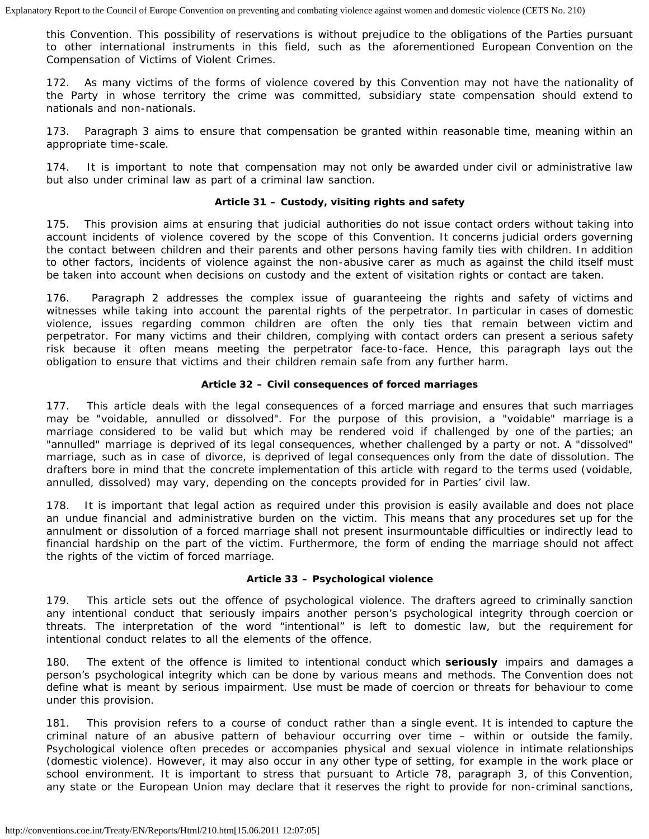this Convention. This possibility of reservations is without prejudice to the obligations of the Parties pursuant to other international instruments in this field, such as the aforementioned European Convention on the Compensation of Victims of Violent Crimes.

172. As many victims of the forms of violence covered by this Convention may not have the nationality of the Party in whose territory the crime was committed, subsidiary state compensation should extend to nationals and non-nationals.

173. Paragraph 3 aims to ensure that compensation be granted within reasonable time, meaning within an appropriate time-scale.

174. It is important to note that compensation may not only be awarded under civil or administrative law but also under criminal law as part of a criminal law sanction.

## **Article 31 – Custody, visiting rights and safety**

175. This provision aims at ensuring that judicial authorities do not issue contact orders without taking into account incidents of violence covered by the scope of this Convention. It concerns judicial orders governing the contact between children and their parents and other persons having family ties with children. In addition to other factors, incidents of violence against the non-abusive carer as much as against the child itself must be taken into account when decisions on custody and the extent of visitation rights or contact are taken.

176. Paragraph 2 addresses the complex issue of guaranteeing the rights and safety of victims and witnesses while taking into account the parental rights of the perpetrator. In particular in cases of domestic violence, issues regarding common children are often the only ties that remain between victim and perpetrator. For many victims and their children, complying with contact orders can present a serious safety risk because it often means meeting the perpetrator face-to-face. Hence, this paragraph lays out the obligation to ensure that victims and their children remain safe from any further harm.

## **Article 32 – Civil consequences of forced marriages**

177. This article deals with the legal consequences of a forced marriage and ensures that such marriages may be "voidable, annulled or dissolved". For the purpose of this provision, a "voidable" marriage is a marriage considered to be valid but which may be rendered void if challenged by one of the parties; an "annulled" marriage is deprived of its legal consequences, whether challenged by a party or not. A "dissolved" marriage, such as in case of divorce, is deprived of legal consequences only from the date of dissolution. The drafters bore in mind that the concrete implementation of this article with regard to the terms used (voidable, annulled, dissolved) may vary, depending on the concepts provided for in Parties' civil law.

178. It is important that legal action as required under this provision is easily available and does not place an undue financial and administrative burden on the victim. This means that any procedures set up for the annulment or dissolution of a forced marriage shall not present insurmountable difficulties or indirectly lead to financial hardship on the part of the victim. Furthermore, the form of ending the marriage should not affect the rights of the victim of forced marriage.

## **Article 33 – Psychological violence**

179. This article sets out the offence of psychological violence. The drafters agreed to criminally sanction any intentional conduct that seriously impairs another person's psychological integrity through coercion or threats. The interpretation of the word "intentional" is left to domestic law, but the requirement for intentional conduct relates to all the elements of the offence.

180. The extent of the offence is limited to intentional conduct which **seriously** impairs and damages a person's psychological integrity which can be done by various means and methods. The Convention does not define what is meant by serious impairment. Use must be made of coercion or threats for behaviour to come under this provision.

181. This provision refers to a course of conduct rather than a single event. It is intended to capture the criminal nature of an abusive pattern of behaviour occurring over time – within or outside the family. Psychological violence often precedes or accompanies physical and sexual violence in intimate relationships (domestic violence). However, it may also occur in any other type of setting, for example in the work place or school environment. It is important to stress that pursuant to Article 78, paragraph 3, of this Convention, any state or the European Union may declare that it reserves the right to provide for non-criminal sanctions,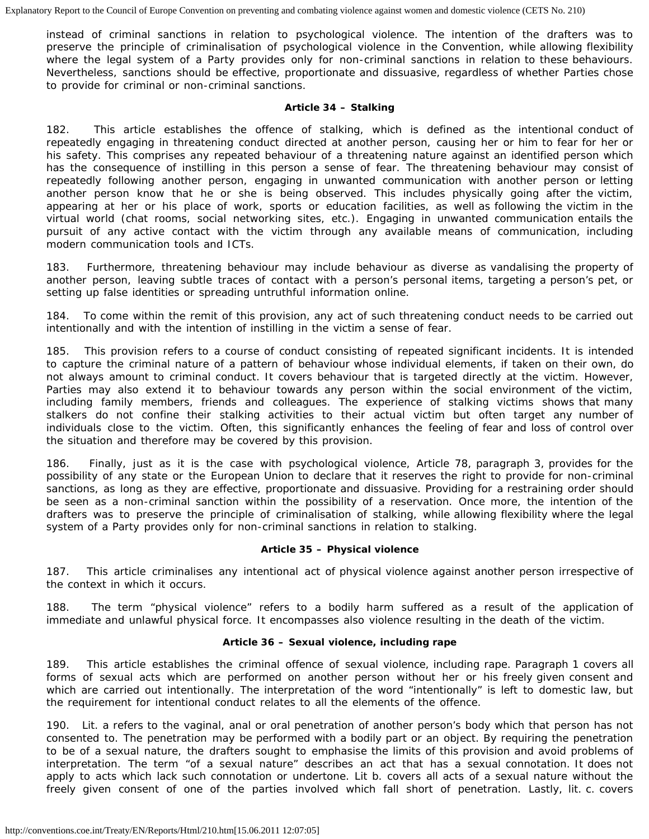instead of criminal sanctions in relation to psychological violence. The intention of the drafters was to preserve the principle of criminalisation of psychological violence in the Convention, while allowing flexibility where the legal system of a Party provides only for non-criminal sanctions in relation to these behaviours. Nevertheless, sanctions should be effective, proportionate and dissuasive, regardless of whether Parties chose to provide for criminal or non-criminal sanctions.

### **Article 34 – Stalking**

182. This article establishes the offence of stalking, which is defined as the intentional conduct of repeatedly engaging in threatening conduct directed at another person, causing her or him to fear for her or his safety. This comprises any repeated behaviour of a threatening nature against an identified person which has the consequence of instilling in this person a sense of fear. The threatening behaviour may consist of repeatedly following another person, engaging in unwanted communication with another person or letting another person know that he or she is being observed. This includes physically going after the victim, appearing at her or his place of work, sports or education facilities, as well as following the victim in the virtual world (chat rooms, social networking sites, etc.). Engaging in unwanted communication entails the pursuit of any active contact with the victim through any available means of communication, including modern communication tools and ICTs.

183. Furthermore, threatening behaviour may include behaviour as diverse as vandalising the property of another person, leaving subtle traces of contact with a person's personal items, targeting a person's pet, or setting up false identities or spreading untruthful information online.

184. To come within the remit of this provision, any act of such threatening conduct needs to be carried out intentionally and with the intention of instilling in the victim a sense of fear.

185. This provision refers to a course of conduct consisting of repeated significant incidents. It is intended to capture the criminal nature of a pattern of behaviour whose individual elements, if taken on their own, do not always amount to criminal conduct. It covers behaviour that is targeted directly at the victim. However, Parties may also extend it to behaviour towards any person within the social environment of the victim, including family members, friends and colleagues. The experience of stalking victims shows that many stalkers do not confine their stalking activities to their actual victim but often target any number of individuals close to the victim. Often, this significantly enhances the feeling of fear and loss of control over the situation and therefore may be covered by this provision.

186. Finally, just as it is the case with psychological violence, Article 78, paragraph 3, provides for the possibility of any state or the European Union to declare that it reserves the right to provide for non-criminal sanctions, as long as they are effective, proportionate and dissuasive. Providing for a restraining order should be seen as a non-criminal sanction within the possibility of a reservation. Once more, the intention of the drafters was to preserve the principle of criminalisation of stalking, while allowing flexibility where the legal system of a Party provides only for non-criminal sanctions in relation to stalking.

## **Article 35 – Physical violence**

187. This article criminalises any intentional act of physical violence against another person irrespective of the context in which it occurs.

188. The term "physical violence" refers to a bodily harm suffered as a result of the application of immediate and unlawful physical force. It encompasses also violence resulting in the death of the victim.

## **Article 36 – Sexual violence, including rape**

189. This article establishes the criminal offence of sexual violence, including rape. Paragraph 1 covers all forms of sexual acts which are performed on another person without her or his freely given consent and which are carried out intentionally. The interpretation of the word "intentionally" is left to domestic law, but the requirement for intentional conduct relates to all the elements of the offence.

190. Lit. a refers to the vaginal, anal or oral penetration of another person's body which that person has not consented to. The penetration may be performed with a bodily part or an object. By requiring the penetration to be of a sexual nature, the drafters sought to emphasise the limits of this provision and avoid problems of interpretation. The term "of a sexual nature" describes an act that has a sexual connotation. It does not apply to acts which lack such connotation or undertone. Lit b. covers all acts of a sexual nature without the freely given consent of one of the parties involved which fall short of penetration. Lastly, lit. c. covers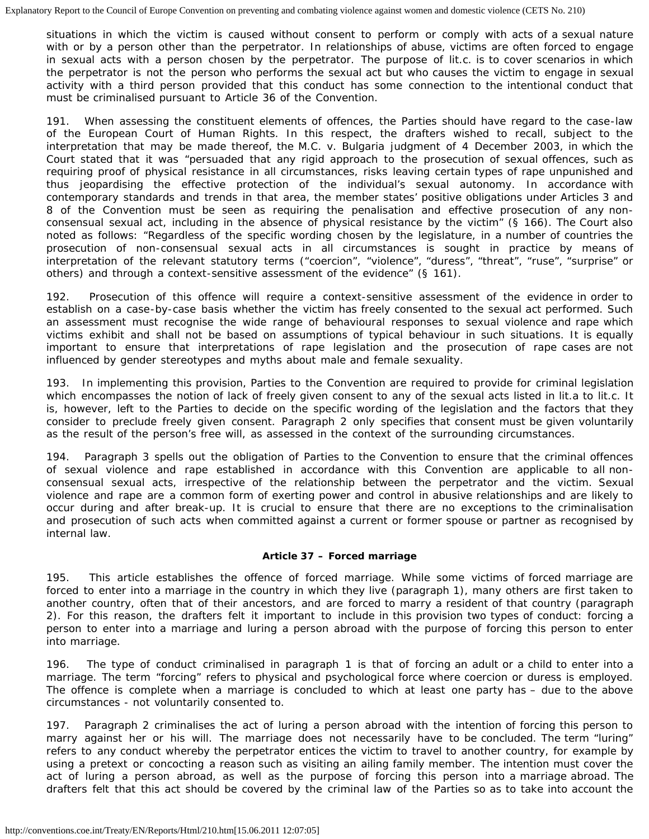situations in which the victim is caused without consent to perform or comply with acts of a sexual nature with or by a person other than the perpetrator. In relationships of abuse, victims are often forced to engage in sexual acts with a person chosen by the perpetrator. The purpose of lit.c. is to cover scenarios in which the perpetrator is not the person who performs the sexual act but who causes the victim to engage in sexual activity with a third person provided that this conduct has some connection to the intentional conduct that must be criminalised pursuant to Article 36 of the Convention.

191. When assessing the constituent elements of offences, the Parties should have regard to the case-law of the European Court of Human Rights. In this respect, the drafters wished to recall, subject to the interpretation that may be made thereof, the *M.C. v. Bulgaria* judgment of 4 December 2003, in which the Court stated that it was "persuaded that any rigid approach to the prosecution of sexual offences, such as requiring proof of physical resistance in all circumstances, risks leaving certain types of rape unpunished and thus jeopardising the effective protection of the individual's sexual autonomy. In accordance with contemporary standards and trends in that area, the member states' positive obligations under Articles 3 and 8 of the Convention must be seen as requiring the penalisation and effective prosecution of any nonconsensual sexual act, including in the absence of physical resistance by the victim" (§ 166). The Court also noted as follows: "Regardless of the specific wording chosen by the legislature, in a number of countries the prosecution of non-consensual sexual acts in all circumstances is sought in practice by means of interpretation of the relevant statutory terms ("coercion", "violence", "duress", "threat", "ruse", "surprise" or others) and through a context-sensitive assessment of the evidence" (§ 161).

192. Prosecution of this offence will require a context-sensitive assessment of the evidence in order to establish on a case-by-case basis whether the victim has freely consented to the sexual act performed. Such an assessment must recognise the wide range of behavioural responses to sexual violence and rape which victims exhibit and shall not be based on assumptions of typical behaviour in such situations. It is equally important to ensure that interpretations of rape legislation and the prosecution of rape cases are not influenced by gender stereotypes and myths about male and female sexuality.

193. In implementing this provision, Parties to the Convention are required to provide for criminal legislation which encompasses the notion of lack of freely given consent to any of the sexual acts listed in lit.a to lit.c. It is, however, left to the Parties to decide on the specific wording of the legislation and the factors that they consider to preclude freely given consent. Paragraph 2 only specifies that consent must be given voluntarily as the result of the person's free will, as assessed in the context of the surrounding circumstances.

194. Paragraph 3 spells out the obligation of Parties to the Convention to ensure that the criminal offences of sexual violence and rape established in accordance with this Convention are applicable to all nonconsensual sexual acts, irrespective of the relationship between the perpetrator and the victim. Sexual violence and rape are a common form of exerting power and control in abusive relationships and are likely to occur during and after break-up. It is crucial to ensure that there are no exceptions to the criminalisation and prosecution of such acts when committed against a current or former spouse or partner as recognised by internal law.

## **Article 37 – Forced marriage**

195. This article establishes the offence of forced marriage. While some victims of forced marriage are forced to enter into a marriage in the country in which they live (paragraph 1), many others are first taken to another country, often that of their ancestors, and are forced to marry a resident of that country (paragraph 2). For this reason, the drafters felt it important to include in this provision two types of conduct: forcing a person to enter into a marriage and luring a person abroad with the purpose of forcing this person to enter into marriage.

196. The type of conduct criminalised in paragraph 1 is that of forcing an adult or a child to enter into a marriage. The term "forcing" refers to physical and psychological force where coercion or duress is employed. The offence is complete when a marriage is concluded to which at least one party has – due to the above circumstances - not voluntarily consented to.

197. Paragraph 2 criminalises the act of luring a person abroad with the intention of forcing this person to marry against her or his will. The marriage does not necessarily have to be concluded. The term "luring" refers to any conduct whereby the perpetrator entices the victim to travel to another country, for example by using a pretext or concocting a reason such as visiting an ailing family member. The intention must cover the act of luring a person abroad, as well as the purpose of forcing this person into a marriage abroad. The drafters felt that this act should be covered by the criminal law of the Parties so as to take into account the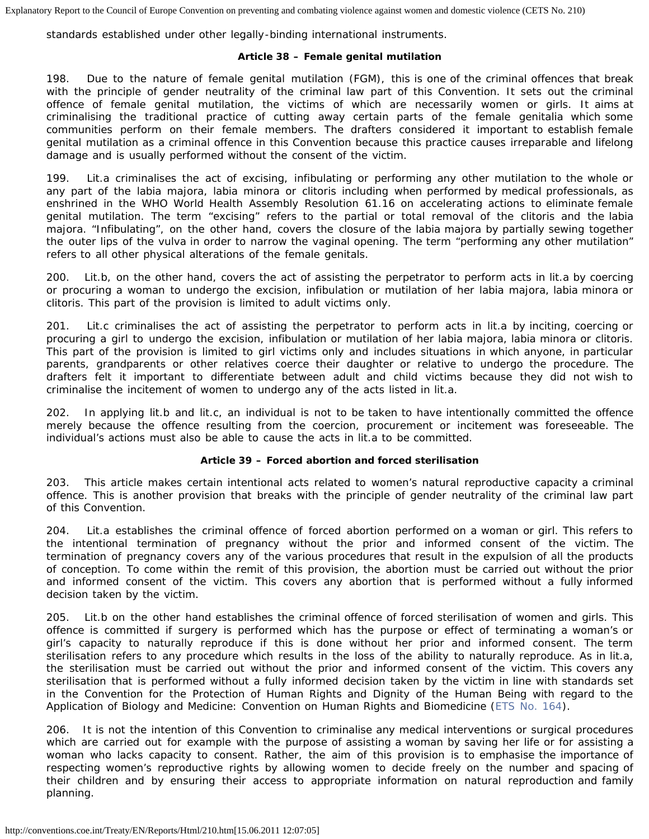standards established under other legally-binding international instruments.

## **Article 38 – Female genital mutilation**

198. Due to the nature of female genital mutilation (FGM), this is one of the criminal offences that break with the principle of gender neutrality of the criminal law part of this Convention. It sets out the criminal offence of female genital mutilation, the victims of which are necessarily women or girls. It aims at criminalising the traditional practice of cutting away certain parts of the female genitalia which some communities perform on their female members. The drafters considered it important to establish female genital mutilation as a criminal offence in this Convention because this practice causes irreparable and lifelong damage and is usually performed without the consent of the victim.

199. Lit.a criminalises the act of excising, infibulating or performing any other mutilation to the whole or any part of the labia majora, labia minora or clitoris including when performed by medical professionals, as enshrined in the WHO World Health Assembly Resolution 61.16 on accelerating actions to eliminate female genital mutilation. The term "excising" refers to the partial or total removal of the clitoris and the labia majora. "Infibulating", on the other hand, covers the closure of the labia majora by partially sewing together the outer lips of the vulva in order to narrow the vaginal opening. The term "performing any other mutilation" refers to all other physical alterations of the female genitals.

200. Lit.b, on the other hand, covers the act of assisting the perpetrator to perform acts in lit.a by coercing or procuring a woman to undergo the excision, infibulation or mutilation of her labia majora, labia minora or clitoris. This part of the provision is limited to adult victims only.

201. Lit.c criminalises the act of assisting the perpetrator to perform acts in lit.a by inciting, coercing or procuring a girl to undergo the excision, infibulation or mutilation of her labia majora, labia minora or clitoris. This part of the provision is limited to girl victims only and includes situations in which anyone, in particular parents, grandparents or other relatives coerce their daughter or relative to undergo the procedure. The drafters felt it important to differentiate between adult and child victims because they did not wish to criminalise the incitement of women to undergo any of the acts listed in lit.a.

202. In applying lit.b and lit.c, an individual is not to be taken to have intentionally committed the offence merely because the offence resulting from the coercion, procurement or incitement was foreseeable. The individual's actions must also be able to cause the acts in lit.a to be committed.

## **Article 39 – Forced abortion and forced sterilisation**

203. This article makes certain intentional acts related to women's natural reproductive capacity a criminal offence. This is another provision that breaks with the principle of gender neutrality of the criminal law part of this Convention.

204. Lit.a establishes the criminal offence of forced abortion performed on a woman or girl. This refers to the intentional termination of pregnancy without the prior and informed consent of the victim. The termination of pregnancy covers any of the various procedures that result in the expulsion of all the products of conception. To come within the remit of this provision, the abortion must be carried out without the prior and informed consent of the victim. This covers any abortion that is performed without a fully informed decision taken by the victim.

205. Lit.b on the other hand establishes the criminal offence of forced sterilisation of women and girls. This offence is committed if surgery is performed which has the purpose or effect of terminating a woman's or girl's capacity to naturally reproduce if this is done without her prior and informed consent. The term sterilisation refers to any procedure which results in the loss of the ability to naturally reproduce. As in lit.a, the sterilisation must be carried out without the prior and informed consent of the victim. This covers any sterilisation that is performed without a fully informed decision taken by the victim in line with standards set in the Convention for the Protection of Human Rights and Dignity of the Human Being with regard to the Application of Biology and Medicine: Convention on Human Rights and Biomedicine ([ETS No. 164\)](http://conventions.coe.int/Treaty/EN/Treaties/HTML/164.htm).

206. It is not the intention of this Convention to criminalise any medical interventions or surgical procedures which are carried out for example with the purpose of assisting a woman by saving her life or for assisting a woman who lacks capacity to consent. Rather, the aim of this provision is to emphasise the importance of respecting women's reproductive rights by allowing women to decide freely on the number and spacing of their children and by ensuring their access to appropriate information on natural reproduction and family planning.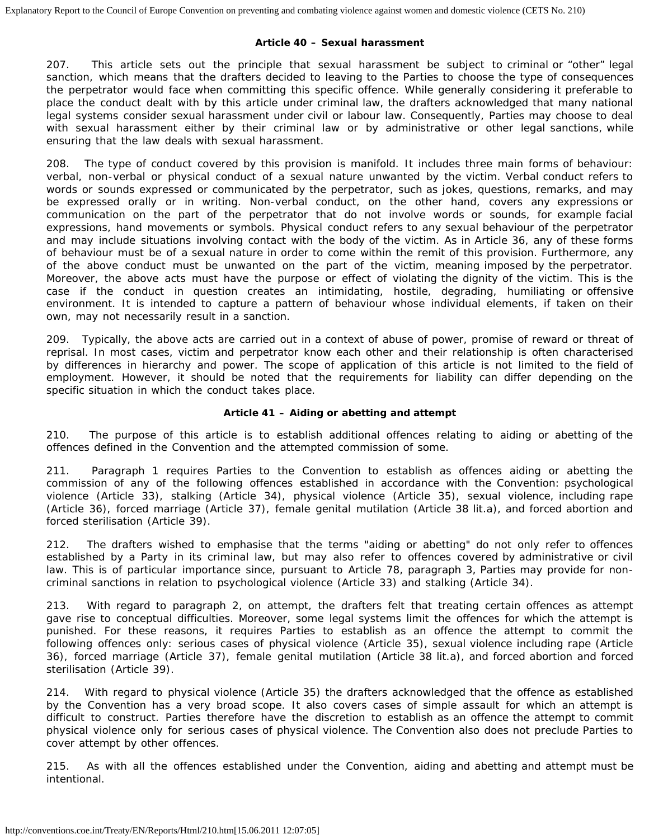#### **Article 40 – Sexual harassment**

207. This article sets out the principle that sexual harassment be subject to criminal or "other" legal sanction, which means that the drafters decided to leaving to the Parties to choose the type of consequences the perpetrator would face when committing this specific offence. While generally considering it preferable to place the conduct dealt with by this article under criminal law, the drafters acknowledged that many national legal systems consider sexual harassment under civil or labour law. Consequently, Parties may choose to deal with sexual harassment either by their criminal law or by administrative or other legal sanctions, while ensuring that the law deals with sexual harassment.

208. The type of conduct covered by this provision is manifold. It includes three main forms of behaviour: verbal, non-verbal or physical conduct of a sexual nature unwanted by the victim. Verbal conduct refers to words or sounds expressed or communicated by the perpetrator, such as jokes, questions, remarks, and may be expressed orally or in writing. Non-verbal conduct, on the other hand, covers any expressions or communication on the part of the perpetrator that do not involve words or sounds, for example facial expressions, hand movements or symbols. Physical conduct refers to any sexual behaviour of the perpetrator and may include situations involving contact with the body of the victim. As in Article 36, any of these forms of behaviour must be of a sexual nature in order to come within the remit of this provision. Furthermore, any of the above conduct must be unwanted on the part of the victim, meaning imposed by the perpetrator. Moreover, the above acts must have the purpose or effect of violating the dignity of the victim. This is the case if the conduct in question creates an intimidating, hostile, degrading, humiliating or offensive environment. It is intended to capture a pattern of behaviour whose individual elements, if taken on their own, may not necessarily result in a sanction.

209. Typically, the above acts are carried out in a context of abuse of power, promise of reward or threat of reprisal. In most cases, victim and perpetrator know each other and their relationship is often characterised by differences in hierarchy and power. The scope of application of this article is not limited to the field of employment. However, it should be noted that the requirements for liability can differ depending on the specific situation in which the conduct takes place.

## **Article 41 – Aiding or abetting and attempt**

210. The purpose of this article is to establish additional offences relating to aiding or abetting of the offences defined in the Convention and the attempted commission of some.

211. Paragraph 1 requires Parties to the Convention to establish as offences aiding or abetting the commission of any of the following offences established in accordance with the Convention: psychological violence (Article 33), stalking (Article 34), physical violence (Article 35), sexual violence, including rape (Article 36), forced marriage (Article 37), female genital mutilation (Article 38 lit.a), and forced abortion and forced sterilisation (Article 39).

212. The drafters wished to emphasise that the terms "aiding or abetting" do not only refer to offences established by a Party in its criminal law, but may also refer to offences covered by administrative or civil law. This is of particular importance since, pursuant to Article 78, paragraph 3, Parties may provide for noncriminal sanctions in relation to psychological violence (Article 33) and stalking (Article 34).

213. With regard to paragraph 2, on attempt, the drafters felt that treating certain offences as attempt gave rise to conceptual difficulties. Moreover, some legal systems limit the offences for which the attempt is punished. For these reasons, it requires Parties to establish as an offence the attempt to commit the following offences only: serious cases of physical violence (Article 35), sexual violence including rape (Article 36), forced marriage (Article 37), female genital mutilation (Article 38 lit.a), and forced abortion and forced sterilisation (Article 39).

214. With regard to physical violence (Article 35) the drafters acknowledged that the offence as established by the Convention has a very broad scope. It also covers cases of simple assault for which an attempt is difficult to construct. Parties therefore have the discretion to establish as an offence the attempt to commit physical violence only for serious cases of physical violence. The Convention also does not preclude Parties to cover attempt by other offences.

215. As with all the offences established under the Convention, aiding and abetting and attempt must be intentional.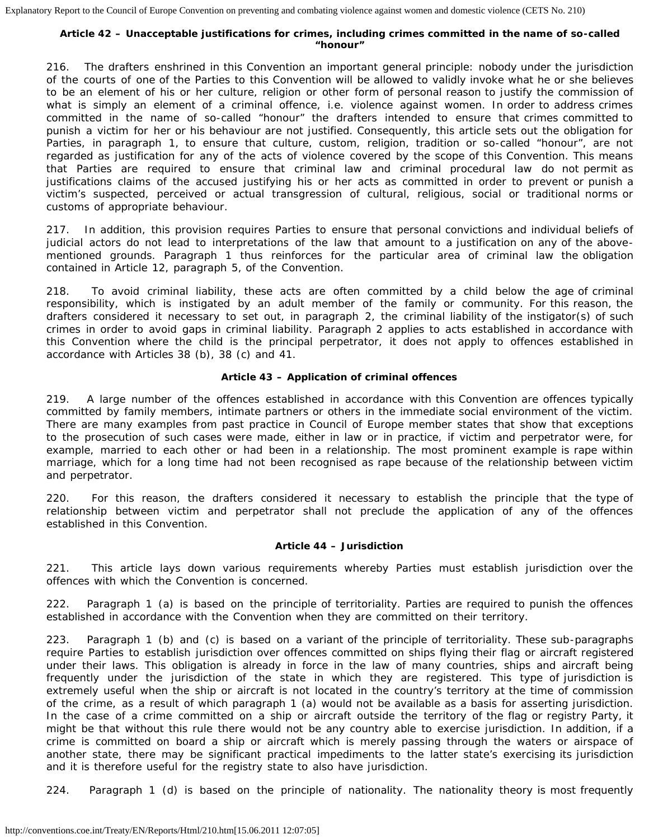#### **Article 42 – Unacceptable justifications for crimes, including crimes committed in the name of so-called "honour"**

216. The drafters enshrined in this Convention an important general principle: nobody under the jurisdiction of the courts of one of the Parties to this Convention will be allowed to validly invoke what he or she believes to be an element of his or her culture, religion or other form of personal reason to justify the commission of what is simply an element of a criminal offence, i.e. violence against women. In order to address crimes committed in the name of so-called "honour" the drafters intended to ensure that crimes committed to punish a victim for her or his behaviour are not justified. Consequently, this article sets out the obligation for Parties, in paragraph 1, to ensure that culture, custom, religion, tradition or so-called "honour", are not regarded as justification for any of the acts of violence covered by the scope of this Convention. This means that Parties are required to ensure that criminal law and criminal procedural law do not permit as justifications claims of the accused justifying his or her acts as committed in order to prevent or punish a victim's suspected, perceived or actual transgression of cultural, religious, social or traditional norms or customs of appropriate behaviour.

217. In addition, this provision requires Parties to ensure that personal convictions and individual beliefs of judicial actors do not lead to interpretations of the law that amount to a justification on any of the abovementioned grounds. Paragraph 1 thus reinforces for the particular area of criminal law the obligation contained in Article 12, paragraph 5, of the Convention.

218. To avoid criminal liability, these acts are often committed by a child below the age of criminal responsibility, which is instigated by an adult member of the family or community. For this reason, the drafters considered it necessary to set out, in paragraph 2, the criminal liability of the instigator(s) of such crimes in order to avoid gaps in criminal liability. Paragraph 2 applies to acts established in accordance with this Convention where the child is the principal perpetrator, it does not apply to offences established in accordance with Articles 38 (b), 38 (c) and 41.

## **Article 43 – Application of criminal offences**

219. A large number of the offences established in accordance with this Convention are offences typically committed by family members, intimate partners or others in the immediate social environment of the victim. There are many examples from past practice in Council of Europe member states that show that exceptions to the prosecution of such cases were made, either in law or in practice, if victim and perpetrator were, for example, married to each other or had been in a relationship. The most prominent example is rape within marriage, which for a long time had not been recognised as rape because of the relationship between victim and perpetrator.

220. For this reason, the drafters considered it necessary to establish the principle that the type of relationship between victim and perpetrator shall not preclude the application of any of the offences established in this Convention.

## **Article 44 – Jurisdiction**

221. This article lays down various requirements whereby Parties must establish jurisdiction over the offences with which the Convention is concerned.

222. Paragraph 1 (a) is based on the principle of territoriality. Parties are required to punish the offences established in accordance with the Convention when they are committed on their territory.

223. Paragraph 1 (b) and (c) is based on a variant of the principle of territoriality. These sub-paragraphs require Parties to establish jurisdiction over offences committed on ships flying their flag or aircraft registered under their laws. This obligation is already in force in the law of many countries, ships and aircraft being frequently under the jurisdiction of the state in which they are registered. This type of jurisdiction is extremely useful when the ship or aircraft is not located in the country's territory at the time of commission of the crime, as a result of which paragraph 1 (a) would not be available as a basis for asserting jurisdiction. In the case of a crime committed on a ship or aircraft outside the territory of the flag or registry Party, it might be that without this rule there would not be any country able to exercise jurisdiction. In addition, if a crime is committed on board a ship or aircraft which is merely passing through the waters or airspace of another state, there may be significant practical impediments to the latter state's exercising its jurisdiction and it is therefore useful for the registry state to also have jurisdiction.

224. Paragraph 1 (d) is based on the principle of nationality. The nationality theory is most frequently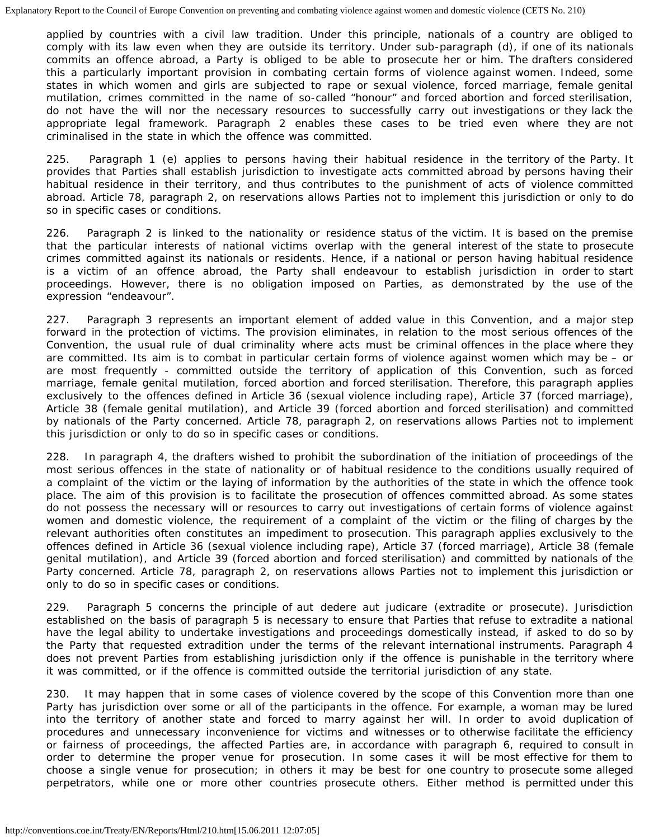applied by countries with a civil law tradition. Under this principle, nationals of a country are obliged to comply with its law even when they are outside its territory. Under sub-paragraph (d), if one of its nationals commits an offence abroad, a Party is obliged to be able to prosecute her or him. The drafters considered this a particularly important provision in combating certain forms of violence against women. Indeed, some states in which women and girls are subjected to rape or sexual violence, forced marriage, female genital mutilation, crimes committed in the name of so-called "honour" and forced abortion and forced sterilisation, do not have the will nor the necessary resources to successfully carry out investigations or they lack the appropriate legal framework. Paragraph 2 enables these cases to be tried even where they are not criminalised in the state in which the offence was committed.

225. Paragraph 1 (e) applies to persons having their habitual residence in the territory of the Party. It provides that Parties shall establish jurisdiction to investigate acts committed abroad by persons having their habitual residence in their territory, and thus contributes to the punishment of acts of violence committed abroad. Article 78, paragraph 2, on reservations allows Parties not to implement this jurisdiction or only to do so in specific cases or conditions.

226. Paragraph 2 is linked to the nationality or residence status of the victim. It is based on the premise that the particular interests of national victims overlap with the general interest of the state to prosecute crimes committed against its nationals or residents. Hence, if a national or person having habitual residence is a victim of an offence abroad, the Party shall endeavour to establish jurisdiction in order to start proceedings. However, there is no obligation imposed on Parties, as demonstrated by the use of the expression "endeavour".

227. Paragraph 3 represents an important element of added value in this Convention, and a major step forward in the protection of victims. The provision eliminates, in relation to the most serious offences of the Convention, the usual rule of dual criminality where acts must be criminal offences in the place where they are committed. Its aim is to combat in particular certain forms of violence against women which may be – or are most frequently - committed outside the territory of application of this Convention, such as forced marriage, female genital mutilation, forced abortion and forced sterilisation. Therefore, this paragraph applies exclusively to the offences defined in Article 36 (sexual violence including rape), Article 37 (forced marriage), Article 38 (female genital mutilation), and Article 39 (forced abortion and forced sterilisation) and committed by nationals of the Party concerned. Article 78, paragraph 2, on reservations allows Parties not to implement this jurisdiction or only to do so in specific cases or conditions.

228. In paragraph 4, the drafters wished to prohibit the subordination of the initiation of proceedings of the most serious offences in the state of nationality or of habitual residence to the conditions usually required of a complaint of the victim or the laying of information by the authorities of the state in which the offence took place. The aim of this provision is to facilitate the prosecution of offences committed abroad. As some states do not possess the necessary will or resources to carry out investigations of certain forms of violence against women and domestic violence, the requirement of a complaint of the victim or the filing of charges by the relevant authorities often constitutes an impediment to prosecution. This paragraph applies exclusively to the offences defined in Article 36 (sexual violence including rape), Article 37 (forced marriage), Article 38 (female genital mutilation), and Article 39 (forced abortion and forced sterilisation) and committed by nationals of the Party concerned. Article 78, paragraph 2, on reservations allows Parties not to implement this jurisdiction or only to do so in specific cases or conditions.

229. Paragraph 5 concerns the principle of *aut dedere aut judicare* (extradite or prosecute). Jurisdiction established on the basis of paragraph 5 is necessary to ensure that Parties that refuse to extradite a national have the legal ability to undertake investigations and proceedings domestically instead, if asked to do so by the Party that requested extradition under the terms of the relevant international instruments. Paragraph 4 does not prevent Parties from establishing jurisdiction only if the offence is punishable in the territory where it was committed, or if the offence is committed outside the territorial jurisdiction of any state.

230. It may happen that in some cases of violence covered by the scope of this Convention more than one Party has jurisdiction over some or all of the participants in the offence. For example, a woman may be lured into the territory of another state and forced to marry against her will. In order to avoid duplication of procedures and unnecessary inconvenience for victims and witnesses or to otherwise facilitate the efficiency or fairness of proceedings, the affected Parties are, in accordance with paragraph 6, required to consult in order to determine the proper venue for prosecution. In some cases it will be most effective for them to choose a single venue for prosecution; in others it may be best for one country to prosecute some alleged perpetrators, while one or more other countries prosecute others. Either method is permitted under this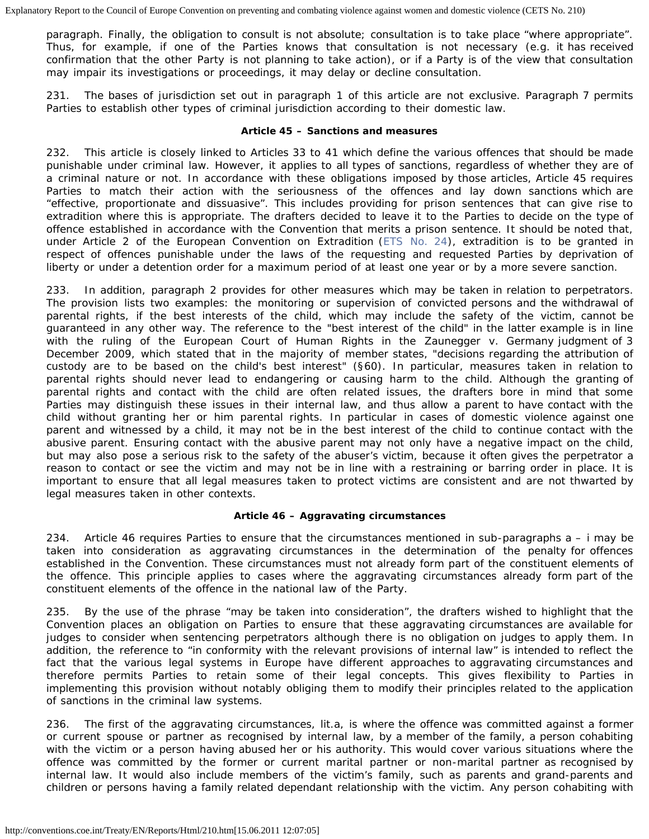paragraph. Finally, the obligation to consult is not absolute; consultation is to take place "where appropriate". Thus, for example, if one of the Parties knows that consultation is not necessary (e.g. it has received confirmation that the other Party is not planning to take action), or if a Party is of the view that consultation may impair its investigations or proceedings, it may delay or decline consultation.

231. The bases of jurisdiction set out in paragraph 1 of this article are not exclusive. Paragraph 7 permits Parties to establish other types of criminal jurisdiction according to their domestic law.

### **Article 45 – Sanctions and measures**

232. This article is closely linked to Articles 33 to 41 which define the various offences that should be made punishable under criminal law. However, it applies to all types of sanctions, regardless of whether they are of a criminal nature or not. In accordance with these obligations imposed by those articles, Article 45 requires Parties to match their action with the seriousness of the offences and lay down sanctions which are "effective, proportionate and dissuasive". This includes providing for prison sentences that can give rise to extradition where this is appropriate. The drafters decided to leave it to the Parties to decide on the type of offence established in accordance with the Convention that merits a prison sentence. It should be noted that, under Article 2 of the European Convention on Extradition ([ETS No. 24\)](http://conventions.coe.int/Treaty/EN/Treaties/HTML/024.htm), extradition is to be granted in respect of offences punishable under the laws of the requesting and requested Parties by deprivation of liberty or under a detention order for a maximum period of at least one year or by a more severe sanction.

In addition, paragraph 2 provides for other measures which may be taken in relation to perpetrators. The provision lists two examples: the monitoring or supervision of convicted persons and the withdrawal of parental rights, if the best interests of the child, which may include the safety of the victim, cannot be guaranteed in any other way. The reference to the "best interest of the child" in the latter example is in line with the ruling of the European Court of Human Rights in the Zaunegger v. Germany judgment of 3 December 2009, which stated that in the majority of member states, "decisions regarding the attribution of custody are to be based on the child's best interest" (§60). In particular, measures taken in relation to parental rights should never lead to endangering or causing harm to the child. Although the granting of parental rights and contact with the child are often related issues, the drafters bore in mind that some Parties may distinguish these issues in their internal law, and thus allow a parent to have contact with the child without granting her or him parental rights. In particular in cases of domestic violence against one parent and witnessed by a child, it may not be in the best interest of the child to continue contact with the abusive parent. Ensuring contact with the abusive parent may not only have a negative impact on the child, but may also pose a serious risk to the safety of the abuser's victim, because it often gives the perpetrator a reason to contact or see the victim and may not be in line with a restraining or barring order in place. It is important to ensure that all legal measures taken to protect victims are consistent and are not thwarted by legal measures taken in other contexts.

## **Article 46 – Aggravating circumstances**

234. Article 46 requires Parties to ensure that the circumstances mentioned in sub-paragraphs a – i may be taken into consideration as aggravating circumstances in the determination of the penalty for offences established in the Convention. These circumstances must not already form part of the constituent elements of the offence. This principle applies to cases where the aggravating circumstances already form part of the constituent elements of the offence in the national law of the Party.

235. By the use of the phrase "may be taken into consideration", the drafters wished to highlight that the Convention places an obligation on Parties to ensure that these aggravating circumstances are available for judges to consider when sentencing perpetrators although there is no obligation on judges to apply them. In addition, the reference to "in conformity with the relevant provisions of internal law" is intended to reflect the fact that the various legal systems in Europe have different approaches to aggravating circumstances and therefore permits Parties to retain some of their legal concepts. This gives flexibility to Parties in implementing this provision without notably obliging them to modify their principles related to the application of sanctions in the criminal law systems.

236. The first of the aggravating circumstances, lit.a, is where the offence was committed against a former or current spouse or partner as recognised by internal law, by a member of the family, a person cohabiting with the victim or a person having abused her or his authority. This would cover various situations where the offence was committed by the former or current marital partner or non-marital partner as recognised by internal law. It would also include members of the victim's family, such as parents and grand-parents and children or persons having a family related dependant relationship with the victim. Any person cohabiting with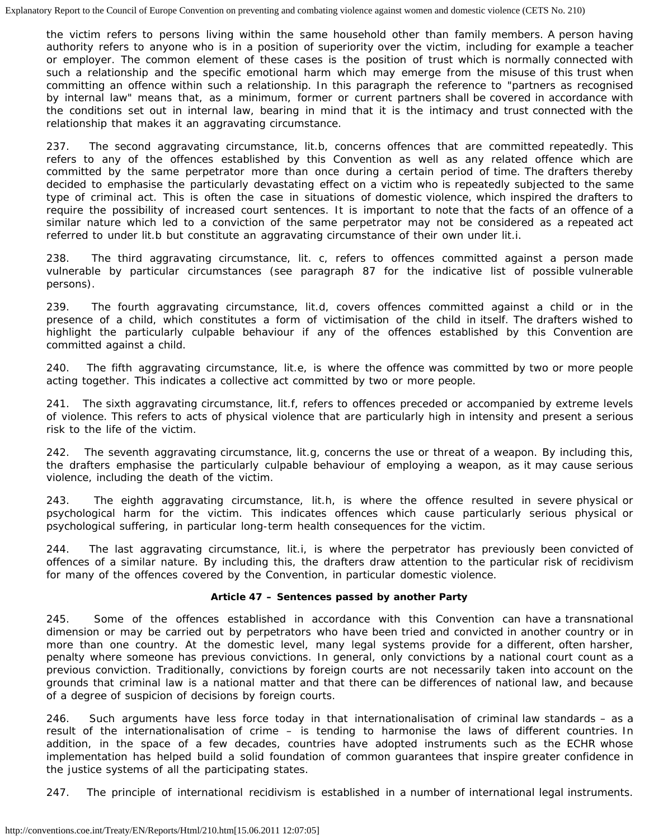the victim refers to persons living within the same household other than family members. A person having authority refers to anyone who is in a position of superiority over the victim, including for example a teacher or employer. The common element of these cases is the position of trust which is normally connected with such a relationship and the specific emotional harm which may emerge from the misuse of this trust when committing an offence within such a relationship. In this paragraph the reference to "partners as recognised by internal law" means that, as a minimum, former or current partners shall be covered in accordance with the conditions set out in internal law, bearing in mind that it is the intimacy and trust connected with the relationship that makes it an aggravating circumstance.

237. The second aggravating circumstance, lit.b, concerns offences that are committed repeatedly. This refers to any of the offences established by this Convention as well as any related offence which are committed by the same perpetrator more than once during a certain period of time. The drafters thereby decided to emphasise the particularly devastating effect on a victim who is repeatedly subjected to the same type of criminal act. This is often the case in situations of domestic violence, which inspired the drafters to require the possibility of increased court sentences. It is important to note that the facts of an offence of a similar nature which led to a conviction of the same perpetrator may not be considered as a repeated act referred to under lit.b but constitute an aggravating circumstance of their own under lit.i.

238. The third aggravating circumstance, lit. c, refers to offences committed against a person made vulnerable by particular circumstances (see paragraph 87 for the indicative list of possible vulnerable persons).

239. The fourth aggravating circumstance, lit.d, covers offences committed against a child or in the presence of a child, which constitutes a form of victimisation of the child in itself. The drafters wished to highlight the particularly culpable behaviour if any of the offences established by this Convention are committed against a child.

240. The fifth aggravating circumstance, lit.e, is where the offence was committed by two or more people acting together. This indicates a collective act committed by two or more people.

241. The sixth aggravating circumstance, lit.f, refers to offences preceded or accompanied by extreme levels of violence. This refers to acts of physical violence that are particularly high in intensity and present a serious risk to the life of the victim.

242. The seventh aggravating circumstance, lit.g, concerns the use or threat of a weapon. By including this, the drafters emphasise the particularly culpable behaviour of employing a weapon, as it may cause serious violence, including the death of the victim.

243. The eighth aggravating circumstance, lit.h, is where the offence resulted in severe physical or psychological harm for the victim. This indicates offences which cause particularly serious physical or psychological suffering, in particular long-term health consequences for the victim.

244. The last aggravating circumstance, lit.i, is where the perpetrator has previously been convicted of offences of a similar nature. By including this, the drafters draw attention to the particular risk of recidivism for many of the offences covered by the Convention, in particular domestic violence.

## **Article 47 – Sentences passed by another Party**

245. Some of the offences established in accordance with this Convention can have a transnational dimension or may be carried out by perpetrators who have been tried and convicted in another country or in more than one country. At the domestic level, many legal systems provide for a different, often harsher, penalty where someone has previous convictions. In general, only convictions by a national court count as a previous conviction. Traditionally, convictions by foreign courts are not necessarily taken into account on the grounds that criminal law is a national matter and that there can be differences of national law, and because of a degree of suspicion of decisions by foreign courts.

246. Such arguments have less force today in that internationalisation of criminal law standards – as a result of the internationalisation of crime – is tending to harmonise the laws of different countries. In addition, in the space of a few decades, countries have adopted instruments such as the ECHR whose implementation has helped build a solid foundation of common guarantees that inspire greater confidence in the justice systems of all the participating states.

247. The principle of international recidivism is established in a number of international legal instruments.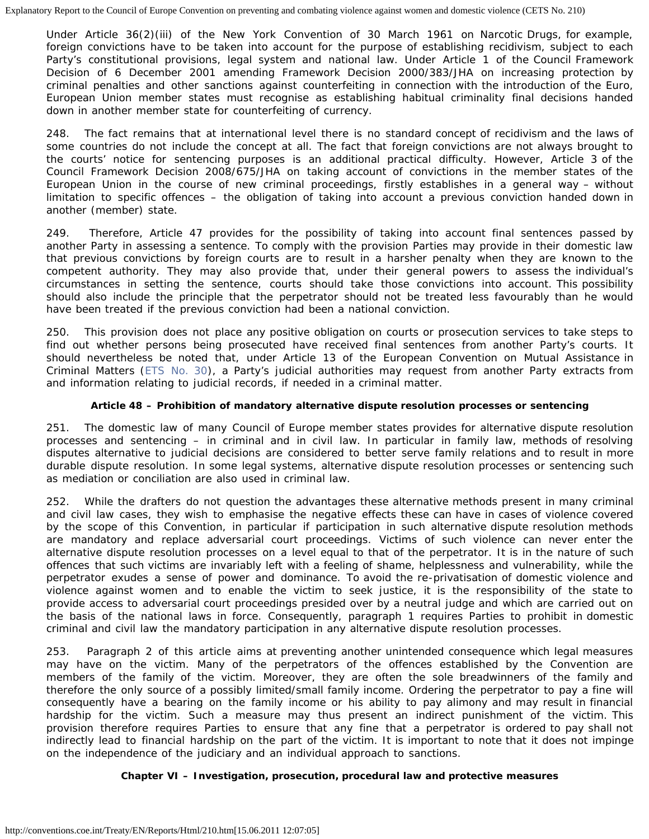Under Article 36(2)(iii) of the New York Convention of 30 March 1961 on Narcotic Drugs, for example, foreign convictions have to be taken into account for the purpose of establishing recidivism, subject to each Party's constitutional provisions, legal system and national law. Under Article 1 of the Council Framework Decision of 6 December 2001 amending Framework Decision 2000/383/JHA on increasing protection by criminal penalties and other sanctions against counterfeiting in connection with the introduction of the Euro, European Union member states must recognise as establishing habitual criminality final decisions handed down in another member state for counterfeiting of currency.

248. The fact remains that at international level there is no standard concept of recidivism and the laws of some countries do not include the concept at all. The fact that foreign convictions are not always brought to the courts' notice for sentencing purposes is an additional practical difficulty. However, Article 3 of the Council Framework Decision 2008/675/JHA on taking account of convictions in the member states of the European Union in the course of new criminal proceedings, firstly establishes in a general way – without limitation to specific offences – the obligation of taking into account a previous conviction handed down in another (member) state.

249. Therefore, Article 47 provides for the possibility of taking into account final sentences passed by another Party in assessing a sentence. To comply with the provision Parties may provide in their domestic law that previous convictions by foreign courts are to result in a harsher penalty when they are known to the competent authority. They may also provide that, under their general powers to assess the individual's circumstances in setting the sentence, courts should take those convictions into account. This possibility should also include the principle that the perpetrator should not be treated less favourably than he would have been treated if the previous conviction had been a national conviction.

250. This provision does not place any positive obligation on courts or prosecution services to take steps to find out whether persons being prosecuted have received final sentences from another Party's courts. It should nevertheless be noted that, under Article 13 of the European Convention on Mutual Assistance in Criminal Matters ([ETS No. 30](http://conventions.coe.int/Treaty/EN/Treaties/HTML/030.htm)), a Party's judicial authorities may request from another Party extracts from and information relating to judicial records, if needed in a criminal matter.

## **Article 48 – Prohibition of mandatory alternative dispute resolution processes or sentencing**

The domestic law of many Council of Europe member states provides for alternative dispute resolution processes and sentencing – in criminal and in civil law. In particular in family law, methods of resolving disputes alternative to judicial decisions are considered to better serve family relations and to result in more durable dispute resolution. In some legal systems, alternative dispute resolution processes or sentencing such as mediation or conciliation are also used in criminal law.

252. While the drafters do not question the advantages these alternative methods present in many criminal and civil law cases, they wish to emphasise the negative effects these can have in cases of violence covered by the scope of this Convention, in particular if participation in such alternative dispute resolution methods are mandatory and replace adversarial court proceedings. Victims of such violence can never enter the alternative dispute resolution processes on a level equal to that of the perpetrator. It is in the nature of such offences that such victims are invariably left with a feeling of shame, helplessness and vulnerability, while the perpetrator exudes a sense of power and dominance. To avoid the re-privatisation of domestic violence and violence against women and to enable the victim to seek justice, it is the responsibility of the state to provide access to adversarial court proceedings presided over by a neutral judge and which are carried out on the basis of the national laws in force. Consequently, paragraph 1 requires Parties to prohibit in domestic criminal and civil law the mandatory participation in any alternative dispute resolution processes.

253. Paragraph 2 of this article aims at preventing another unintended consequence which legal measures may have on the victim. Many of the perpetrators of the offences established by the Convention are members of the family of the victim. Moreover, they are often the sole breadwinners of the family and therefore the only source of a possibly limited/small family income. Ordering the perpetrator to pay a fine will consequently have a bearing on the family income or his ability to pay alimony and may result in financial hardship for the victim. Such a measure may thus present an indirect punishment of the victim. This provision therefore requires Parties to ensure that any fine that a perpetrator is ordered to pay shall not indirectly lead to financial hardship on the part of the victim. It is important to note that it does not impinge on the independence of the judiciary and an individual approach to sanctions.

## **Chapter VI – Investigation, prosecution, procedural law and protective measures**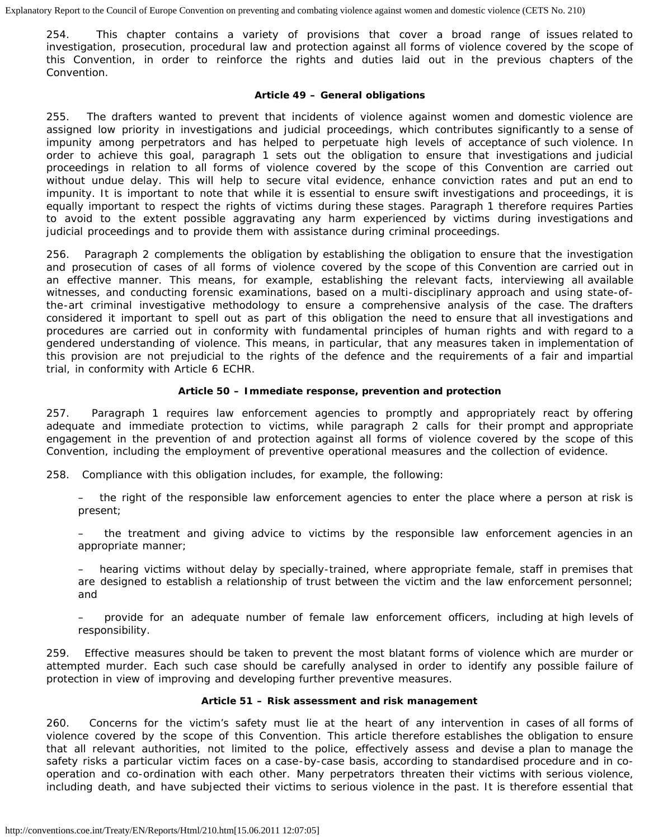254. This chapter contains a variety of provisions that cover a broad range of issues related to investigation, prosecution, procedural law and protection against all forms of violence covered by the scope of this Convention, in order to reinforce the rights and duties laid out in the previous chapters of the Convention.

#### **Article 49 – General obligations**

255. The drafters wanted to prevent that incidents of violence against women and domestic violence are assigned low priority in investigations and judicial proceedings, which contributes significantly to a sense of impunity among perpetrators and has helped to perpetuate high levels of acceptance of such violence. In order to achieve this goal, paragraph 1 sets out the obligation to ensure that investigations and judicial proceedings in relation to all forms of violence covered by the scope of this Convention are carried out without undue delay. This will help to secure vital evidence, enhance conviction rates and put an end to impunity. It is important to note that while it is essential to ensure swift investigations and proceedings, it is equally important to respect the rights of victims during these stages. Paragraph 1 therefore requires Parties to avoid to the extent possible aggravating any harm experienced by victims during investigations and judicial proceedings and to provide them with assistance during criminal proceedings.

256. Paragraph 2 complements the obligation by establishing the obligation to ensure that the investigation and prosecution of cases of all forms of violence covered by the scope of this Convention are carried out in an effective manner. This means, for example, establishing the relevant facts, interviewing all available witnesses, and conducting forensic examinations, based on a multi-disciplinary approach and using state-ofthe-art criminal investigative methodology to ensure a comprehensive analysis of the case. The drafters considered it important to spell out as part of this obligation the need to ensure that all investigations and procedures are carried out in conformity with fundamental principles of human rights and with regard to a gendered understanding of violence. This means, in particular, that any measures taken in implementation of this provision are not prejudicial to the rights of the defence and the requirements of a fair and impartial trial, in conformity with Article 6 ECHR.

## **Article 50 – Immediate response, prevention and protection**

257. Paragraph 1 requires law enforcement agencies to promptly and appropriately react by offering adequate and immediate protection to victims, while paragraph 2 calls for their prompt and appropriate engagement in the prevention of and protection against all forms of violence covered by the scope of this Convention, including the employment of preventive operational measures and the collection of evidence.

- 258. Compliance with this obligation includes, for example, the following:
	- the right of the responsible law enforcement agencies to enter the place where a person at risk is present;
	- the treatment and giving advice to victims by the responsible law enforcement agencies in an appropriate manner;
	- hearing victims without delay by specially-trained, where appropriate female, staff in premises that are designed to establish a relationship of trust between the victim and the law enforcement personnel; and
	- provide for an adequate number of female law enforcement officers, including at high levels of responsibility.

259. Effective measures should be taken to prevent the most blatant forms of violence which are murder or attempted murder. Each such case should be carefully analysed in order to identify any possible failure of protection in view of improving and developing further preventive measures.

#### **Article 51 – Risk assessment and risk management**

260. Concerns for the victim's safety must lie at the heart of any intervention in cases of all forms of violence covered by the scope of this Convention. This article therefore establishes the obligation to ensure that all relevant authorities, not limited to the police, effectively assess and devise a plan to manage the safety risks a particular victim faces on a case-by-case basis, according to standardised procedure and in cooperation and co-ordination with each other. Many perpetrators threaten their victims with serious violence, including death, and have subjected their victims to serious violence in the past. It is therefore essential that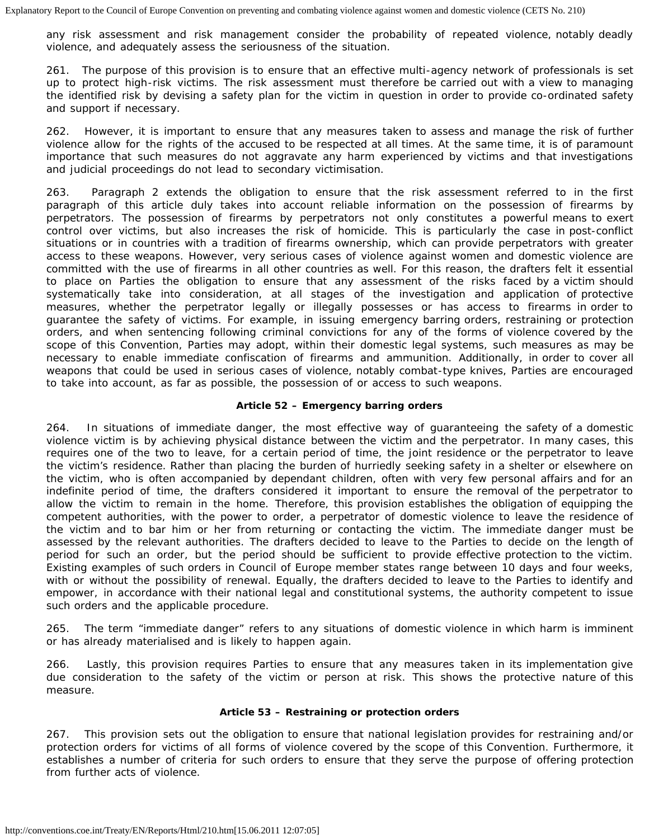any risk assessment and risk management consider the probability of repeated violence, notably deadly violence, and adequately assess the seriousness of the situation.

261. The purpose of this provision is to ensure that an effective multi-agency network of professionals is set up to protect high-risk victims. The risk assessment must therefore be carried out with a view to managing the identified risk by devising a safety plan for the victim in question in order to provide co-ordinated safety and support if necessary.

262. However, it is important to ensure that any measures taken to assess and manage the risk of further violence allow for the rights of the accused to be respected at all times. At the same time, it is of paramount importance that such measures do not aggravate any harm experienced by victims and that investigations and judicial proceedings do not lead to secondary victimisation.

263. Paragraph 2 extends the obligation to ensure that the risk assessment referred to in the first paragraph of this article duly takes into account reliable information on the possession of firearms by perpetrators. The possession of firearms by perpetrators not only constitutes a powerful means to exert control over victims, but also increases the risk of homicide. This is particularly the case in post-conflict situations or in countries with a tradition of firearms ownership, which can provide perpetrators with greater access to these weapons. However, very serious cases of violence against women and domestic violence are committed with the use of firearms in all other countries as well. For this reason, the drafters felt it essential to place on Parties the obligation to ensure that any assessment of the risks faced by a victim should systematically take into consideration, at all stages of the investigation and application of protective measures, whether the perpetrator legally or illegally possesses or has access to firearms in order to guarantee the safety of victims. For example, in issuing emergency barring orders, restraining or protection orders, and when sentencing following criminal convictions for any of the forms of violence covered by the scope of this Convention, Parties may adopt, within their domestic legal systems, such measures as may be necessary to enable immediate confiscation of firearms and ammunition. Additionally, in order to cover all weapons that could be used in serious cases of violence, notably combat-type knives, Parties are encouraged to take into account, as far as possible, the possession of or access to such weapons.

## **Article 52 – Emergency barring orders**

264. In situations of immediate danger, the most effective way of guaranteeing the safety of a domestic violence victim is by achieving physical distance between the victim and the perpetrator. In many cases, this requires one of the two to leave, for a certain period of time, the joint residence or the perpetrator to leave the victim's residence. Rather than placing the burden of hurriedly seeking safety in a shelter or elsewhere on the victim, who is often accompanied by dependant children, often with very few personal affairs and for an indefinite period of time, the drafters considered it important to ensure the removal of the perpetrator to allow the victim to remain in the home. Therefore, this provision establishes the obligation of equipping the competent authorities, with the power to order, a perpetrator of domestic violence to leave the residence of the victim and to bar him or her from returning or contacting the victim. The immediate danger must be assessed by the relevant authorities. The drafters decided to leave to the Parties to decide on the length of period for such an order, but the period should be sufficient to provide effective protection to the victim. Existing examples of such orders in Council of Europe member states range between 10 days and four weeks, with or without the possibility of renewal. Equally, the drafters decided to leave to the Parties to identify and empower, in accordance with their national legal and constitutional systems, the authority competent to issue such orders and the applicable procedure.

265. The term "immediate danger" refers to any situations of domestic violence in which harm is imminent or has already materialised and is likely to happen again.

266. Lastly, this provision requires Parties to ensure that any measures taken in its implementation give due consideration to the safety of the victim or person at risk. This shows the protective nature of this measure.

## **Article 53 – Restraining or protection orders**

267. This provision sets out the obligation to ensure that national legislation provides for restraining and/or protection orders for victims of all forms of violence covered by the scope of this Convention. Furthermore, it establishes a number of criteria for such orders to ensure that they serve the purpose of offering protection from further acts of violence.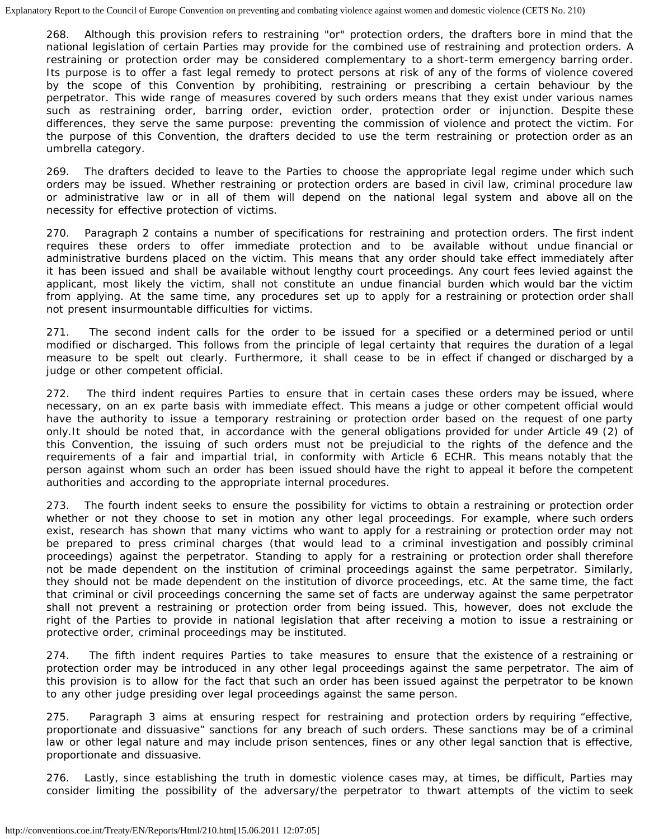268. Although this provision refers to restraining "or" protection orders, the drafters bore in mind that the national legislation of certain Parties may provide for the combined use of restraining and protection orders. A restraining or protection order may be considered complementary to a short-term emergency barring order. Its purpose is to offer a fast legal remedy to protect persons at risk of any of the forms of violence covered by the scope of this Convention by prohibiting, restraining or prescribing a certain behaviour by the perpetrator. This wide range of measures covered by such orders means that they exist under various names such as restraining order, barring order, eviction order, protection order or injunction. Despite these differences, they serve the same purpose: preventing the commission of violence and protect the victim. For the purpose of this Convention, the drafters decided to use the term restraining or protection order as an umbrella category.

269. The drafters decided to leave to the Parties to choose the appropriate legal regime under which such orders may be issued. Whether restraining or protection orders are based in civil law, criminal procedure law or administrative law or in all of them will depend on the national legal system and above all on the necessity for effective protection of victims.

270. Paragraph 2 contains a number of specifications for restraining and protection orders. The first indent requires these orders to offer immediate protection and to be available without undue financial or administrative burdens placed on the victim. This means that any order should take effect immediately after it has been issued and shall be available without lengthy court proceedings. Any court fees levied against the applicant, most likely the victim, shall not constitute an undue financial burden which would bar the victim from applying. At the same time, any procedures set up to apply for a restraining or protection order shall not present insurmountable difficulties for victims.

271. The second indent calls for the order to be issued for a specified or a determined period or until modified or discharged. This follows from the principle of legal certainty that requires the duration of a legal measure to be spelt out clearly. Furthermore, it shall cease to be in effect if changed or discharged by a judge or other competent official.

272. The third indent requires Parties to ensure that in certain cases these orders may be issued, where necessary, on an ex parte basis with immediate effect. This means a judge or other competent official would have the authority to issue a temporary restraining or protection order based on the request of one party only.It should be noted that, in accordance with the general obligations provided for under Article 49 (2) of this Convention, the issuing of such orders must not be prejudicial to the rights of the defence and the requirements of a fair and impartial trial, in conformity with Article 6 ECHR. This means notably that the person against whom such an order has been issued should have the right to appeal it before the competent authorities and according to the appropriate internal procedures.

273. The fourth indent seeks to ensure the possibility for victims to obtain a restraining or protection order whether or not they choose to set in motion any other legal proceedings. For example, where such orders exist, research has shown that many victims who want to apply for a restraining or protection order may not be prepared to press criminal charges (that would lead to a criminal investigation and possibly criminal proceedings) against the perpetrator. Standing to apply for a restraining or protection order shall therefore not be made dependent on the institution of criminal proceedings against the same perpetrator. Similarly, they should not be made dependent on the institution of divorce proceedings, etc. At the same time, the fact that criminal or civil proceedings concerning the same set of facts are underway against the same perpetrator shall not prevent a restraining or protection order from being issued. This, however, does not exclude the right of the Parties to provide in national legislation that after receiving a motion to issue a restraining or protective order, criminal proceedings may be instituted.

274. The fifth indent requires Parties to take measures to ensure that the existence of a restraining or protection order may be introduced in any other legal proceedings against the same perpetrator. The aim of this provision is to allow for the fact that such an order has been issued against the perpetrator to be known to any other judge presiding over legal proceedings against the same person.

275. Paragraph 3 aims at ensuring respect for restraining and protection orders by requiring "effective, proportionate and dissuasive" sanctions for any breach of such orders. These sanctions may be of a criminal law or other legal nature and may include prison sentences, fines or any other legal sanction that is effective, proportionate and dissuasive.

276. Lastly, since establishing the truth in domestic violence cases may, at times, be difficult, Parties may consider limiting the possibility of the adversary/the perpetrator to thwart attempts of the victim to seek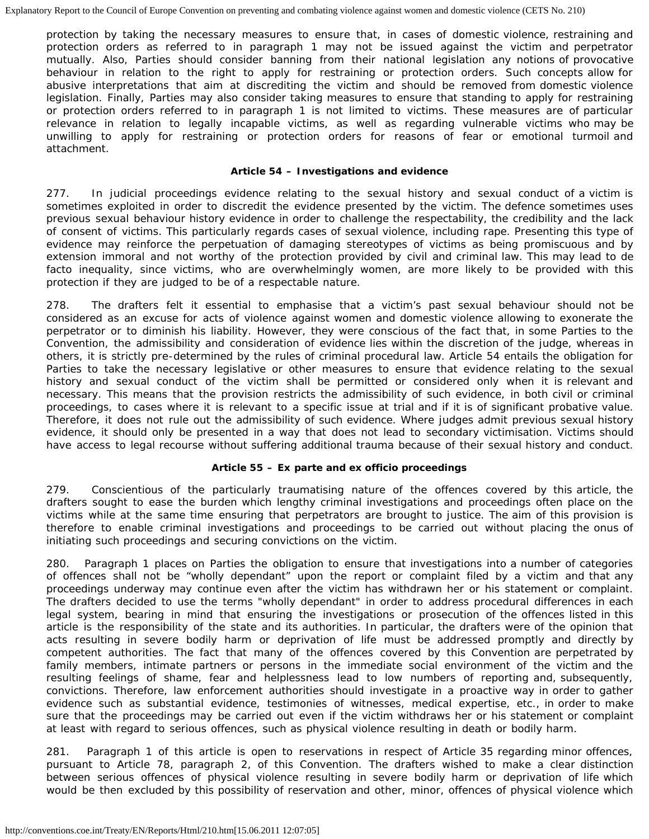protection by taking the necessary measures to ensure that, in cases of domestic violence, restraining and protection orders as referred to in paragraph 1 may not be issued against the victim and perpetrator mutually. Also, Parties should consider banning from their national legislation any notions of provocative behaviour in relation to the right to apply for restraining or protection orders. Such concepts allow for abusive interpretations that aim at discrediting the victim and should be removed from domestic violence legislation. Finally, Parties may also consider taking measures to ensure that standing to apply for restraining or protection orders referred to in paragraph 1 is not limited to victims. These measures are of particular relevance in relation to legally incapable victims, as well as regarding vulnerable victims who may be unwilling to apply for restraining or protection orders for reasons of fear or emotional turmoil and attachment.

### **Article 54 – Investigations and evidence**

277. In judicial proceedings evidence relating to the sexual history and sexual conduct of a victim is sometimes exploited in order to discredit the evidence presented by the victim. The defence sometimes uses previous sexual behaviour history evidence in order to challenge the respectability, the credibility and the lack of consent of victims. This particularly regards cases of sexual violence, including rape. Presenting this type of evidence may reinforce the perpetuation of damaging stereotypes of victims as being promiscuous and by extension immoral and not worthy of the protection provided by civil and criminal law. This may lead to de facto inequality, since victims, who are overwhelmingly women, are more likely to be provided with this protection if they are judged to be of a respectable nature.

278. The drafters felt it essential to emphasise that a victim's past sexual behaviour should not be considered as an excuse for acts of violence against women and domestic violence allowing to exonerate the perpetrator or to diminish his liability. However, they were conscious of the fact that, in some Parties to the Convention, the admissibility and consideration of evidence lies within the discretion of the judge, whereas in others, it is strictly pre-determined by the rules of criminal procedural law. Article 54 entails the obligation for Parties to take the necessary legislative or other measures to ensure that evidence relating to the sexual history and sexual conduct of the victim shall be permitted or considered only when it is relevant and necessary. This means that the provision restricts the admissibility of such evidence, in both civil or criminal proceedings, to cases where it is relevant to a specific issue at trial and if it is of significant probative value. Therefore, it does not rule out the admissibility of such evidence. Where judges admit previous sexual history evidence, it should only be presented in a way that does not lead to secondary victimisation. Victims should have access to legal recourse without suffering additional trauma because of their sexual history and conduct.

## **Article 55 –** *Ex parte* **and** *ex officio* **proceedings**

279. Conscientious of the particularly traumatising nature of the offences covered by this article, the drafters sought to ease the burden which lengthy criminal investigations and proceedings often place on the victims while at the same time ensuring that perpetrators are brought to justice. The aim of this provision is therefore to enable criminal investigations and proceedings to be carried out without placing the onus of initiating such proceedings and securing convictions on the victim.

280. Paragraph 1 places on Parties the obligation to ensure that investigations into a number of categories of offences shall not be "wholly dependant" upon the report or complaint filed by a victim and that any proceedings underway may continue even after the victim has withdrawn her or his statement or complaint. The drafters decided to use the terms "wholly dependant" in order to address procedural differences in each legal system, bearing in mind that ensuring the investigations or prosecution of the offences listed in this article is the responsibility of the state and its authorities. In particular, the drafters were of the opinion that acts resulting in severe bodily harm or deprivation of life must be addressed promptly and directly by competent authorities. The fact that many of the offences covered by this Convention are perpetrated by family members, intimate partners or persons in the immediate social environment of the victim and the resulting feelings of shame, fear and helplessness lead to low numbers of reporting and, subsequently, convictions. Therefore, law enforcement authorities should investigate in a proactive way in order to gather evidence such as substantial evidence, testimonies of witnesses, medical expertise, etc., in order to make sure that the proceedings may be carried out even if the victim withdraws her or his statement or complaint at least with regard to serious offences, such as physical violence resulting in death or bodily harm.

281. Paragraph 1 of this article is open to reservations in respect of Article 35 regarding minor offences, pursuant to Article 78, paragraph 2, of this Convention. The drafters wished to make a clear distinction between serious offences of physical violence resulting in severe bodily harm or deprivation of life which would be then excluded by this possibility of reservation and other, minor, offences of physical violence which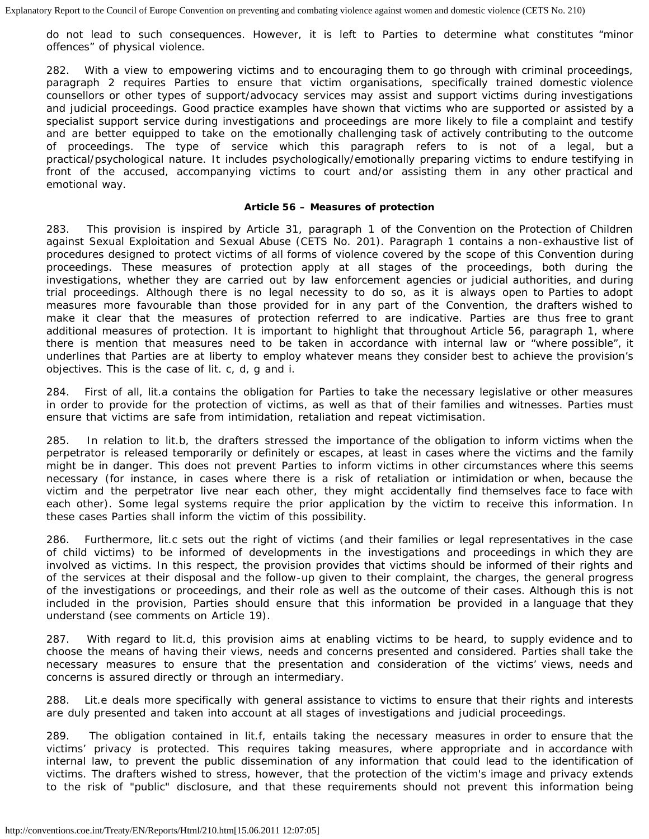do not lead to such consequences. However, it is left to Parties to determine what constitutes "minor offences" of physical violence.

282. With a view to empowering victims and to encouraging them to go through with criminal proceedings, paragraph 2 requires Parties to ensure that victim organisations, specifically trained domestic violence counsellors or other types of support/advocacy services may assist and support victims during investigations and judicial proceedings. Good practice examples have shown that victims who are supported or assisted by a specialist support service during investigations and proceedings are more likely to file a complaint and testify and are better equipped to take on the emotionally challenging task of actively contributing to the outcome of proceedings. The type of service which this paragraph refers to is not of a legal, but a practical/psychological nature. It includes psychologically/emotionally preparing victims to endure testifying in front of the accused, accompanying victims to court and/or assisting them in any other practical and emotional way.

### **Article 56 – Measures of protection**

283. This provision is inspired by Article 31, paragraph 1 of the Convention on the Protection of Children against Sexual Exploitation and Sexual Abuse (CETS No. 201). Paragraph 1 contains a non-exhaustive list of procedures designed to protect victims of all forms of violence covered by the scope of this Convention during proceedings. These measures of protection apply at all stages of the proceedings, both during the investigations, whether they are carried out by law enforcement agencies or judicial authorities, and during trial proceedings. Although there is no legal necessity to do so, as it is always open to Parties to adopt measures more favourable than those provided for in any part of the Convention, the drafters wished to make it clear that the measures of protection referred to are indicative. Parties are thus free to grant additional measures of protection. It is important to highlight that throughout Article 56, paragraph 1, where there is mention that measures need to be taken in accordance with internal law or "where possible", it underlines that Parties are at liberty to employ whatever means they consider best to achieve the provision's objectives. This is the case of lit. c, d, g and i.

284. First of all, lit.a contains the obligation for Parties to take the necessary legislative or other measures in order to provide for the protection of victims, as well as that of their families and witnesses. Parties must ensure that victims are safe from intimidation, retaliation and repeat victimisation.

285. In relation to lit.b, the drafters stressed the importance of the obligation to inform victims when the perpetrator is released temporarily or definitely or escapes, at least in cases where the victims and the family might be in danger. This does not prevent Parties to inform victims in other circumstances where this seems necessary (for instance, in cases where there is a risk of retaliation or intimidation or when, because the victim and the perpetrator live near each other, they might accidentally find themselves face to face with each other). Some legal systems require the prior application by the victim to receive this information. In these cases Parties shall inform the victim of this possibility.

286. Furthermore, lit.c sets out the right of victims (and their families or legal representatives in the case of child victims) to be informed of developments in the investigations and proceedings in which they are involved as victims. In this respect, the provision provides that victims should be informed of their rights and of the services at their disposal and the follow-up given to their complaint, the charges, the general progress of the investigations or proceedings, and their role as well as the outcome of their cases. Although this is not included in the provision, Parties should ensure that this information be provided in a language that they understand (see comments on Article 19).

287. With regard to lit.d, this provision aims at enabling victims to be heard, to supply evidence and to choose the means of having their views, needs and concerns presented and considered. Parties shall take the necessary measures to ensure that the presentation and consideration of the victims' views, needs and concerns is assured directly or through an intermediary.

288. Lit.e deals more specifically with general assistance to victims to ensure that their rights and interests are duly presented and taken into account at all stages of investigations and judicial proceedings.

289. The obligation contained in lit.f, entails taking the necessary measures in order to ensure that the victims' privacy is protected. This requires taking measures, where appropriate and in accordance with internal law, to prevent the public dissemination of any information that could lead to the identification of victims. The drafters wished to stress, however, that the protection of the victim's image and privacy extends to the risk of "public" disclosure, and that these requirements should not prevent this information being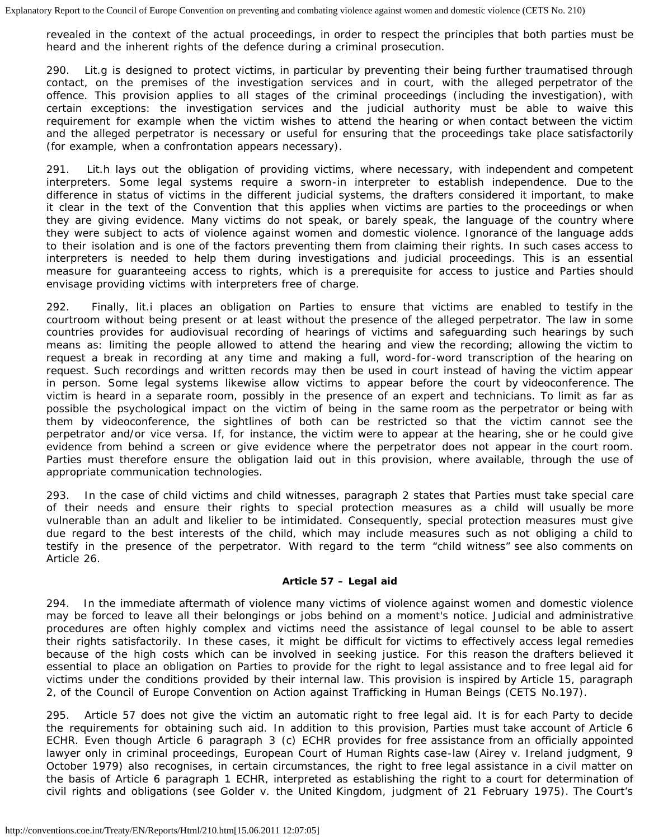revealed in the context of the actual proceedings, in order to respect the principles that both parties must be heard and the inherent rights of the defence during a criminal prosecution.

290. Lit.g is designed to protect victims, in particular by preventing their being further traumatised through contact, on the premises of the investigation services and in court, with the alleged perpetrator of the offence. This provision applies to all stages of the criminal proceedings (including the investigation), with certain exceptions: the investigation services and the judicial authority must be able to waive this requirement for example when the victim wishes to attend the hearing or when contact between the victim and the alleged perpetrator is necessary or useful for ensuring that the proceedings take place satisfactorily (for example, when a confrontation appears necessary).

291. Lit.h lays out the obligation of providing victims, where necessary, with independent and competent interpreters. Some legal systems require a sworn-in interpreter to establish independence. Due to the difference in status of victims in the different judicial systems, the drafters considered it important, to make it clear in the text of the Convention that this applies when victims are parties to the proceedings or when they are giving evidence. Many victims do not speak, or barely speak, the language of the country where they were subject to acts of violence against women and domestic violence. Ignorance of the language adds to their isolation and is one of the factors preventing them from claiming their rights. In such cases access to interpreters is needed to help them during investigations and judicial proceedings. This is an essential measure for guaranteeing access to rights, which is a prerequisite for access to justice and Parties should envisage providing victims with interpreters free of charge.

292. Finally, lit.i places an obligation on Parties to ensure that victims are enabled to testify in the courtroom without being present or at least without the presence of the alleged perpetrator. The law in some countries provides for audiovisual recording of hearings of victims and safeguarding such hearings by such means as: limiting the people allowed to attend the hearing and view the recording; allowing the victim to request a break in recording at any time and making a full, word-for-word transcription of the hearing on request. Such recordings and written records may then be used in court instead of having the victim appear in person. Some legal systems likewise allow victims to appear before the court by videoconference. The victim is heard in a separate room, possibly in the presence of an expert and technicians. To limit as far as possible the psychological impact on the victim of being in the same room as the perpetrator or being with them by videoconference, the sightlines of both can be restricted so that the victim cannot see the perpetrator and/or vice versa. If, for instance, the victim were to appear at the hearing, she or he could give evidence from behind a screen or give evidence where the perpetrator does not appear in the court room. Parties must therefore ensure the obligation laid out in this provision, where available, through the use of appropriate communication technologies.

293. In the case of child victims and child witnesses, paragraph 2 states that Parties must take special care of their needs and ensure their rights to special protection measures as a child will usually be more vulnerable than an adult and likelier to be intimidated. Consequently, special protection measures must give due regard to the best interests of the child, which may include measures such as not obliging a child to testify in the presence of the perpetrator. With regard to the term "child witness" see also comments on Article 26.

## **Article 57 – Legal aid**

294. In the immediate aftermath of violence many victims of violence against women and domestic violence may be forced to leave all their belongings or jobs behind on a moment's notice. Judicial and administrative procedures are often highly complex and victims need the assistance of legal counsel to be able to assert their rights satisfactorily. In these cases, it might be difficult for victims to effectively access legal remedies because of the high costs which can be involved in seeking justice. For this reason the drafters believed it essential to place an obligation on Parties to provide for the right to legal assistance and to free legal aid for victims under the conditions provided by their internal law. This provision is inspired by Article 15, paragraph 2, of the Council of Europe Convention on Action against Trafficking in Human Beings (CETS No.197).

295. Article 57 does not give the victim an automatic right to free legal aid. It is for each Party to decide the requirements for obtaining such aid. In addition to this provision, Parties must take account of Article 6 ECHR. Even though Article 6 paragraph 3 (c) ECHR provides for free assistance from an officially appointed lawyer only in criminal proceedings, European Court of Human Rights case-law (*Airey v. Ireland* judgment, 9 October 1979) also recognises, in certain circumstances, the right to free legal assistance in a civil matter on the basis of Article 6 paragraph 1 ECHR, interpreted as establishing the right to a court for determination of civil rights and obligations (see *Golder v. the United Kingdom*, judgment of 21 February 1975). The Court's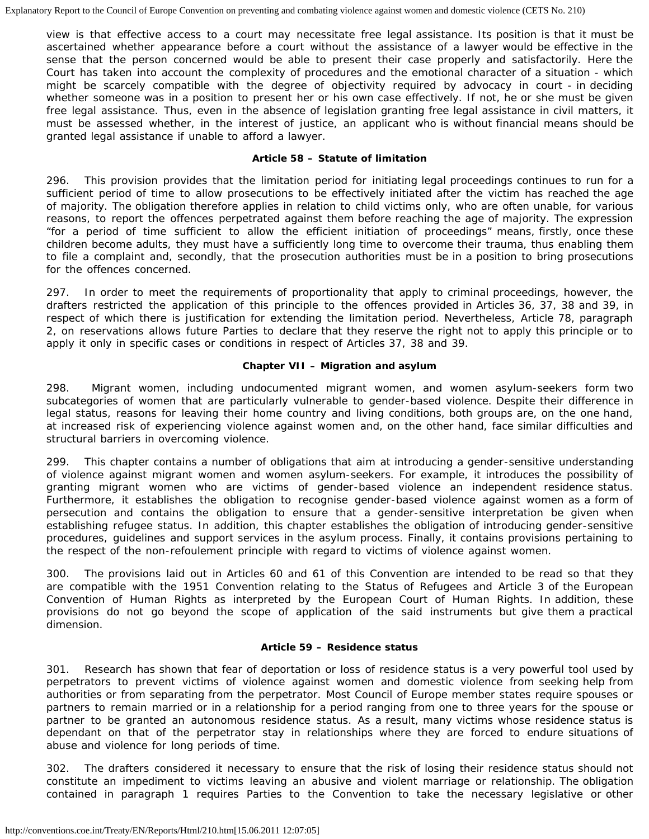view is that effective access to a court may necessitate free legal assistance. Its position is that it must be ascertained whether appearance before a court without the assistance of a lawyer would be effective in the sense that the person concerned would be able to present their case properly and satisfactorily. Here the Court has taken into account the complexity of procedures and the emotional character of a situation - which might be scarcely compatible with the degree of objectivity required by advocacy in court - in deciding whether someone was in a position to present her or his own case effectively. If not, he or she must be given free legal assistance. Thus, even in the absence of legislation granting free legal assistance in civil matters, it must be assessed whether, in the interest of justice, an applicant who is without financial means should be granted legal assistance if unable to afford a lawyer.

## **Article 58 – Statute of limitation**

296. This provision provides that the limitation period for initiating legal proceedings continues to run for a sufficient period of time to allow prosecutions to be effectively initiated after the victim has reached the age of majority. The obligation therefore applies in relation to child victims only, who are often unable, for various reasons, to report the offences perpetrated against them before reaching the age of majority. The expression "for a period of time sufficient to allow the efficient initiation of proceedings" means, firstly, once these children become adults, they must have a sufficiently long time to overcome their trauma, thus enabling them to file a complaint and, secondly, that the prosecution authorities must be in a position to bring prosecutions for the offences concerned.

297. In order to meet the requirements of proportionality that apply to criminal proceedings, however, the drafters restricted the application of this principle to the offences provided in Articles 36, 37, 38 and 39, in respect of which there is justification for extending the limitation period. Nevertheless, Article 78, paragraph 2, on reservations allows future Parties to declare that they reserve the right not to apply this principle or to apply it only in specific cases or conditions in respect of Articles 37, 38 and 39.

## **Chapter VII – Migration and asylum**

298. Migrant women, including undocumented migrant women, and women asylum-seekers form two subcategories of women that are particularly vulnerable to gender-based violence. Despite their difference in legal status, reasons for leaving their home country and living conditions, both groups are, on the one hand, at increased risk of experiencing violence against women and, on the other hand, face similar difficulties and structural barriers in overcoming violence.

299. This chapter contains a number of obligations that aim at introducing a gender-sensitive understanding of violence against migrant women and women asylum-seekers. For example, it introduces the possibility of granting migrant women who are victims of gender-based violence an independent residence status. Furthermore, it establishes the obligation to recognise gender-based violence against women as a form of persecution and contains the obligation to ensure that a gender-sensitive interpretation be given when establishing refugee status. In addition, this chapter establishes the obligation of introducing gender-sensitive procedures, guidelines and support services in the asylum process. Finally, it contains provisions pertaining to the respect of the *non-refoulement* principle with regard to victims of violence against women.

300. The provisions laid out in Articles 60 and 61 of this Convention are intended to be read so that they are compatible with the 1951 Convention relating to the Status of Refugees and Article 3 of the European Convention of Human Rights as interpreted by the European Court of Human Rights. In addition, these provisions do not go beyond the scope of application of the said instruments but give them a practical dimension.

## **Article 59 – Residence status**

301. Research has shown that fear of deportation or loss of residence status is a very powerful tool used by perpetrators to prevent victims of violence against women and domestic violence from seeking help from authorities or from separating from the perpetrator. Most Council of Europe member states require spouses or partners to remain married or in a relationship for a period ranging from one to three years for the spouse or partner to be granted an autonomous residence status. As a result, many victims whose residence status is dependant on that of the perpetrator stay in relationships where they are forced to endure situations of abuse and violence for long periods of time.

302. The drafters considered it necessary to ensure that the risk of losing their residence status should not constitute an impediment to victims leaving an abusive and violent marriage or relationship. The obligation contained in paragraph 1 requires Parties to the Convention to take the necessary legislative or other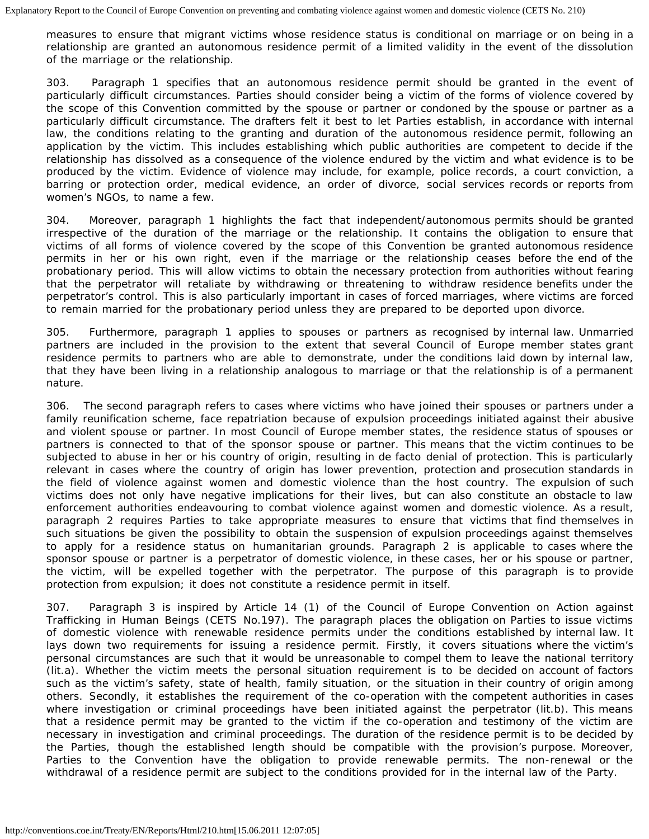measures to ensure that migrant victims whose residence status is conditional on marriage or on being in a relationship are granted an autonomous residence permit of a limited validity in the event of the dissolution of the marriage or the relationship.

303. Paragraph 1 specifies that an autonomous residence permit should be granted in the event of particularly difficult circumstances. Parties should consider being a victim of the forms of violence covered by the scope of this Convention committed by the spouse or partner or condoned by the spouse or partner as a particularly difficult circumstance. The drafters felt it best to let Parties establish, in accordance with internal law, the conditions relating to the granting and duration of the autonomous residence permit, following an application by the victim. This includes establishing which public authorities are competent to decide if the relationship has dissolved as a consequence of the violence endured by the victim and what evidence is to be produced by the victim. Evidence of violence may include, for example, police records, a court conviction, a barring or protection order, medical evidence, an order of divorce, social services records or reports from women's NGOs, to name a few.

304. Moreover, paragraph 1 highlights the fact that independent/autonomous permits should be granted irrespective of the duration of the marriage or the relationship. It contains the obligation to ensure that victims of all forms of violence covered by the scope of this Convention be granted autonomous residence permits in her or his own right, even if the marriage or the relationship ceases before the end of the probationary period. This will allow victims to obtain the necessary protection from authorities without fearing that the perpetrator will retaliate by withdrawing or threatening to withdraw residence benefits under the perpetrator's control. This is also particularly important in cases of forced marriages, where victims are forced to remain married for the probationary period unless they are prepared to be deported upon divorce.

305. Furthermore, paragraph 1 applies to spouses or partners as recognised by internal law. Unmarried partners are included in the provision to the extent that several Council of Europe member states grant residence permits to partners who are able to demonstrate, under the conditions laid down by internal law, that they have been living in a relationship analogous to marriage or that the relationship is of a permanent nature.

306. The second paragraph refers to cases where victims who have joined their spouses or partners under a family reunification scheme, face repatriation because of expulsion proceedings initiated against their abusive and violent spouse or partner. In most Council of Europe member states, the residence status of spouses or partners is connected to that of the sponsor spouse or partner. This means that the victim continues to be subjected to abuse in her or his country of origin, resulting in *de facto* denial of protection. This is particularly relevant in cases where the country of origin has lower prevention, protection and prosecution standards in the field of violence against women and domestic violence than the host country. The expulsion of such victims does not only have negative implications for their lives, but can also constitute an obstacle to law enforcement authorities endeavouring to combat violence against women and domestic violence. As a result, paragraph 2 requires Parties to take appropriate measures to ensure that victims that find themselves in such situations be given the possibility to obtain the suspension of expulsion proceedings against themselves to apply for a residence status on humanitarian grounds. Paragraph 2 is applicable to cases where the sponsor spouse or partner is a perpetrator of domestic violence, in these cases, her or his spouse or partner, the victim, will be expelled together with the perpetrator. The purpose of this paragraph is to provide protection from expulsion; it does not constitute a residence permit in itself.

307. Paragraph 3 is inspired by Article 14 (1) of the Council of Europe Convention on Action against Trafficking in Human Beings (CETS No.197). The paragraph places the obligation on Parties to issue victims of domestic violence with renewable residence permits under the conditions established by internal law. It lays down two requirements for issuing a residence permit. Firstly, it covers situations where the victim's personal circumstances are such that it would be unreasonable to compel them to leave the national territory (lit.a). Whether the victim meets the personal situation requirement is to be decided on account of factors such as the victim's safety, state of health, family situation, or the situation in their country of origin among others. Secondly, it establishes the requirement of the co-operation with the competent authorities in cases where investigation or criminal proceedings have been initiated against the perpetrator (lit.b). This means that a residence permit may be granted to the victim if the co-operation and testimony of the victim are necessary in investigation and criminal proceedings. The duration of the residence permit is to be decided by the Parties, though the established length should be compatible with the provision's purpose. Moreover, Parties to the Convention have the obligation to provide renewable permits. The non-renewal or the withdrawal of a residence permit are subject to the conditions provided for in the internal law of the Party.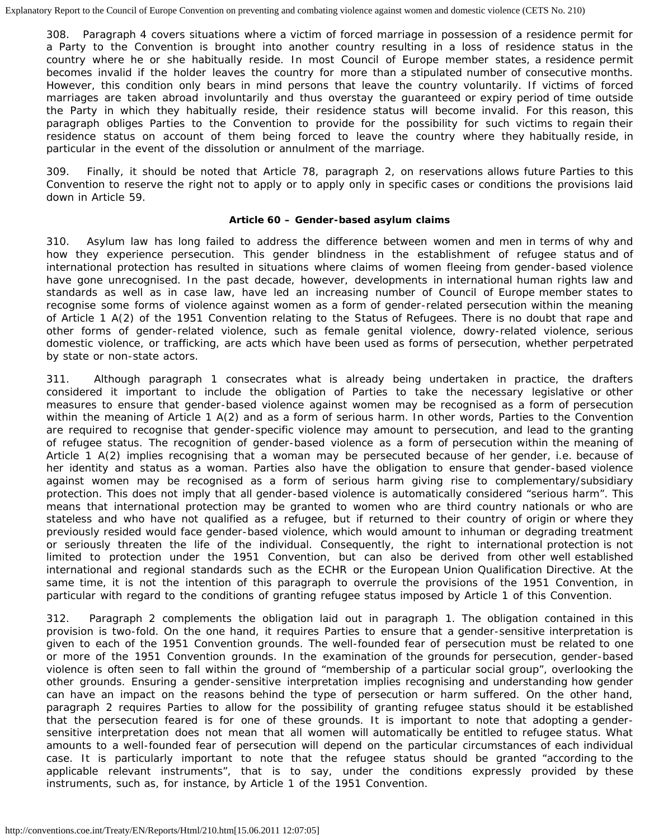308. Paragraph 4 covers situations where a victim of forced marriage in possession of a residence permit for a Party to the Convention is brought into another country resulting in a loss of residence status in the country where he or she habitually reside. In most Council of Europe member states, a residence permit becomes invalid if the holder leaves the country for more than a stipulated number of consecutive months. However, this condition only bears in mind persons that leave the country voluntarily. If victims of forced marriages are taken abroad involuntarily and thus overstay the guaranteed or expiry period of time outside the Party in which they habitually reside, their residence status will become invalid. For this reason, this paragraph obliges Parties to the Convention to provide for the possibility for such victims to regain their residence status on account of them being forced to leave the country where they habitually reside, in particular in the event of the dissolution or annulment of the marriage.

309. Finally, it should be noted that Article 78, paragraph 2, on reservations allows future Parties to this Convention to reserve the right not to apply or to apply only in specific cases or conditions the provisions laid down in Article 59.

#### **Article 60 – Gender-based asylum claims**

310. Asylum law has long failed to address the difference between women and men in terms of why and how they experience persecution. This gender blindness in the establishment of refugee status and of international protection has resulted in situations where claims of women fleeing from gender-based violence have gone unrecognised. In the past decade, however, developments in international human rights law and standards as well as in case law, have led an increasing number of Council of Europe member states to recognise some forms of violence against women as a form of gender-related persecution within the meaning of Article 1 A(2) of the 1951 Convention relating to the Status of Refugees. There is no doubt that rape and other forms of gender-related violence, such as female genital violence, dowry-related violence, serious domestic violence, or trafficking, are acts which have been used as forms of persecution, whether perpetrated by state or non-state actors.

311. Although paragraph 1 consecrates what is already being undertaken in practice, the drafters considered it important to include the obligation of Parties to take the necessary legislative or other measures to ensure that gender-based violence against women may be recognised as a form of persecution within the meaning of Article 1 A(2) and as a form of serious harm. In other words, Parties to the Convention are required to recognise that gender-specific violence may amount to persecution, and lead to the granting of refugee status. The recognition of gender-based violence as a form of persecution within the meaning of Article 1 A(2) implies recognising that a woman may be persecuted because of her gender, i.e. because of her identity and status as a woman. Parties also have the obligation to ensure that gender-based violence against women may be recognised as a form of serious harm giving rise to complementary/subsidiary protection. This does not imply that all gender-based violence is automatically considered "serious harm". This means that international protection may be granted to women who are third country nationals or who are stateless and who have not qualified as a refugee, but if returned to their country of origin or where they previously resided would face gender-based violence, which would amount to inhuman or degrading treatment or seriously threaten the life of the individual. Consequently, the right to international protection is not limited to protection under the 1951 Convention, but can also be derived from other well established international and regional standards such as the ECHR or the European Union Qualification Directive. At the same time, it is not the intention of this paragraph to overrule the provisions of the 1951 Convention, in particular with regard to the conditions of granting refugee status imposed by Article 1 of this Convention.

312. Paragraph 2 complements the obligation laid out in paragraph 1. The obligation contained in this provision is two-fold. On the one hand, it requires Parties to ensure that a gender-sensitive interpretation is given to each of the 1951 Convention grounds. The well-founded fear of persecution must be related to one or more of the 1951 Convention grounds. In the examination of the grounds for persecution, gender-based violence is often seen to fall within the ground of "membership of a particular social group", overlooking the other grounds. Ensuring a gender-sensitive interpretation implies recognising and understanding how gender can have an impact on the reasons behind the type of persecution or harm suffered. On the other hand, paragraph 2 requires Parties to allow for the possibility of granting refugee status should it be established that the persecution feared is for one of these grounds. It is important to note that adopting a gendersensitive interpretation does not mean that all women will automatically be entitled to refugee status. What amounts to a well-founded fear of persecution will depend on the particular circumstances of each individual case. It is particularly important to note that the refugee status should be granted "according to the applicable relevant instruments", that is to say, under the conditions expressly provided by these instruments, such as, for instance, by Article 1 of the 1951 Convention.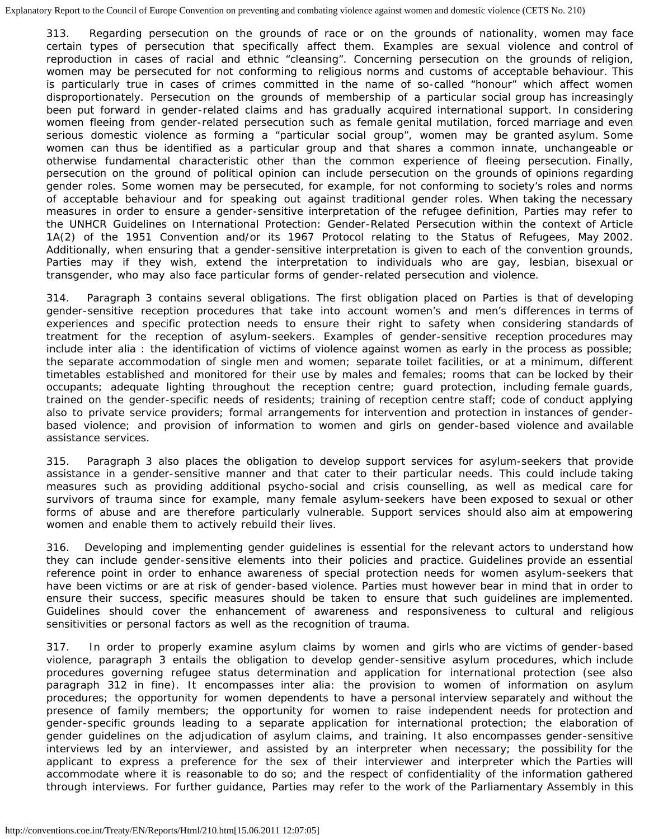313. Regarding persecution on the grounds of race or on the grounds of nationality, women may face certain types of persecution that specifically affect them. Examples are sexual violence and control of reproduction in cases of racial and ethnic "cleansing". Concerning persecution on the grounds of religion, women may be persecuted for not conforming to religious norms and customs of acceptable behaviour. This is particularly true in cases of crimes committed in the name of so-called "honour" which affect women disproportionately. Persecution on the grounds of membership of a particular social group has increasingly been put forward in gender-related claims and has gradually acquired international support. In considering women fleeing from gender-related persecution such as female genital mutilation, forced marriage and even serious domestic violence as forming a "particular social group", women may be granted asylum. Some women can thus be identified as a particular group and that shares a common innate, unchangeable or otherwise fundamental characteristic other than the common experience of fleeing persecution. Finally, persecution on the ground of political opinion can include persecution on the grounds of opinions regarding gender roles. Some women may be persecuted, for example, for not conforming to society's roles and norms of acceptable behaviour and for speaking out against traditional gender roles. When taking the necessary measures in order to ensure a gender-sensitive interpretation of the refugee definition, Parties may refer to the UNHCR Guidelines on International Protection: Gender-Related Persecution within the context of Article 1A(2) of the 1951 Convention and/or its 1967 Protocol relating to the Status of Refugees, May 2002. Additionally, when ensuring that a gender-sensitive interpretation is given to each of the convention grounds, Parties may if they wish, extend the interpretation to individuals who are gay, lesbian, bisexual or transgender, who may also face particular forms of gender-related persecution and violence.

314. Paragraph 3 contains several obligations. The first obligation placed on Parties is that of developing gender-sensitive reception procedures that take into account women's and men's differences in terms of experiences and specific protection needs to ensure their right to safety when considering standards of treatment for the reception of asylum-seekers. Examples of gender-sensitive reception procedures may include inter alia : the identification of victims of violence against women as early in the process as possible; the separate accommodation of single men and women; separate toilet facilities, or at a minimum, different timetables established and monitored for their use by males and females; rooms that can be locked by their occupants; adequate lighting throughout the reception centre; guard protection, including female guards, trained on the gender-specific needs of residents; training of reception centre staff; code of conduct applying also to private service providers; formal arrangements for intervention and protection in instances of genderbased violence; and provision of information to women and girls on gender-based violence and available assistance services.

315. Paragraph 3 also places the obligation to develop support services for asylum-seekers that provide assistance in a gender-sensitive manner and that cater to their particular needs. This could include taking measures such as providing additional psycho-social and crisis counselling, as well as medical care for survivors of trauma since for example, many female asylum-seekers have been exposed to sexual or other forms of abuse and are therefore particularly vulnerable. Support services should also aim at empowering women and enable them to actively rebuild their lives.

316. Developing and implementing gender guidelines is essential for the relevant actors to understand how they can include gender-sensitive elements into their policies and practice. Guidelines provide an essential reference point in order to enhance awareness of special protection needs for women asylum-seekers that have been victims or are at risk of gender-based violence. Parties must however bear in mind that in order to ensure their success, specific measures should be taken to ensure that such guidelines are implemented. Guidelines should cover the enhancement of awareness and responsiveness to cultural and religious sensitivities or personal factors as well as the recognition of trauma.

317. In order to properly examine asylum claims by women and girls who are victims of gender-based violence, paragraph 3 entails the obligation to develop gender-sensitive asylum procedures, which include procedures governing refugee status determination and application for international protection (see also paragraph 312 *in fine*). It encompasses *inter alia*: the provision to women of information on asylum procedures; the opportunity for women dependents to have a personal interview separately and without the presence of family members; the opportunity for women to raise independent needs for protection and gender-specific grounds leading to a separate application for international protection; the elaboration of gender guidelines on the adjudication of asylum claims, and training. It also encompasses gender-sensitive interviews led by an interviewer, and assisted by an interpreter when necessary; the possibility for the applicant to express a preference for the sex of their interviewer and interpreter which the Parties will accommodate where it is reasonable to do so; and the respect of confidentiality of the information gathered through interviews. For further guidance, Parties may refer to the work of the Parliamentary Assembly in this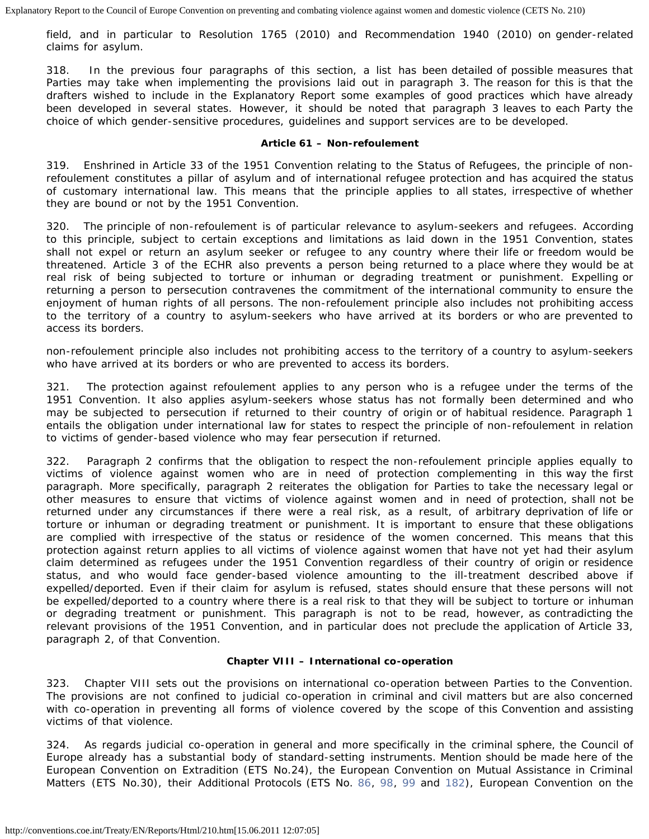field, and in particular to Resolution 1765 (2010) and Recommendation 1940 (2010) on gender-related claims for asylum.

318. In the previous four paragraphs of this section, a list has been detailed of possible measures that Parties may take when implementing the provisions laid out in paragraph 3. The reason for this is that the drafters wished to include in the Explanatory Report some examples of good practices which have already been developed in several states. However, it should be noted that paragraph 3 leaves to each Party the choice of which gender-sensitive procedures, guidelines and support services are to be developed.

#### **Article 61 –** *Non-refoulement*

319. Enshrined in Article 33 of the 1951 Convention relating to the Status of Refugees, the principle of *nonrefoulement* constitutes a pillar of asylum and of international refugee protection and has acquired the status of customary international law. This means that the principle applies to all states, irrespective of whether they are bound or not by the 1951 Convention.

320. The principle of *non-refoulement* is of particular relevance to asylum-seekers and refugees. According to this principle, subject to certain exceptions and limitations as laid down in the 1951 Convention, states shall not expel or return an asylum seeker or refugee to any country where their life or freedom would be threatened. Article 3 of the ECHR also prevents a person being returned to a place where they would be at real risk of being subjected to torture or inhuman or degrading treatment or punishment. Expelling or returning a person to persecution contravenes the commitment of the international community to ensure the enjoyment of human rights of all persons. The *non-refoulement* principle also includes not prohibiting access to the territory of a country to asylum-seekers who have arrived at its borders or who are prevented to access its borders.

*non-refoulement* principle also includes not prohibiting access to the territory of a country to asylum-seekers who have arrived at its borders or who are prevented to access its borders.

321. The protection against refoulement applies to any person who is a refugee under the terms of the 1951 Convention. It also applies asylum-seekers whose status has not formally been determined and who may be subjected to persecution if returned to their country of origin or of habitual residence. Paragraph 1 entails the obligation under international law for states to respect the principle of *non-refoulement* in relation to victims of gender-based violence who may fear persecution if returned.

322. Paragraph 2 confirms that the obligation to respect the *non-refoulement* principle applies equally to victims of violence against women who are in need of protection complementing in this way the first paragraph. More specifically, paragraph 2 reiterates the obligation for Parties to take the necessary legal or other measures to ensure that victims of violence against women and in need of protection, shall not be returned under any circumstances if there were a real risk, as a result, of arbitrary deprivation of life or torture or inhuman or degrading treatment or punishment. It is important to ensure that these obligations are complied with irrespective of the status or residence of the women concerned. This means that this protection against return applies to all victims of violence against women that have not yet had their asylum claim determined as refugees under the 1951 Convention regardless of their country of origin or residence status, and who would face gender-based violence amounting to the ill-treatment described above if expelled/deported. Even if their claim for asylum is refused, states should ensure that these persons will not be expelled/deported to a country where there is a real risk to that they will be subject to torture or inhuman or degrading treatment or punishment. This paragraph is not to be read, however, as contradicting the relevant provisions of the 1951 Convention, and in particular does not preclude the application of Article 33, paragraph 2, of that Convention.

## **Chapter VIII – International co-operation**

323. Chapter VIII sets out the provisions on international co-operation between Parties to the Convention. The provisions are not confined to judicial co-operation in criminal and civil matters but are also concerned with co-operation in preventing all forms of violence covered by the scope of this Convention and assisting victims of that violence.

324. As regards judicial co-operation in general and more specifically in the criminal sphere, the Council of Europe already has a substantial body of standard-setting instruments. Mention should be made here of the European Convention on Extradition (ETS No.24), the European Convention on Mutual Assistance in Criminal Matters (ETS No.30), their Additional Protocols (ETS No. [86,](http://conventions.coe.int/Treaty/EN/Treaties/HTML/086.htm) [98,](http://conventions.coe.int/Treaty/EN/Treaties/HTML/098.htm) [99](http://conventions.coe.int/Treaty/EN/Treaties/HTML/099.htm) and [182](http://conventions.coe.int/Treaty/EN/Treaties/HTML/182.htm)), European Convention on the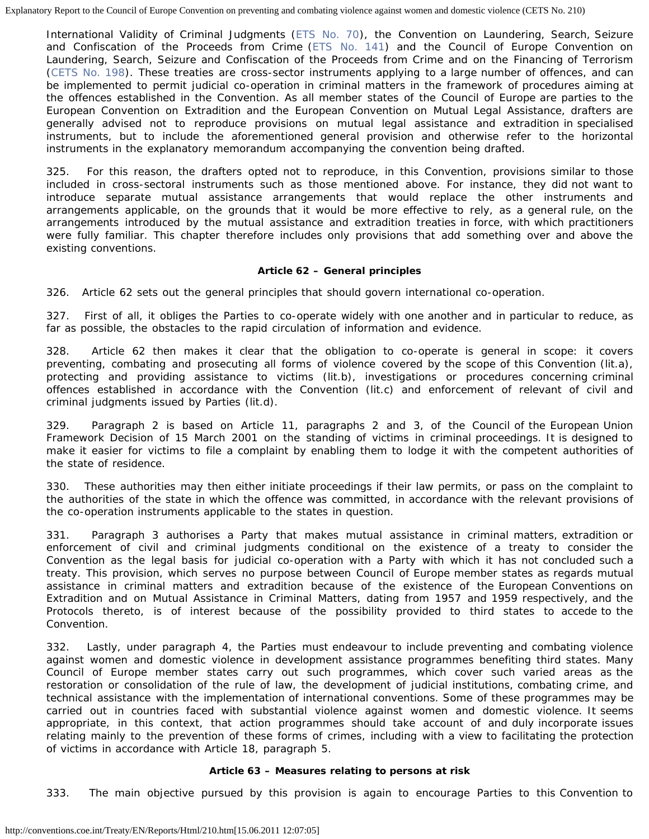International Validity of Criminal Judgments [\(ETS No. 70](http://conventions.coe.int/Treaty/EN/Treaties/HTML/070.htm)), the Convention on Laundering, Search, Seizure and Confiscation of the Proceeds from Crime ([ETS No. 141](http://conventions.coe.int/Treaty/EN/Treaties/HTML/141.htm)) and the Council of Europe Convention on Laundering, Search, Seizure and Confiscation of the Proceeds from Crime and on the Financing of Terrorism [\(CETS No. 198](http://conventions.coe.int/Treaty/EN/Treaties/HTML/188.htm)). These treaties are cross-sector instruments applying to a large number of offences, and can be implemented to permit judicial co-operation in criminal matters in the framework of procedures aiming at the offences established in the Convention. As all member states of the Council of Europe are parties to the European Convention on Extradition and the European Convention on Mutual Legal Assistance, drafters are generally advised not to reproduce provisions on mutual legal assistance and extradition in specialised instruments, but to include the aforementioned general provision and otherwise refer to the horizontal instruments in the explanatory memorandum accompanying the convention being drafted.

325. For this reason, the drafters opted not to reproduce, in this Convention, provisions similar to those included in cross-sectoral instruments such as those mentioned above. For instance, they did not want to introduce separate mutual assistance arrangements that would replace the other instruments and arrangements applicable, on the grounds that it would be more effective to rely, as a general rule, on the arrangements introduced by the mutual assistance and extradition treaties in force, with which practitioners were fully familiar. This chapter therefore includes only provisions that add something over and above the existing conventions.

## **Article 62 – General principles**

326. Article 62 sets out the general principles that should govern international co-operation.

327. First of all, it obliges the Parties to co-operate widely with one another and in particular to reduce, as far as possible, the obstacles to the rapid circulation of information and evidence.

328. Article 62 then makes it clear that the obligation to co-operate is general in scope: it covers preventing, combating and prosecuting all forms of violence covered by the scope of this Convention (lit.a), protecting and providing assistance to victims (lit.b), investigations or procedures concerning criminal offences established in accordance with the Convention (lit.c) and enforcement of relevant of civil and criminal judgments issued by Parties (lit.d).

329. Paragraph 2 is based on Article 11, paragraphs 2 and 3, of the Council of the European Union Framework Decision of 15 March 2001 on the standing of victims in criminal proceedings. It is designed to make it easier for victims to file a complaint by enabling them to lodge it with the competent authorities of the state of residence.

330. These authorities may then either initiate proceedings if their law permits, or pass on the complaint to the authorities of the state in which the offence was committed, in accordance with the relevant provisions of the co-operation instruments applicable to the states in question.

331. Paragraph 3 authorises a Party that makes mutual assistance in criminal matters, extradition or enforcement of civil and criminal judgments conditional on the existence of a treaty to consider the Convention as the legal basis for judicial co-operation with a Party with which it has not concluded such a treaty. This provision, which serves no purpose between Council of Europe member states as regards mutual assistance in criminal matters and extradition because of the existence of the European Conventions on Extradition and on Mutual Assistance in Criminal Matters, dating from 1957 and 1959 respectively, and the Protocols thereto, is of interest because of the possibility provided to third states to accede to the Convention.

332. Lastly, under paragraph 4, the Parties must endeavour to include preventing and combating violence against women and domestic violence in development assistance programmes benefiting third states. Many Council of Europe member states carry out such programmes, which cover such varied areas as the restoration or consolidation of the rule of law, the development of judicial institutions, combating crime, and technical assistance with the implementation of international conventions. Some of these programmes may be carried out in countries faced with substantial violence against women and domestic violence. It seems appropriate, in this context, that action programmes should take account of and duly incorporate issues relating mainly to the prevention of these forms of crimes, including with a view to facilitating the protection of victims in accordance with Article 18, paragraph 5.

## **Article 63 – Measures relating to persons at risk**

333. The main objective pursued by this provision is again to encourage Parties to this Convention to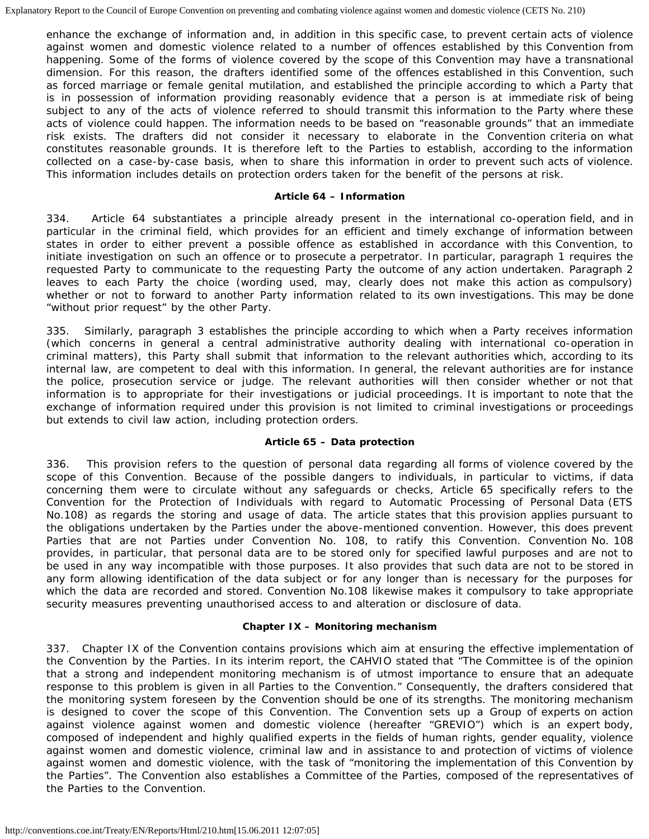enhance the exchange of information and, in addition in this specific case, to prevent certain acts of violence against women and domestic violence related to a number of offences established by this Convention from happening. Some of the forms of violence covered by the scope of this Convention may have a transnational dimension. For this reason, the drafters identified some of the offences established in this Convention, such as forced marriage or female genital mutilation, and established the principle according to which a Party that is in possession of information providing reasonably evidence that a person is at immediate risk of being subject to any of the acts of violence referred to should transmit this information to the Party where these acts of violence could happen. The information needs to be based on "reasonable grounds" that an immediate risk exists. The drafters did not consider it necessary to elaborate in the Convention criteria on what constitutes reasonable grounds. It is therefore left to the Parties to establish, according to the information collected on a case-by-case basis, when to share this information in order to prevent such acts of violence. This information includes details on protection orders taken for the benefit of the persons at risk.

### **Article 64 – Information**

334. Article 64 substantiates a principle already present in the international co-operation field, and in particular in the criminal field, which provides for an efficient and timely exchange of information between states in order to either prevent a possible offence as established in accordance with this Convention, to initiate investigation on such an offence or to prosecute a perpetrator. In particular, paragraph 1 requires the requested Party to communicate to the requesting Party the outcome of any action undertaken. Paragraph 2 leaves to each Party the choice (wording used, may, clearly does not make this action as compulsory) whether or not to forward to another Party information related to its own investigations. This may be done "without prior request" by the other Party.

335. Similarly, paragraph 3 establishes the principle according to which when a Party receives information (which concerns in general a central administrative authority dealing with international co-operation in criminal matters), this Party shall submit that information to the relevant authorities which, according to its internal law, are competent to deal with this information. In general, the relevant authorities are for instance the police, prosecution service or judge. The relevant authorities will then consider whether or not that information is to appropriate for their investigations or judicial proceedings. It is important to note that the exchange of information required under this provision is not limited to criminal investigations or proceedings but extends to civil law action, including protection orders.

## **Article 65 – Data protection**

336. This provision refers to the question of personal data regarding all forms of violence covered by the scope of this Convention. Because of the possible dangers to individuals, in particular to victims, if data concerning them were to circulate without any safeguards or checks, Article 65 specifically refers to the Convention for the Protection of Individuals with regard to Automatic Processing of Personal Data (ETS No.108) as regards the storing and usage of data. The article states that this provision applies pursuant to the obligations undertaken by the Parties under the above-mentioned convention. However, this does prevent Parties that are not Parties under Convention No. 108, to ratify this Convention. Convention No. 108 provides, in particular, that personal data are to be stored only for specified lawful purposes and are not to be used in any way incompatible with those purposes. It also provides that such data are not to be stored in any form allowing identification of the data subject or for any longer than is necessary for the purposes for which the data are recorded and stored. Convention No.108 likewise makes it compulsory to take appropriate security measures preventing unauthorised access to and alteration or disclosure of data.

## **Chapter IX – Monitoring mechanism**

337. Chapter IX of the Convention contains provisions which aim at ensuring the effective implementation of the Convention by the Parties. In its interim report, the CAHVIO stated that "The Committee is of the opinion that a strong and independent monitoring mechanism is of utmost importance to ensure that an adequate response to this problem is given in all Parties to the Convention." Consequently, the drafters considered that the monitoring system foreseen by the Convention should be one of its strengths. The monitoring mechanism is designed to cover the scope of this Convention. The Convention sets up a Group of experts on action against violence against women and domestic violence (hereafter "GREVIO") which is an expert body, composed of independent and highly qualified experts in the fields of human rights, gender equality, violence against women and domestic violence, criminal law and in assistance to and protection of victims of violence against women and domestic violence, with the task of "monitoring the implementation of this Convention by the Parties". The Convention also establishes a Committee of the Parties, composed of the representatives of the Parties to the Convention.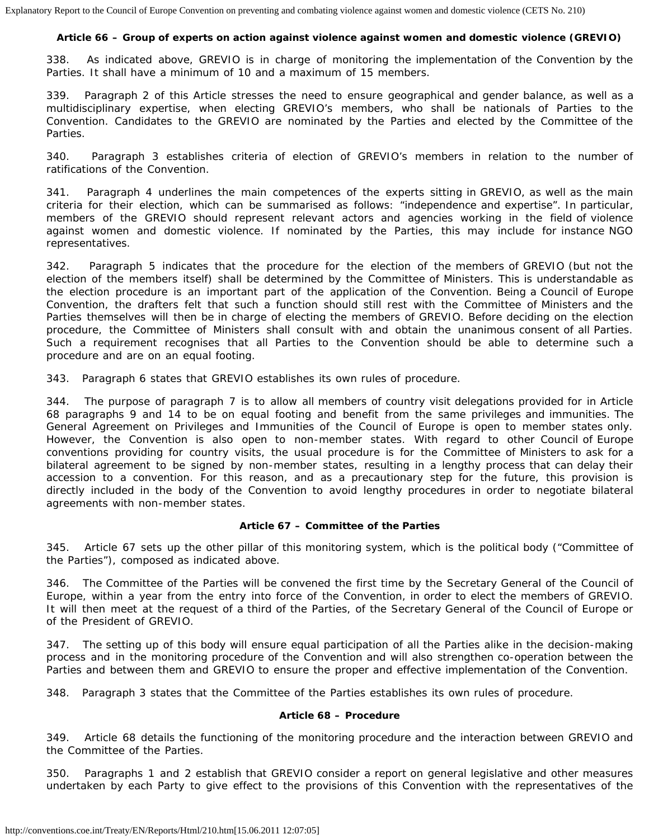# **Article 66 – Group of experts on action against violence against women and domestic violence (GREVIO)**

338. As indicated above, GREVIO is in charge of monitoring the implementation of the Convention by the Parties. It shall have a minimum of 10 and a maximum of 15 members.

339. Paragraph 2 of this Article stresses the need to ensure geographical and gender balance, as well as a multidisciplinary expertise, when electing GREVIO's members, who shall be nationals of Parties to the Convention. Candidates to the GREVIO are nominated by the Parties and elected by the Committee of the Parties.

340. Paragraph 3 establishes criteria of election of GREVIO's members in relation to the number of ratifications of the Convention.

341. Paragraph 4 underlines the main competences of the experts sitting in GREVIO, as well as the main criteria for their election, which can be summarised as follows: "independence and expertise". In particular, members of the GREVIO should represent relevant actors and agencies working in the field of violence against women and domestic violence. If nominated by the Parties, this may include for instance NGO representatives.

342. Paragraph 5 indicates that the procedure for the election of the members of GREVIO (but not the election of the members itself) shall be determined by the Committee of Ministers. This is understandable as the election procedure is an important part of the application of the Convention. Being a Council of Europe Convention, the drafters felt that such a function should still rest with the Committee of Ministers and the Parties themselves will then be in charge of electing the members of GREVIO. Before deciding on the election procedure, the Committee of Ministers shall consult with and obtain the unanimous consent of all Parties. Such a requirement recognises that all Parties to the Convention should be able to determine such a procedure and are on an equal footing.

343. Paragraph 6 states that GREVIO establishes its own rules of procedure.

344. The purpose of paragraph 7 is to allow all members of country visit delegations provided for in Article 68 paragraphs 9 and 14 to be on equal footing and benefit from the same privileges and immunities. The General Agreement on Privileges and Immunities of the Council of Europe is open to member states only. However, the Convention is also open to non-member states. With regard to other Council of Europe conventions providing for country visits, the usual procedure is for the Committee of Ministers to ask for a bilateral agreement to be signed by non-member states, resulting in a lengthy process that can delay their accession to a convention. For this reason, and as a precautionary step for the future, this provision is directly included in the body of the Convention to avoid lengthy procedures in order to negotiate bilateral agreements with non-member states.

## **Article 67 – Committee of the Parties**

345. Article 67 sets up the other pillar of this monitoring system, which is the political body ("Committee of the Parties"), composed as indicated above.

346. The Committee of the Parties will be convened the first time by the Secretary General of the Council of Europe, within a year from the entry into force of the Convention, in order to elect the members of GREVIO. It will then meet at the request of a third of the Parties, of the Secretary General of the Council of Europe or of the President of GREVIO.

347. The setting up of this body will ensure equal participation of all the Parties alike in the decision-making process and in the monitoring procedure of the Convention and will also strengthen co-operation between the Parties and between them and GREVIO to ensure the proper and effective implementation of the Convention.

348. Paragraph 3 states that the Committee of the Parties establishes its own rules of procedure.

#### **Article 68 – Procedure**

349. Article 68 details the functioning of the monitoring procedure and the interaction between GREVIO and the Committee of the Parties.

350. Paragraphs 1 and 2 establish that GREVIO consider a report on general legislative and other measures undertaken by each Party to give effect to the provisions of this Convention with the representatives of the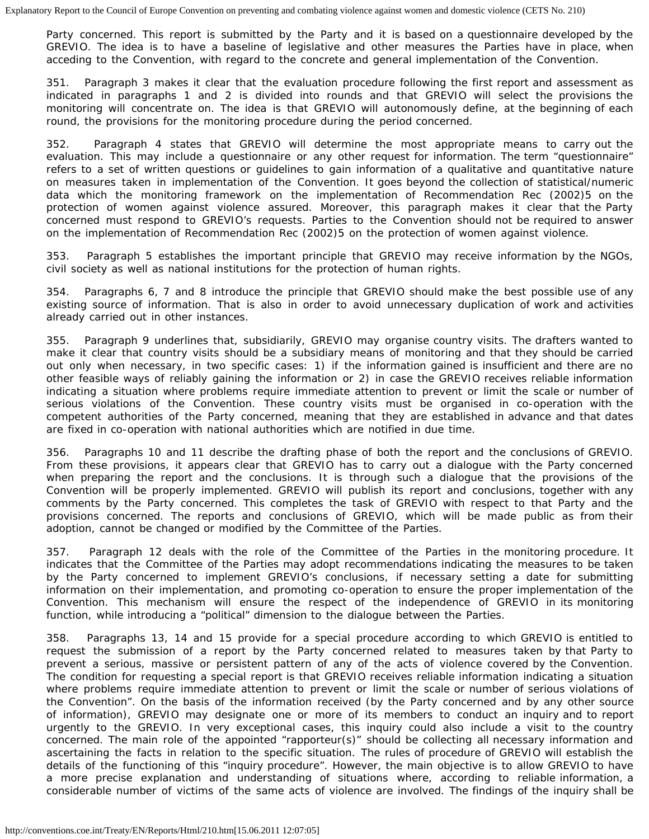Party concerned. This report is submitted by the Party and it is based on a questionnaire developed by the GREVIO. The idea is to have a baseline of legislative and other measures the Parties have in place, when acceding to the Convention, with regard to the concrete and general implementation of the Convention.

351. Paragraph 3 makes it clear that the evaluation procedure following the first report and assessment as indicated in paragraphs 1 and 2 is divided into rounds and that GREVIO will select the provisions the monitoring will concentrate on. The idea is that GREVIO will autonomously define, at the beginning of each round, the provisions for the monitoring procedure during the period concerned.

352. Paragraph 4 states that GREVIO will determine the most appropriate means to carry out the evaluation. This may include a questionnaire or any other request for information. The term "questionnaire" refers to a set of written questions or guidelines to gain information of a qualitative and quantitative nature on measures taken in implementation of the Convention. It goes beyond the collection of statistical/numeric data which the monitoring framework on the implementation of Recommendation Rec (2002)5 on the protection of women against violence assured. Moreover, this paragraph makes it clear that the Party concerned must respond to GREVIO's requests. Parties to the Convention should not be required to answer on the implementation of Recommendation Rec (2002)5 on the protection of women against violence.

353. Paragraph 5 establishes the important principle that GREVIO may receive information by the NGOs, civil society as well as national institutions for the protection of human rights.

354. Paragraphs 6, 7 and 8 introduce the principle that GREVIO should make the best possible use of any existing source of information. That is also in order to avoid unnecessary duplication of work and activities already carried out in other instances.

355. Paragraph 9 underlines that, subsidiarily, GREVIO may organise country visits. The drafters wanted to make it clear that country visits should be a subsidiary means of monitoring and that they should be carried out only when necessary, in two specific cases: 1) if the information gained is insufficient and there are no other feasible ways of reliably gaining the information or 2) in case the GREVIO receives reliable information indicating a situation where problems require immediate attention to prevent or limit the scale or number of serious violations of the Convention. These country visits must be organised in co-operation with the competent authorities of the Party concerned, meaning that they are established in advance and that dates are fixed in co-operation with national authorities which are notified in due time.

356. Paragraphs 10 and 11 describe the drafting phase of both the report and the conclusions of GREVIO. From these provisions, it appears clear that GREVIO has to carry out a dialogue with the Party concerned when preparing the report and the conclusions. It is through such a dialogue that the provisions of the Convention will be properly implemented. GREVIO will publish its report and conclusions, together with any comments by the Party concerned. This completes the task of GREVIO with respect to that Party and the provisions concerned. The reports and conclusions of GREVIO, which will be made public as from their adoption, cannot be changed or modified by the Committee of the Parties.

357. Paragraph 12 deals with the role of the Committee of the Parties in the monitoring procedure. It indicates that the Committee of the Parties may adopt recommendations indicating the measures to be taken by the Party concerned to implement GREVIO's conclusions, if necessary setting a date for submitting information on their implementation, and promoting co-operation to ensure the proper implementation of the Convention. This mechanism will ensure the respect of the independence of GREVIO in its monitoring function, while introducing a "political" dimension to the dialogue between the Parties.

358. Paragraphs 13, 14 and 15 provide for a special procedure according to which GREVIO is entitled to request the submission of a report by the Party concerned related to measures taken by that Party to prevent a serious, massive or persistent pattern of any of the acts of violence covered by the Convention. The condition for requesting a special report is that GREVIO receives reliable information indicating a situation where problems require immediate attention to prevent or limit the scale or number of serious violations of the Convention". On the basis of the information received (by the Party concerned and by any other source of information), GREVIO may designate one or more of its members to conduct an inquiry and to report urgently to the GREVIO. In very exceptional cases, this inquiry could also include a visit to the country concerned. The main role of the appointed "rapporteur(s)" should be collecting all necessary information and ascertaining the facts in relation to the specific situation. The rules of procedure of GREVIO will establish the details of the functioning of this "inquiry procedure". However, the main objective is to allow GREVIO to have a more precise explanation and understanding of situations where, according to reliable information, a considerable number of victims of the same acts of violence are involved. The findings of the inquiry shall be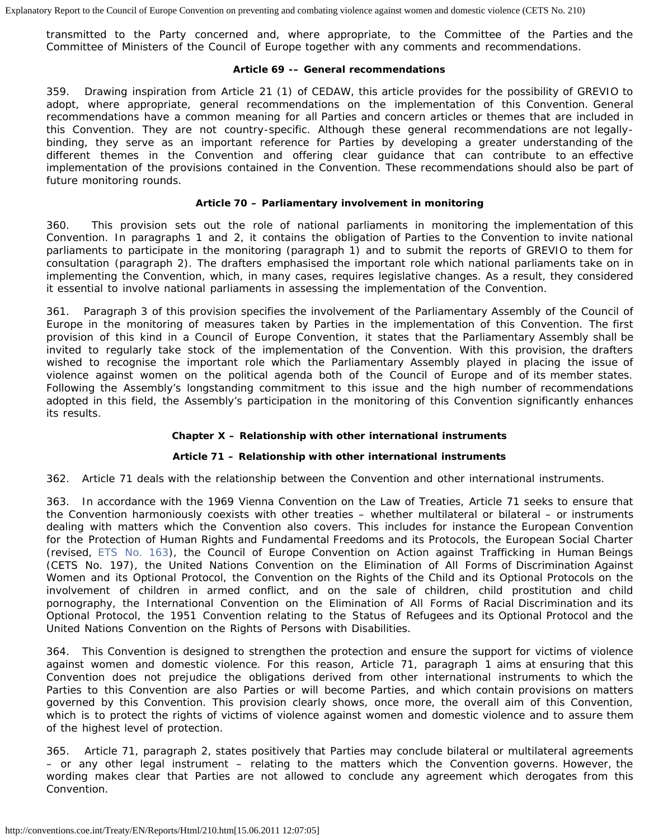transmitted to the Party concerned and, where appropriate, to the Committee of the Parties and the Committee of Ministers of the Council of Europe together with any comments and recommendations.

## **Article 69 -– General recommendations**

359. Drawing inspiration from Article 21 (1) of CEDAW, this article provides for the possibility of GREVIO to adopt, where appropriate, general recommendations on the implementation of this Convention. General recommendations have a common meaning for all Parties and concern articles or themes that are included in this Convention. They are not country-specific. Although these general recommendations are not legallybinding, they serve as an important reference for Parties by developing a greater understanding of the different themes in the Convention and offering clear guidance that can contribute to an effective implementation of the provisions contained in the Convention. These recommendations should also be part of future monitoring rounds.

## **Article 70 – Parliamentary involvement in monitoring**

360. This provision sets out the role of national parliaments in monitoring the implementation of this Convention. In paragraphs 1 and 2, it contains the obligation of Parties to the Convention to invite national parliaments to participate in the monitoring (paragraph 1) and to submit the reports of GREVIO to them for consultation (paragraph 2). The drafters emphasised the important role which national parliaments take on in implementing the Convention, which, in many cases, requires legislative changes. As a result, they considered it essential to involve national parliaments in assessing the implementation of the Convention.

361. Paragraph 3 of this provision specifies the involvement of the Parliamentary Assembly of the Council of Europe in the monitoring of measures taken by Parties in the implementation of this Convention. The first provision of this kind in a Council of Europe Convention, it states that the Parliamentary Assembly shall be invited to regularly take stock of the implementation of the Convention. With this provision, the drafters wished to recognise the important role which the Parliamentary Assembly played in placing the issue of violence against women on the political agenda both of the Council of Europe and of its member states. Following the Assembly's longstanding commitment to this issue and the high number of recommendations adopted in this field, the Assembly's participation in the monitoring of this Convention significantly enhances its results.

## **Chapter X – Relationship with other international instruments**

## **Article 71 – Relationship with other international instruments**

362. Article 71 deals with the relationship between the Convention and other international instruments.

363. In accordance with the 1969 Vienna Convention on the Law of Treaties, Article 71 seeks to ensure that the Convention harmoniously coexists with other treaties – whether multilateral or bilateral – or instruments dealing with matters which the Convention also covers. This includes for instance the European Convention for the Protection of Human Rights and Fundamental Freedoms and its Protocols, the European Social Charter (revised, [ETS No. 163\)](http://conventions.coe.int/Treaty/EN/Treaties/HTML/163.htm), the Council of Europe Convention on Action against Trafficking in Human Beings (CETS No. 197), the United Nations Convention on the Elimination of All Forms of Discrimination Against Women and its Optional Protocol, the Convention on the Rights of the Child and its Optional Protocols on the involvement of children in armed conflict, and on the sale of children, child prostitution and child pornography, the International Convention on the Elimination of All Forms of Racial Discrimination and its Optional Protocol, the 1951 Convention relating to the Status of Refugees and its Optional Protocol and the United Nations Convention on the Rights of Persons with Disabilities.

364. This Convention is designed to strengthen the protection and ensure the support for victims of violence against women and domestic violence. For this reason, Article 71, paragraph 1 aims at ensuring that this Convention does not prejudice the obligations derived from other international instruments to which the Parties to this Convention are also Parties or will become Parties, and which contain provisions on matters governed by this Convention. This provision clearly shows, once more, the overall aim of this Convention, which is to protect the rights of victims of violence against women and domestic violence and to assure them of the highest level of protection.

365. Article 71, paragraph 2, states positively that Parties may conclude bilateral or multilateral agreements – or any other legal instrument – relating to the matters which the Convention governs. However, the wording makes clear that Parties are not allowed to conclude any agreement which derogates from this Convention.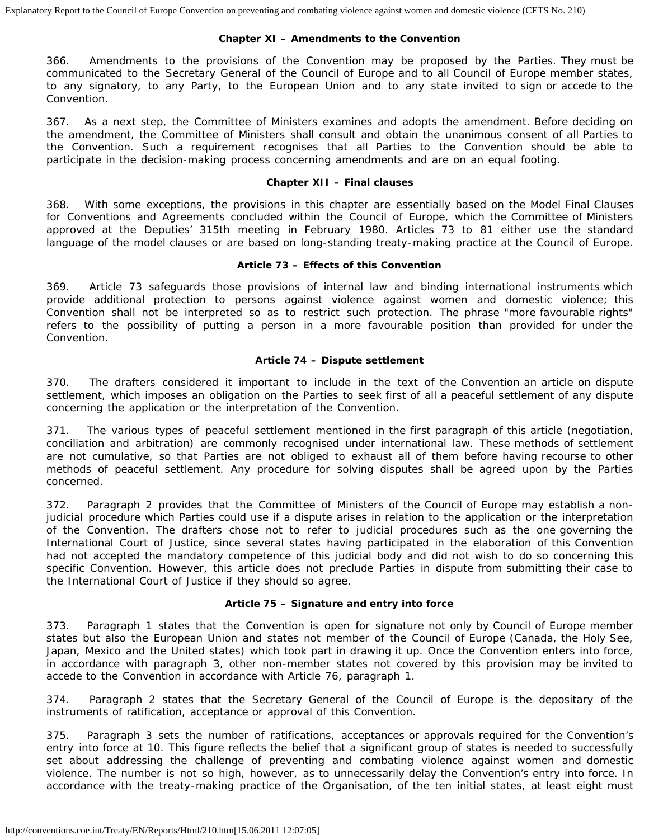## **Chapter XI – Amendments to the Convention**

366. Amendments to the provisions of the Convention may be proposed by the Parties. They must be communicated to the Secretary General of the Council of Europe and to all Council of Europe member states, to any signatory, to any Party, to the European Union and to any state invited to sign or accede to the Convention.

367. As a next step, the Committee of Ministers examines and adopts the amendment. Before deciding on the amendment, the Committee of Ministers shall consult and obtain the unanimous consent of all Parties to the Convention. Such a requirement recognises that all Parties to the Convention should be able to participate in the decision-making process concerning amendments and are on an equal footing.

### **Chapter XII – Final clauses**

368. With some exceptions, the provisions in this chapter are essentially based on the Model Final Clauses for Conventions and Agreements concluded within the Council of Europe, which the Committee of Ministers approved at the Deputies' 315th meeting in February 1980. Articles 73 to 81 either use the standard language of the model clauses or are based on long-standing treaty-making practice at the Council of Europe.

## **Article 73 – Effects of this Convention**

369. Article 73 safeguards those provisions of internal law and binding international instruments which provide additional protection to persons against violence against women and domestic violence; this Convention shall not be interpreted so as to restrict such protection. The phrase "more favourable rights" refers to the possibility of putting a person in a more favourable position than provided for under the Convention.

#### **Article 74 – Dispute settlement**

370. The drafters considered it important to include in the text of the Convention an article on dispute settlement, which imposes an obligation on the Parties to seek first of all a peaceful settlement of any dispute concerning the application or the interpretation of the Convention.

371. The various types of peaceful settlement mentioned in the first paragraph of this article (negotiation, conciliation and arbitration) are commonly recognised under international law. These methods of settlement are not cumulative, so that Parties are not obliged to exhaust all of them before having recourse to other methods of peaceful settlement. Any procedure for solving disputes shall be agreed upon by the Parties concerned.

372. Paragraph 2 provides that the Committee of Ministers of the Council of Europe may establish a nonjudicial procedure which Parties could use if a dispute arises in relation to the application or the interpretation of the Convention. The drafters chose not to refer to judicial procedures such as the one governing the International Court of Justice, since several states having participated in the elaboration of this Convention had not accepted the mandatory competence of this judicial body and did not wish to do so concerning this specific Convention. However, this article does not preclude Parties in dispute from submitting their case to the International Court of Justice if they should so agree.

## **Article 75 – Signature and entry into force**

373. Paragraph 1 states that the Convention is open for signature not only by Council of Europe member states but also the European Union and states not member of the Council of Europe (Canada, the Holy See, Japan, Mexico and the United states) which took part in drawing it up. Once the Convention enters into force, in accordance with paragraph 3, other non-member states not covered by this provision may be invited to accede to the Convention in accordance with Article 76, paragraph 1.

374. Paragraph 2 states that the Secretary General of the Council of Europe is the depositary of the instruments of ratification, acceptance or approval of this Convention.

375. Paragraph 3 sets the number of ratifications, acceptances or approvals required for the Convention's entry into force at 10. This figure reflects the belief that a significant group of states is needed to successfully set about addressing the challenge of preventing and combating violence against women and domestic violence. The number is not so high, however, as to unnecessarily delay the Convention's entry into force. In accordance with the treaty-making practice of the Organisation, of the ten initial states, at least eight must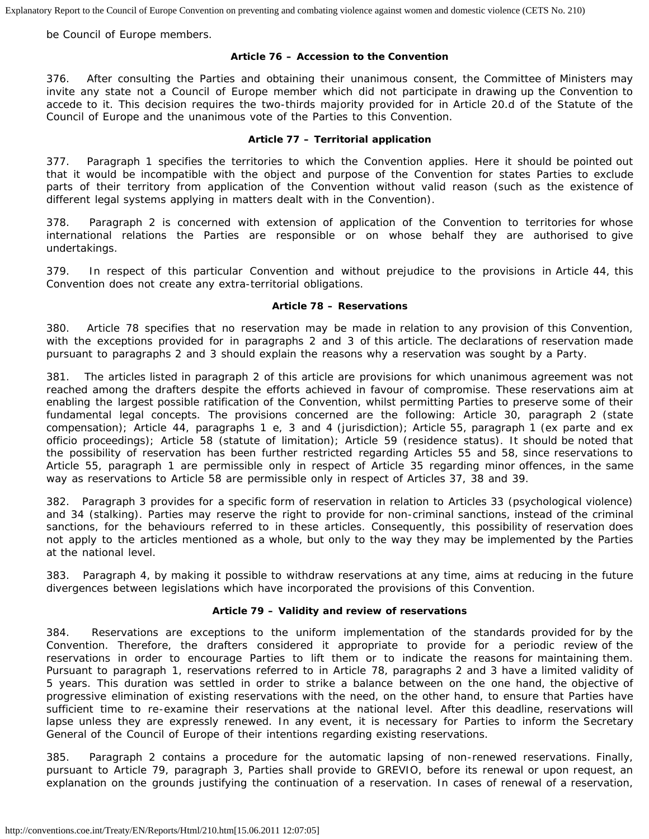be Council of Europe members.

## **Article 76 – Accession to the Convention**

376. After consulting the Parties and obtaining their unanimous consent, the Committee of Ministers may invite any state not a Council of Europe member which did not participate in drawing up the Convention to accede to it. This decision requires the two-thirds majority provided for in Article 20.d of the Statute of the Council of Europe and the unanimous vote of the Parties to this Convention.

## **Article 77 – Territorial application**

377. Paragraph 1 specifies the territories to which the Convention applies. Here it should be pointed out that it would be incompatible with the object and purpose of the Convention for states Parties to exclude parts of their territory from application of the Convention without valid reason (such as the existence of different legal systems applying in matters dealt with in the Convention).

378. Paragraph 2 is concerned with extension of application of the Convention to territories for whose international relations the Parties are responsible or on whose behalf they are authorised to give undertakings.

379. In respect of this particular Convention and without prejudice to the provisions in Article 44, this Convention does not create any extra-territorial obligations.

## **Article 78 – Reservations**

380. Article 78 specifies that no reservation may be made in relation to any provision of this Convention, with the exceptions provided for in paragraphs 2 and 3 of this article. The declarations of reservation made pursuant to paragraphs 2 and 3 should explain the reasons why a reservation was sought by a Party.

381. The articles listed in paragraph 2 of this article are provisions for which unanimous agreement was not reached among the drafters despite the efforts achieved in favour of compromise. These reservations aim at enabling the largest possible ratification of the Convention, whilst permitting Parties to preserve some of their fundamental legal concepts. The provisions concerned are the following: Article 30, paragraph 2 (state compensation); Article 44, paragraphs 1 e, 3 and 4 (jurisdiction); Article 55, paragraph 1 (*ex parte* and *ex officio* proceedings); Article 58 (statute of limitation); Article 59 (residence status). It should be noted that the possibility of reservation has been further restricted regarding Articles 55 and 58, since reservations to Article 55, paragraph 1 are permissible only in respect of Article 35 regarding minor offences, in the same way as reservations to Article 58 are permissible only in respect of Articles 37, 38 and 39.

382. Paragraph 3 provides for a specific form of reservation in relation to Articles 33 (psychological violence) and 34 (stalking). Parties may reserve the right to provide for non-criminal sanctions, instead of the criminal sanctions, for the behaviours referred to in these articles. Consequently, this possibility of reservation does not apply to the articles mentioned as a whole, but only to the way they may be implemented by the Parties at the national level.

383. Paragraph 4, by making it possible to withdraw reservations at any time, aims at reducing in the future divergences between legislations which have incorporated the provisions of this Convention.

## **Article 79 – Validity and review of reservations**

384. Reservations are exceptions to the uniform implementation of the standards provided for by the Convention. Therefore, the drafters considered it appropriate to provide for a periodic review of the reservations in order to encourage Parties to lift them or to indicate the reasons for maintaining them. Pursuant to paragraph 1, reservations referred to in Article 78, paragraphs 2 and 3 have a limited validity of 5 years. This duration was settled in order to strike a balance between on the one hand, the objective of progressive elimination of existing reservations with the need, on the other hand, to ensure that Parties have sufficient time to re-examine their reservations at the national level. After this deadline, reservations will lapse unless they are expressly renewed. In any event, it is necessary for Parties to inform the Secretary General of the Council of Europe of their intentions regarding existing reservations.

385. Paragraph 2 contains a procedure for the automatic lapsing of non-renewed reservations. Finally, pursuant to Article 79, paragraph 3, Parties shall provide to GREVIO, before its renewal or upon request, an explanation on the grounds justifying the continuation of a reservation. In cases of renewal of a reservation,